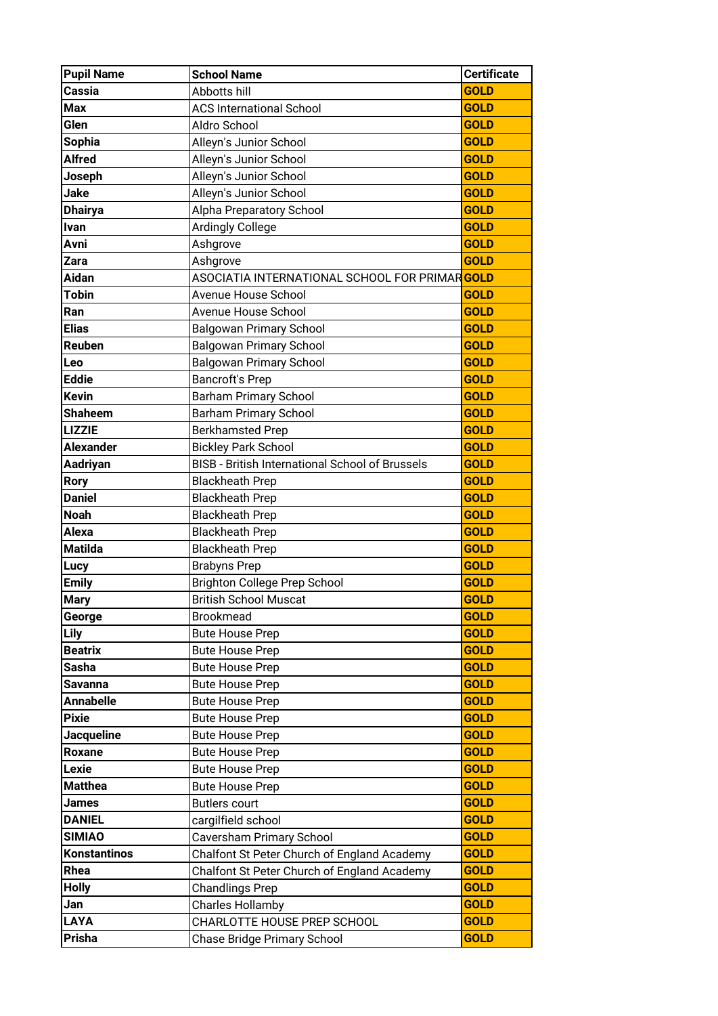| <b>Pupil Name</b>   | <b>School Name</b>                                          | <b>Certificate</b> |
|---------------------|-------------------------------------------------------------|--------------------|
| Cassia              | Abbotts hill                                                | <b>GOLD</b>        |
| <b>Max</b>          | <b>ACS International School</b>                             | <b>GOLD</b>        |
| Glen                | Aldro School                                                | <b>GOLD</b>        |
| <b>Sophia</b>       | Alleyn's Junior School                                      | <b>GOLD</b>        |
| <b>Alfred</b>       | Alleyn's Junior School                                      | <b>GOLD</b>        |
| Joseph              | Alleyn's Junior School                                      | <b>GOLD</b>        |
| <b>Jake</b>         | Alleyn's Junior School                                      | <b>GOLD</b>        |
| <b>Dhairya</b>      | Alpha Preparatory School                                    | <b>GOLD</b>        |
| Ivan                | <b>Ardingly College</b>                                     | <b>GOLD</b>        |
| Avni                | Ashgrove                                                    | <b>GOLD</b>        |
| Zara                | Ashgrove                                                    | <b>GOLD</b>        |
| <b>Aidan</b>        | ASOCIATIA INTERNATIONAL SCHOOL FOR PRIMAR <mark>GOLD</mark> |                    |
| <b>Tobin</b>        | Avenue House School                                         | <b>GOLD</b>        |
| Ran                 | Avenue House School                                         | <b>GOLD</b>        |
| <b>Elias</b>        | <b>Balgowan Primary School</b>                              | <b>GOLD</b>        |
| Reuben              | <b>Balgowan Primary School</b>                              | <b>GOLD</b>        |
| Leo                 | <b>Balgowan Primary School</b>                              | <b>GOLD</b>        |
| <b>Eddie</b>        | <b>Bancroft's Prep</b>                                      | <b>GOLD</b>        |
| <b>Kevin</b>        | <b>Barham Primary School</b>                                | <b>GOLD</b>        |
| <b>Shaheem</b>      | <b>Barham Primary School</b>                                | <b>GOLD</b>        |
| <b>LIZZIE</b>       | <b>Berkhamsted Prep</b>                                     | <b>GOLD</b>        |
| <b>Alexander</b>    | <b>Bickley Park School</b>                                  | <b>GOLD</b>        |
| Aadriyan            | <b>BISB - British International School of Brussels</b>      | <b>GOLD</b>        |
| <b>Rory</b>         | <b>Blackheath Prep</b>                                      | <b>GOLD</b>        |
| <b>Daniel</b>       | <b>Blackheath Prep</b>                                      | <b>GOLD</b>        |
| <b>Noah</b>         | <b>Blackheath Prep</b>                                      | <b>GOLD</b>        |
| <b>Alexa</b>        | <b>Blackheath Prep</b>                                      | <b>GOLD</b>        |
| <b>Matilda</b>      | <b>Blackheath Prep</b>                                      | <b>GOLD</b>        |
| Lucy                | <b>Brabyns Prep</b>                                         | <b>GOLD</b>        |
| <b>Emily</b>        | <b>Brighton College Prep School</b>                         | <b>GOLD</b>        |
| <b>Mary</b>         | <b>British School Muscat</b>                                | <b>GOLD</b>        |
| George              | <b>Brookmead</b>                                            | <b>GOLD</b>        |
| Lily                | <b>Bute House Prep</b>                                      | <b>GOLD</b>        |
| <b>Beatrix</b>      | <b>Bute House Prep</b>                                      | <b>GOLD</b>        |
| Sasha               | <b>Bute House Prep</b>                                      | <b>GOLD</b>        |
| Savanna             | <b>Bute House Prep</b>                                      | <b>GOLD</b>        |
| <b>Annabelle</b>    | <b>Bute House Prep</b>                                      | <b>GOLD</b>        |
| <b>Pixie</b>        | <b>Bute House Prep</b>                                      | <b>GOLD</b>        |
| <b>Jacqueline</b>   | <b>Bute House Prep</b>                                      | <b>GOLD</b>        |
| <b>Roxane</b>       | <b>Bute House Prep</b>                                      | <b>GOLD</b>        |
| Lexie               | <b>Bute House Prep</b>                                      | <b>GOLD</b>        |
| <b>Matthea</b>      | <b>Bute House Prep</b>                                      | <b>GOLD</b>        |
| James               | <b>Butlers court</b>                                        | <b>GOLD</b>        |
| <b>DANIEL</b>       | cargilfield school                                          | <b>GOLD</b>        |
| <b>SIMIAO</b>       | Caversham Primary School                                    | <b>GOLD</b>        |
| <b>Konstantinos</b> | Chalfont St Peter Church of England Academy                 | <b>GOLD</b>        |
| Rhea                | Chalfont St Peter Church of England Academy                 | <b>GOLD</b>        |
| <b>Holly</b>        | <b>Chandlings Prep</b>                                      | <b>GOLD</b>        |
| Jan                 | <b>Charles Hollamby</b>                                     | <b>GOLD</b>        |
| <b>LAYA</b>         | CHARLOTTE HOUSE PREP SCHOOL                                 | <b>GOLD</b>        |
| Prisha              | Chase Bridge Primary School                                 | <b>GOLD</b>        |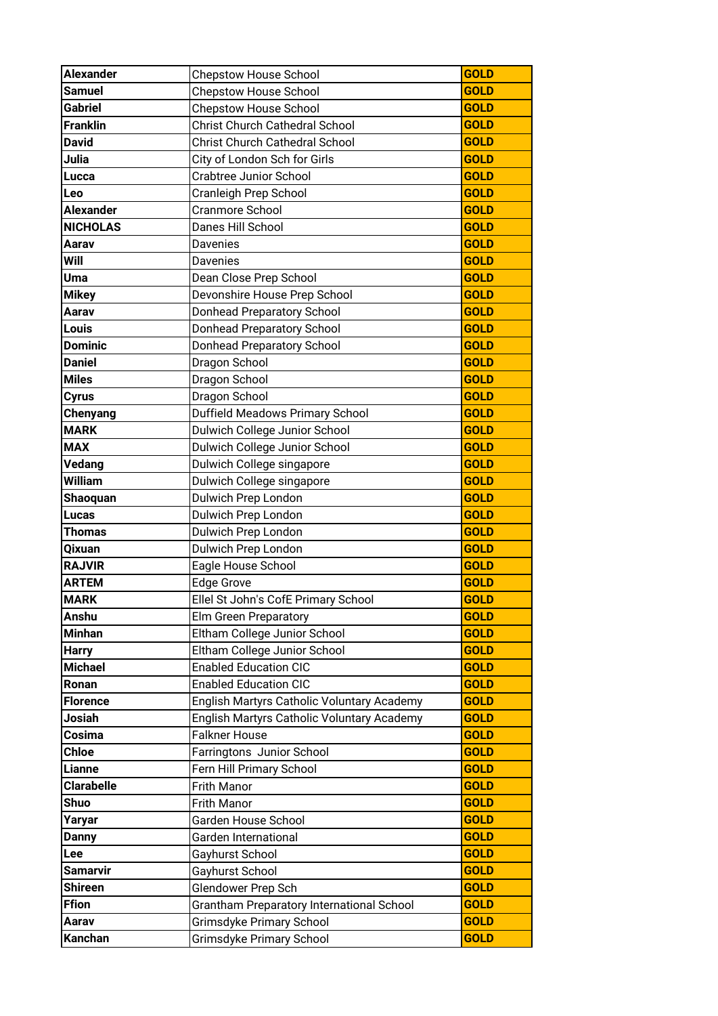| <b>Alexander</b>  | <b>Chepstow House School</b>               | <b>GOLD</b> |
|-------------------|--------------------------------------------|-------------|
| <b>Samuel</b>     | <b>Chepstow House School</b>               | <b>GOLD</b> |
| <b>Gabriel</b>    | <b>Chepstow House School</b>               | <b>GOLD</b> |
| <b>Franklin</b>   | <b>Christ Church Cathedral School</b>      | <b>GOLD</b> |
| <b>David</b>      | <b>Christ Church Cathedral School</b>      | <b>GOLD</b> |
| Julia             | City of London Sch for Girls               | <b>GOLD</b> |
| <b>Lucca</b>      | <b>Crabtree Junior School</b>              | <b>GOLD</b> |
| Leo               | Cranleigh Prep School                      | <b>GOLD</b> |
| <b>Alexander</b>  | Cranmore School                            | <b>GOLD</b> |
| <b>NICHOLAS</b>   | Danes Hill School                          | <b>GOLD</b> |
| Aarav             | Davenies                                   | <b>GOLD</b> |
| Will              | Davenies                                   | <b>GOLD</b> |
| Uma               | Dean Close Prep School                     | <b>GOLD</b> |
| <b>Mikey</b>      | Devonshire House Prep School               | <b>GOLD</b> |
| Aarav             | <b>Donhead Preparatory School</b>          | <b>GOLD</b> |
| Louis             | <b>Donhead Preparatory School</b>          | <b>GOLD</b> |
| <b>Dominic</b>    | Donhead Preparatory School                 | <b>GOLD</b> |
| <b>Daniel</b>     | Dragon School                              | <b>GOLD</b> |
| <b>Miles</b>      | Dragon School                              | <b>GOLD</b> |
| <b>Cyrus</b>      | Dragon School                              | <b>GOLD</b> |
| Chenyang          | Duffield Meadows Primary School            | <b>GOLD</b> |
| <b>MARK</b>       | Dulwich College Junior School              | <b>GOLD</b> |
| <b>MAX</b>        | Dulwich College Junior School              | <b>GOLD</b> |
| Vedang            | Dulwich College singapore                  | <b>GOLD</b> |
| William           | Dulwich College singapore                  | <b>GOLD</b> |
| Shaoquan          | Dulwich Prep London                        | <b>GOLD</b> |
| <b>Lucas</b>      | Dulwich Prep London                        | <b>GOLD</b> |
| Thomas            | Dulwich Prep London                        | <b>GOLD</b> |
| Qixuan            | Dulwich Prep London                        | <b>GOLD</b> |
| <b>RAJVIR</b>     | Eagle House School                         | <b>GOLD</b> |
| <b>ARTEM</b>      | Edge Grove                                 | <b>GOLD</b> |
| <b>MARK</b>       | Ellel St John's CofE Primary School        | <b>GOLD</b> |
| Anshu             | Elm Green Preparatory                      | <b>GOLD</b> |
| <b>Minhan</b>     | Eltham College Junior School               | <b>GOLD</b> |
| <b>Harry</b>      | Eltham College Junior School               | <b>GOLD</b> |
| <b>Michael</b>    | <b>Enabled Education CIC</b>               | <b>GOLD</b> |
| Ronan             | <b>Enabled Education CIC</b>               | <b>GOLD</b> |
| <b>Florence</b>   | English Martyrs Catholic Voluntary Academy | <b>GOLD</b> |
| Josiah            | English Martyrs Catholic Voluntary Academy | <b>GOLD</b> |
| Cosima            | <b>Falkner House</b>                       | <b>GOLD</b> |
| <b>Chloe</b>      | Farringtons Junior School                  | <b>GOLD</b> |
| Lianne            | Fern Hill Primary School                   | <b>GOLD</b> |
| <b>Clarabelle</b> | Frith Manor                                | <b>GOLD</b> |
| Shuo              | Frith Manor                                | <b>GOLD</b> |
| Yaryar            | Garden House School                        | <b>GOLD</b> |
| <b>Danny</b>      | Garden International                       | <b>GOLD</b> |
| Lee               | Gayhurst School                            | <b>GOLD</b> |
| <b>Samarvir</b>   | Gayhurst School                            | <b>GOLD</b> |
| <b>Shireen</b>    | Glendower Prep Sch                         | <b>GOLD</b> |
| <b>Ffion</b>      | Grantham Preparatory International School  | <b>GOLD</b> |
| Aarav             | Grimsdyke Primary School                   | <b>GOLD</b> |
| Kanchan           | Grimsdyke Primary School                   | <b>GOLD</b> |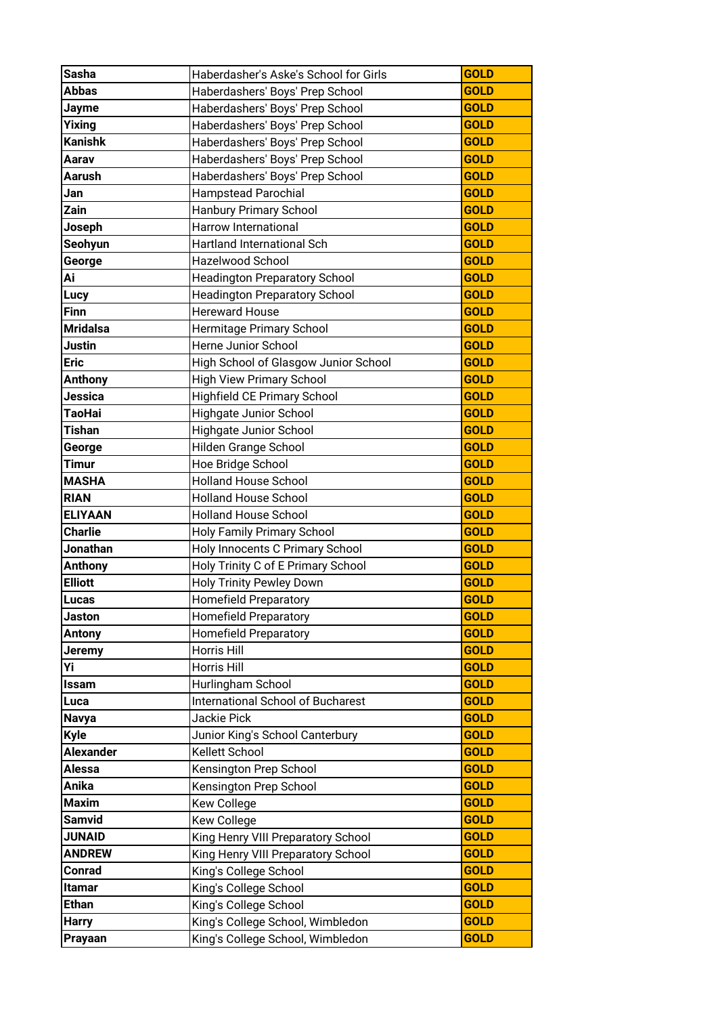| <b>Sasha</b>            | Haberdasher's Aske's School for Girls                                | <b>GOLD</b>                |
|-------------------------|----------------------------------------------------------------------|----------------------------|
| <b>Abbas</b>            | Haberdashers' Boys' Prep School                                      | <b>GOLD</b>                |
| Jayme                   | Haberdashers' Boys' Prep School                                      | <b>GOLD</b>                |
| Yixing                  | Haberdashers' Boys' Prep School                                      | <b>GOLD</b>                |
| <b>Kanishk</b>          | Haberdashers' Boys' Prep School                                      | <b>GOLD</b>                |
| Aarav                   | Haberdashers' Boys' Prep School                                      | <b>GOLD</b>                |
| Aarush                  | Haberdashers' Boys' Prep School                                      | <b>GOLD</b>                |
| Jan                     | <b>Hampstead Parochial</b>                                           | <b>GOLD</b>                |
| Zain                    | <b>Hanbury Primary School</b>                                        | <b>GOLD</b>                |
| Joseph                  | <b>Harrow International</b>                                          | <b>GOLD</b>                |
| Seohyun                 | Hartland International Sch                                           | <b>GOLD</b>                |
| George                  | Hazelwood School                                                     | <b>GOLD</b>                |
| Ai                      | <b>Headington Preparatory School</b>                                 | <b>GOLD</b>                |
| <b>Lucy</b>             | <b>Headington Preparatory School</b>                                 | <b>GOLD</b>                |
| <b>Finn</b>             | <b>Hereward House</b>                                                | <b>GOLD</b>                |
| <b>Mridalsa</b>         | Hermitage Primary School                                             | <b>GOLD</b>                |
| Justin                  | Herne Junior School                                                  | <b>GOLD</b>                |
| <b>Eric</b>             | High School of Glasgow Junior School                                 | <b>GOLD</b>                |
| <b>Anthony</b>          | <b>High View Primary School</b>                                      | <b>GOLD</b>                |
| Jessica                 | Highfield CE Primary School                                          | <b>GOLD</b>                |
| TaoHai                  | <b>Highgate Junior School</b>                                        | <b>GOLD</b>                |
| <b>Tishan</b>           | Highgate Junior School                                               | <b>GOLD</b>                |
| George                  | Hilden Grange School                                                 | <b>GOLD</b>                |
| <b>Timur</b>            | Hoe Bridge School                                                    | <b>GOLD</b>                |
| <b>MASHA</b>            | <b>Holland House School</b>                                          | <b>GOLD</b>                |
| <b>RIAN</b>             | <b>Holland House School</b>                                          | <b>GOLD</b>                |
|                         |                                                                      |                            |
| <b>ELIYAAN</b>          | <b>Holland House School</b>                                          | <b>GOLD</b>                |
| <b>Charlie</b>          | Holy Family Primary School                                           | <b>GOLD</b>                |
| Jonathan                | Holy Innocents C Primary School                                      | <b>GOLD</b>                |
| <b>Anthony</b>          | Holy Trinity C of E Primary School                                   | <b>GOLD</b>                |
| <b>Elliott</b>          | <b>Holy Trinity Pewley Down</b>                                      | <b>GOLD</b>                |
| Lucas                   | <b>Homefield Preparatory</b>                                         | <b>GOLD</b>                |
| Jaston                  | <b>Homefield Preparatory</b>                                         | <b>GOLD</b>                |
| <b>Antony</b>           | <b>Homefield Preparatory</b>                                         | <b>GOLD</b>                |
| Jeremy                  | Horris Hill                                                          | <b>GOLD</b>                |
| Υi                      | <b>Horris Hill</b>                                                   | <b>GOLD</b>                |
| Issam                   | Hurlingham School                                                    | <b>GOLD</b>                |
| Luca                    | International School of Bucharest                                    | <b>GOLD</b>                |
| <b>Navya</b>            | Jackie Pick                                                          | <b>GOLD</b>                |
| <b>Kyle</b>             | Junior King's School Canterbury                                      | <b>GOLD</b>                |
| <b>Alexander</b>        | Kellett School                                                       | <b>GOLD</b>                |
| Alessa                  | Kensington Prep School                                               | <b>GOLD</b>                |
| Anika                   | Kensington Prep School                                               | <b>GOLD</b>                |
| <b>Maxim</b>            | Kew College                                                          | <b>GOLD</b>                |
| <b>Samvid</b>           | Kew College                                                          | <b>GOLD</b>                |
| <b>JUNAID</b>           | King Henry VIII Preparatory School                                   | <b>GOLD</b>                |
| <b>ANDREW</b>           | King Henry VIII Preparatory School                                   | <b>GOLD</b>                |
| Conrad                  | King's College School                                                | <b>GOLD</b>                |
| <b>Itamar</b>           | King's College School                                                | <b>GOLD</b>                |
| <b>Ethan</b>            | King's College School                                                | <b>GOLD</b>                |
| <b>Harry</b><br>Prayaan | King's College School, Wimbledon<br>King's College School, Wimbledon | <b>GOLD</b><br><b>GOLD</b> |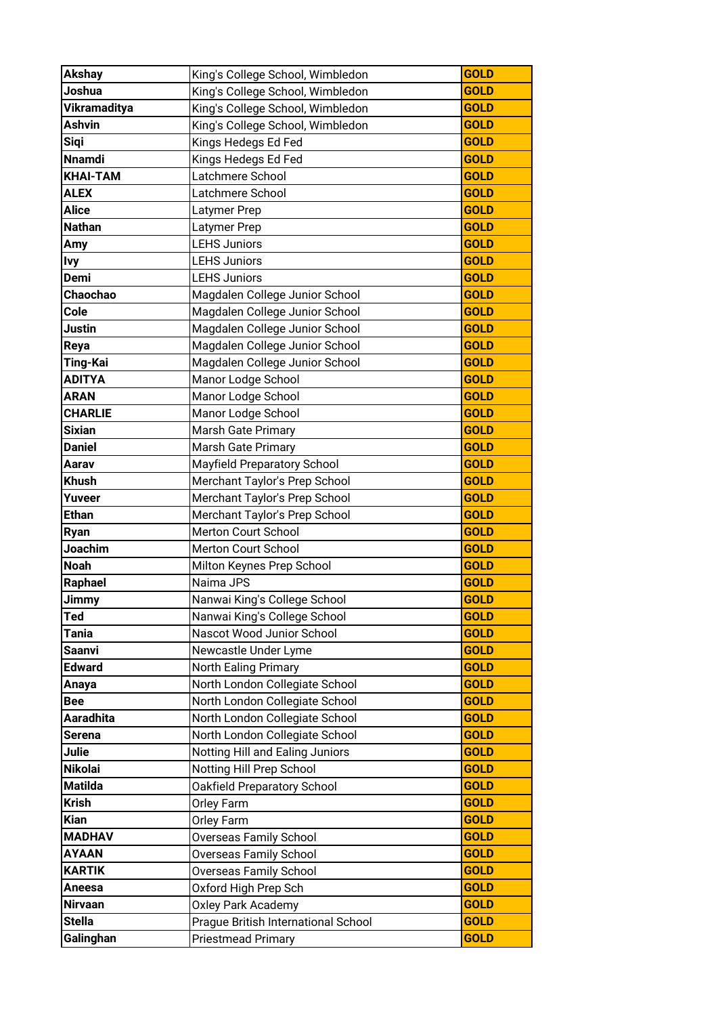| <b>Akshay</b>    | King's College School, Wimbledon    | <b>GOLD</b> |
|------------------|-------------------------------------|-------------|
| Joshua           | King's College School, Wimbledon    | <b>GOLD</b> |
| Vikramaditya     | King's College School, Wimbledon    | <b>GOLD</b> |
| <b>Ashvin</b>    | King's College School, Wimbledon    | <b>GOLD</b> |
| <b>Sigi</b>      | Kings Hedegs Ed Fed                 | <b>GOLD</b> |
| <b>Nnamdi</b>    | Kings Hedegs Ed Fed                 | <b>GOLD</b> |
| <b>KHAI-TAM</b>  | Latchmere School                    | <b>GOLD</b> |
| <b>ALEX</b>      | Latchmere School                    | <b>GOLD</b> |
| <b>Alice</b>     | Latymer Prep                        | <b>GOLD</b> |
| <b>Nathan</b>    | Latymer Prep                        | <b>GOLD</b> |
| Amy              | <b>LEHS Juniors</b>                 | <b>GOLD</b> |
| <b>Ivy</b>       | <b>LEHS Juniors</b>                 | <b>GOLD</b> |
| <b>Demi</b>      | <b>LEHS Juniors</b>                 | <b>GOLD</b> |
| Chaochao         | Magdalen College Junior School      | <b>GOLD</b> |
| Cole             | Magdalen College Junior School      | <b>GOLD</b> |
| Justin           | Magdalen College Junior School      | <b>GOLD</b> |
| Reya             | Magdalen College Junior School      | <b>GOLD</b> |
| Ting-Kai         | Magdalen College Junior School      | <b>GOLD</b> |
| <b>ADITYA</b>    | Manor Lodge School                  | <b>GOLD</b> |
| <b>ARAN</b>      | Manor Lodge School                  | <b>GOLD</b> |
| <b>CHARLIE</b>   | Manor Lodge School                  | <b>GOLD</b> |
| <b>Sixian</b>    | Marsh Gate Primary                  | <b>GOLD</b> |
| <b>Daniel</b>    | Marsh Gate Primary                  | <b>GOLD</b> |
| Aarav            | Mayfield Preparatory School         | <b>GOLD</b> |
| <b>Khush</b>     | Merchant Taylor's Prep School       | <b>GOLD</b> |
| Yuveer           | Merchant Taylor's Prep School       | <b>GOLD</b> |
| <b>Ethan</b>     | Merchant Taylor's Prep School       | <b>GOLD</b> |
| Ryan             | Merton Court School                 | <b>GOLD</b> |
| Joachim          | Merton Court School                 | <b>GOLD</b> |
| <b>Noah</b>      | Milton Keynes Prep School           | <b>GOLD</b> |
| Raphael          | Naima JPS                           | <b>GOLD</b> |
| Jimmy            | Nanwai King's College School        | <b>GOLD</b> |
| Ted              | Nanwai King's College School        | <b>GOLD</b> |
| <b>Tania</b>     | Nascot Wood Junior School           | <b>GOLD</b> |
| Saanvi           | Newcastle Under Lyme                | <b>GOLD</b> |
| <b>Edward</b>    | North Ealing Primary                | <b>GOLD</b> |
| Anaya            | North London Collegiate School      | <b>GOLD</b> |
| <b>Bee</b>       | North London Collegiate School      | <b>GOLD</b> |
| <b>Aaradhita</b> | North London Collegiate School      | <b>GOLD</b> |
| <b>Serena</b>    | North London Collegiate School      | <b>GOLD</b> |
| Julie            | Notting Hill and Ealing Juniors     | <b>GOLD</b> |
| <b>Nikolai</b>   | Notting Hill Prep School            | <b>GOLD</b> |
| <b>Matilda</b>   | Oakfield Preparatory School         | <b>GOLD</b> |
| <b>Krish</b>     | <b>Orley Farm</b>                   | <b>GOLD</b> |
| <b>Kian</b>      | <b>Orley Farm</b>                   | <b>GOLD</b> |
| <b>MADHAV</b>    | <b>Overseas Family School</b>       | <b>GOLD</b> |
| <b>AYAAN</b>     | Overseas Family School              | <b>GOLD</b> |
| <b>KARTIK</b>    | <b>Overseas Family School</b>       | <b>GOLD</b> |
| <b>Aneesa</b>    | Oxford High Prep Sch                | <b>GOLD</b> |
| <b>Nirvaan</b>   | <b>Oxley Park Academy</b>           | <b>GOLD</b> |
| <b>Stella</b>    | Prague British International School | <b>GOLD</b> |
| Galinghan        | <b>Priestmead Primary</b>           | <b>GOLD</b> |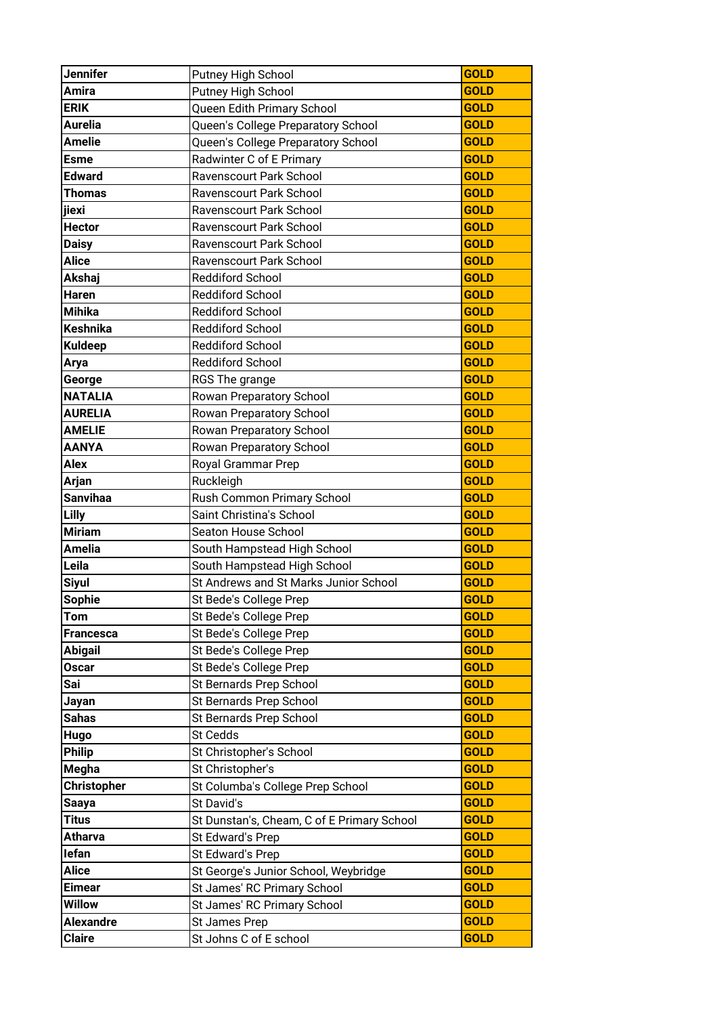| <b>Jennifer</b><br>Putney High School        | <b>GOLD</b>                                               |  |
|----------------------------------------------|-----------------------------------------------------------|--|
| <b>Amira</b><br>Putney High School           | <b>GOLD</b>                                               |  |
| <b>ERIK</b>                                  | Queen Edith Primary School<br><b>GOLD</b>                 |  |
| <b>Aurelia</b>                               | Queen's College Preparatory School<br><b>GOLD</b>         |  |
| <b>Amelie</b>                                | <b>GOLD</b><br>Queen's College Preparatory School         |  |
| Radwinter C of E Primary<br><b>Esme</b>      | <b>GOLD</b>                                               |  |
| <b>Edward</b><br>Ravenscourt Park School     | <b>GOLD</b>                                               |  |
| <b>Thomas</b><br>Ravenscourt Park School     | <b>GOLD</b>                                               |  |
| jiexi<br>Ravenscourt Park School             | <b>GOLD</b>                                               |  |
| <b>Hector</b><br>Ravenscourt Park School     | <b>GOLD</b>                                               |  |
| <b>Daisy</b><br>Ravenscourt Park School      | <b>GOLD</b>                                               |  |
| <b>Alice</b><br>Ravenscourt Park School      | <b>GOLD</b>                                               |  |
| Akshaj<br><b>Reddiford School</b>            | <b>GOLD</b>                                               |  |
| Haren<br><b>Reddiford School</b>             | <b>GOLD</b>                                               |  |
| <b>Mihika</b><br><b>Reddiford School</b>     | <b>GOLD</b>                                               |  |
| <b>Keshnika</b><br><b>Reddiford School</b>   | <b>GOLD</b>                                               |  |
| <b>Reddiford School</b><br><b>Kuldeep</b>    | <b>GOLD</b>                                               |  |
| <b>Reddiford School</b><br>Arya              | <b>GOLD</b>                                               |  |
| George<br>RGS The grange                     | <b>GOLD</b>                                               |  |
| <b>NATALIA</b><br>Rowan Preparatory School   | <b>GOLD</b>                                               |  |
| <b>AURELIA</b><br>Rowan Preparatory School   | <b>GOLD</b>                                               |  |
| <b>AMELIE</b><br>Rowan Preparatory School    | <b>GOLD</b>                                               |  |
| <b>AANYA</b><br>Rowan Preparatory School     | <b>GOLD</b>                                               |  |
| <b>Alex</b><br>Royal Grammar Prep            | <b>GOLD</b>                                               |  |
| Arjan<br>Ruckleigh                           | <b>GOLD</b>                                               |  |
| <b>Sanvihaa</b>                              | Rush Common Primary School<br><b>GOLD</b>                 |  |
| Lilly<br>Saint Christina's School            | <b>GOLD</b>                                               |  |
| <b>Miriam</b><br>Seaton House School         | <b>GOLD</b>                                               |  |
| <b>Amelia</b>                                | South Hampstead High School<br><b>GOLD</b>                |  |
| Leila                                        | <b>GOLD</b><br>South Hampstead High School                |  |
| <b>Siyul</b>                                 | St Andrews and St Marks Junior School<br><b>GOLD</b>      |  |
| <b>Sophie</b><br>St Bede's College Prep      | <b>GOLD</b>                                               |  |
| Tom<br>St Bede's College Prep                | <b>GOLD</b>                                               |  |
| St Bede's College Prep<br><b>Francesca</b>   | <b>GOLD</b>                                               |  |
| <b>Abigail</b><br>St Bede's College Prep     | <b>GOLD</b>                                               |  |
| St Bede's College Prep<br><b>Oscar</b>       | <b>GOLD</b>                                               |  |
| Sai<br>St Bernards Prep School               | <b>GOLD</b>                                               |  |
| St Bernards Prep School<br>Jayan             | <b>GOLD</b>                                               |  |
| St Bernards Prep School<br><b>Sahas</b>      | <b>GOLD</b>                                               |  |
| St Cedds<br>Hugo                             | <b>GOLD</b>                                               |  |
| <b>Philip</b><br>St Christopher's School     | <b>GOLD</b>                                               |  |
| <b>Megha</b><br>St Christopher's             | <b>GOLD</b>                                               |  |
| <b>Christopher</b>                           | <b>GOLD</b><br>St Columba's College Prep School           |  |
| St David's<br><b>Saaya</b>                   | <b>GOLD</b>                                               |  |
| Titus                                        | <b>GOLD</b><br>St Dunstan's, Cheam, C of E Primary School |  |
| <b>Atharva</b><br>St Edward's Prep           | <b>GOLD</b>                                               |  |
| lefan<br>St Edward's Prep                    | <b>GOLD</b>                                               |  |
| <b>Alice</b>                                 | St George's Junior School, Weybridge<br><b>GOLD</b>       |  |
| St James' RC Primary School<br><b>Eimear</b> |                                                           |  |
| <b>Willow</b>                                | <b>GOLD</b>                                               |  |
|                                              | <b>GOLD</b>                                               |  |
| <b>Alexandre</b><br>St James Prep            | St James' RC Primary School<br><b>GOLD</b>                |  |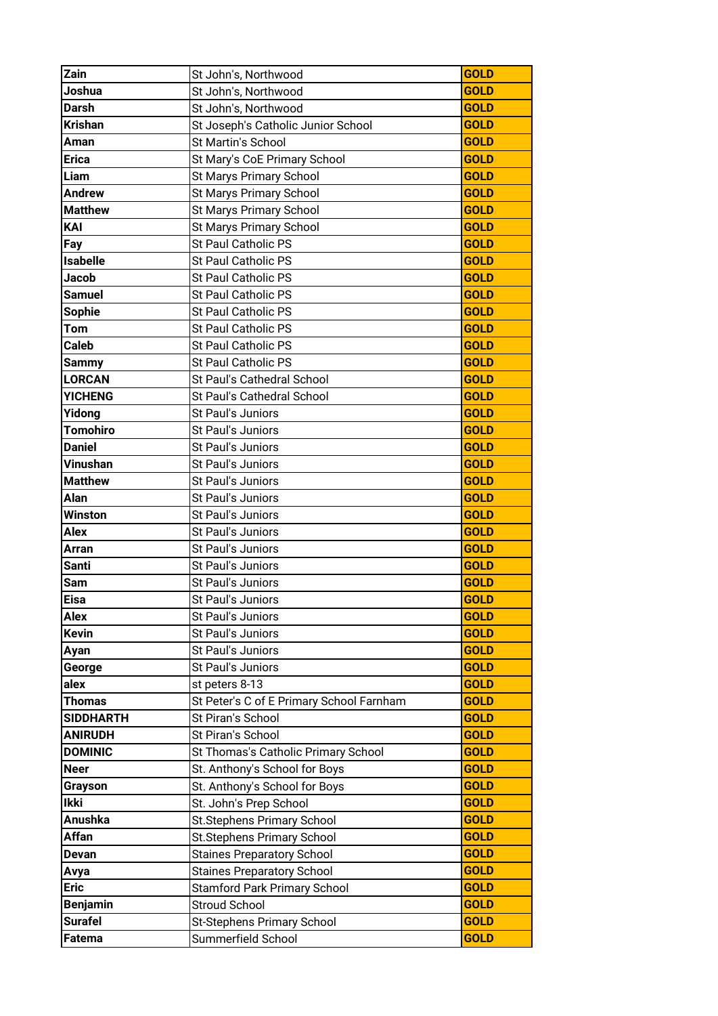| Zain             | St John's, Northwood                     | <b>GOLD</b> |
|------------------|------------------------------------------|-------------|
| Joshua           | St John's, Northwood                     | <b>GOLD</b> |
| <b>Darsh</b>     | St John's, Northwood                     | <b>GOLD</b> |
| <b>Krishan</b>   | St Joseph's Catholic Junior School       | <b>GOLD</b> |
| Aman             | St Martin's School                       | <b>GOLD</b> |
| <b>Erica</b>     | St Mary's CoE Primary School             | <b>GOLD</b> |
| Liam             | St Marys Primary School                  | <b>GOLD</b> |
| <b>Andrew</b>    | <b>St Marys Primary School</b>           | <b>GOLD</b> |
| <b>Matthew</b>   | <b>St Marys Primary School</b>           | <b>GOLD</b> |
| KAI              | St Marys Primary School                  | <b>GOLD</b> |
| Fay              | St Paul Catholic PS                      | <b>GOLD</b> |
| <b>Isabelle</b>  | <b>St Paul Catholic PS</b>               | <b>GOLD</b> |
| <b>Jacob</b>     | St Paul Catholic PS                      | <b>GOLD</b> |
| <b>Samuel</b>    | St Paul Catholic PS                      | <b>GOLD</b> |
| <b>Sophie</b>    | St Paul Catholic PS                      | <b>GOLD</b> |
| Tom              | St Paul Catholic PS                      | <b>GOLD</b> |
| <b>Caleb</b>     | St Paul Catholic PS                      | <b>GOLD</b> |
| <b>Sammy</b>     | <b>St Paul Catholic PS</b>               | <b>GOLD</b> |
| <b>LORCAN</b>    | St Paul's Cathedral School               | <b>GOLD</b> |
| <b>YICHENG</b>   | St Paul's Cathedral School               | <b>GOLD</b> |
| Yidong           | St Paul's Juniors                        | <b>GOLD</b> |
| <b>Tomohiro</b>  | St Paul's Juniors                        | <b>GOLD</b> |
| <b>Daniel</b>    | St Paul's Juniors                        | <b>GOLD</b> |
| <b>Vinushan</b>  | St Paul's Juniors                        | <b>GOLD</b> |
| <b>Matthew</b>   | St Paul's Juniors                        | <b>GOLD</b> |
| Alan             | St Paul's Juniors                        | <b>GOLD</b> |
| <b>Winston</b>   | St Paul's Juniors                        | <b>GOLD</b> |
| <b>Alex</b>      | St Paul's Juniors                        | <b>GOLD</b> |
| <b>Arran</b>     | St Paul's Juniors                        | <b>GOLD</b> |
| <b>Santi</b>     | St Paul's Juniors                        | <b>GOLD</b> |
| Sam              | St Paul's Juniors                        | <b>GOLD</b> |
| <b>Eisa</b>      | St Paul's Juniors                        | <b>GOLD</b> |
| Alex             | St Paul's Juniors                        | <b>GOLD</b> |
| <b>Kevin</b>     | St Paul's Juniors                        | <b>GOLD</b> |
| Ayan             | St Paul's Juniors                        | <b>GOLD</b> |
| George           | St Paul's Juniors                        | <b>GOLD</b> |
| alex             | st peters 8-13                           | <b>GOLD</b> |
| <b>Thomas</b>    | St Peter's C of E Primary School Farnham | <b>GOLD</b> |
| <b>SIDDHARTH</b> | St Piran's School                        | <b>GOLD</b> |
| <b>ANIRUDH</b>   | St Piran's School                        | <b>GOLD</b> |
| <b>DOMINIC</b>   | St Thomas's Catholic Primary School      | <b>GOLD</b> |
| <b>Neer</b>      | St. Anthony's School for Boys            | <b>GOLD</b> |
| Grayson          | St. Anthony's School for Boys            | <b>GOLD</b> |
| <b>Ikki</b>      | St. John's Prep School                   | <b>GOLD</b> |
| <b>Anushka</b>   | St.Stephens Primary School               | <b>GOLD</b> |
| Affan            | St.Stephens Primary School               | <b>GOLD</b> |
| <b>Devan</b>     | <b>Staines Preparatory School</b>        | <b>GOLD</b> |
| Avya             | <b>Staines Preparatory School</b>        | <b>GOLD</b> |
| <b>Eric</b>      | <b>Stamford Park Primary School</b>      | <b>GOLD</b> |
| <b>Benjamin</b>  | <b>Stroud School</b>                     | <b>GOLD</b> |
| <b>Surafel</b>   | St-Stephens Primary School               | <b>GOLD</b> |
| Fatema           | Summerfield School                       | <b>GOLD</b> |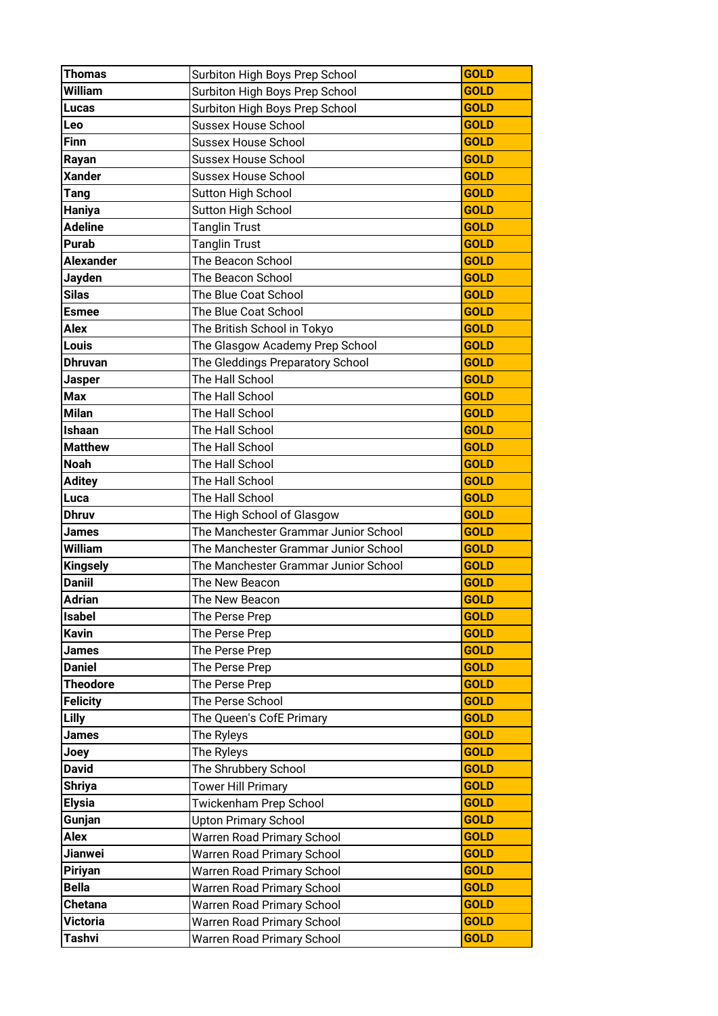| <b>Thomas</b>      | Surbiton High Boys Prep School                           | <b>GOLD</b>                |
|--------------------|----------------------------------------------------------|----------------------------|
| William            | Surbiton High Boys Prep School                           | <b>GOLD</b>                |
| <b>Lucas</b>       | Surbiton High Boys Prep School                           | <b>GOLD</b>                |
| Leo                | <b>Sussex House School</b>                               | <b>GOLD</b>                |
| <b>Finn</b>        | <b>Sussex House School</b>                               | <b>GOLD</b>                |
| Rayan              | <b>Sussex House School</b>                               | <b>GOLD</b>                |
| <b>Xander</b>      | <b>Sussex House School</b>                               | <b>GOLD</b>                |
| <b>Tang</b>        | <b>Sutton High School</b>                                | <b>GOLD</b>                |
| Haniya             | <b>Sutton High School</b>                                | <b>GOLD</b>                |
| <b>Adeline</b>     | <b>Tanglin Trust</b>                                     | <b>GOLD</b>                |
| <b>Purab</b>       | <b>Tanglin Trust</b>                                     | <b>GOLD</b>                |
| <b>Alexander</b>   | The Beacon School                                        | <b>GOLD</b>                |
| Jayden             | The Beacon School                                        | <b>GOLD</b>                |
| <b>Silas</b>       | The Blue Coat School                                     | <b>GOLD</b>                |
| <b>Esmee</b>       | The Blue Coat School                                     | <b>GOLD</b>                |
| Alex               | The British School in Tokyo                              | <b>GOLD</b>                |
| Louis              | The Glasgow Academy Prep School                          | <b>GOLD</b>                |
| <b>Dhruvan</b>     | The Gleddings Preparatory School                         | <b>GOLD</b>                |
| Jasper             | The Hall School                                          | <b>GOLD</b>                |
| <b>Max</b>         | The Hall School                                          | <b>GOLD</b>                |
| <b>Milan</b>       | The Hall School                                          | <b>GOLD</b>                |
| Ishaan             | The Hall School                                          | <b>GOLD</b>                |
| <b>Matthew</b>     | The Hall School                                          | <b>GOLD</b>                |
| <b>Noah</b>        | The Hall School                                          | <b>GOLD</b>                |
| <b>Aditey</b>      | The Hall School                                          | <b>GOLD</b>                |
| Luca               | The Hall School                                          | <b>GOLD</b>                |
| Dhruv              | The High School of Glasgow                               | <b>GOLD</b>                |
| James              | The Manchester Grammar Junior School                     | <b>GOLD</b>                |
| <b>William</b>     | The Manchester Grammar Junior School                     | <b>GOLD</b>                |
| <b>Kingsely</b>    | The Manchester Grammar Junior School                     | <b>GOLD</b>                |
| <b>Daniil</b>      | The New Beacon                                           | <b>GOLD</b>                |
| <b>Adrian</b>      | The New Beacon                                           | <b>GOLD</b>                |
| <b>Isabel</b>      | The Perse Prep                                           | <b>GOLD</b>                |
| <b>Kavin</b>       | The Perse Prep                                           | <b>GOLD</b>                |
| <b>James</b>       | The Perse Prep                                           | <b>GOLD</b>                |
| <b>Daniel</b>      |                                                          |                            |
|                    | The Perse Prep                                           | <b>GOLD</b>                |
| <b>Theodore</b>    | The Perse Prep                                           | <b>GOLD</b>                |
| <b>Felicity</b>    | The Perse School                                         | <b>GOLD</b>                |
| Lilly              | The Queen's CofE Primary                                 | <b>GOLD</b>                |
| <b>James</b>       | The Ryleys                                               | <b>GOLD</b>                |
| Joey               | The Ryleys                                               | <b>GOLD</b>                |
| <b>David</b>       | The Shrubbery School                                     | <b>GOLD</b>                |
| <b>Shriya</b>      | <b>Tower Hill Primary</b>                                | <b>GOLD</b>                |
| <b>Elysia</b>      | Twickenham Prep School                                   | <b>GOLD</b>                |
| Gunjan             | <b>Upton Primary School</b>                              | <b>GOLD</b>                |
| Alex               | Warren Road Primary School                               | <b>GOLD</b>                |
| Jianwei            | Warren Road Primary School                               | <b>GOLD</b>                |
| <b>Piriyan</b>     | Warren Road Primary School                               | <b>GOLD</b>                |
| <b>Bella</b>       | Warren Road Primary School                               | <b>GOLD</b>                |
| <b>Chetana</b>     | Warren Road Primary School                               | <b>GOLD</b>                |
| Victoria<br>Tashvi | Warren Road Primary School<br>Warren Road Primary School | <b>GOLD</b><br><b>GOLD</b> |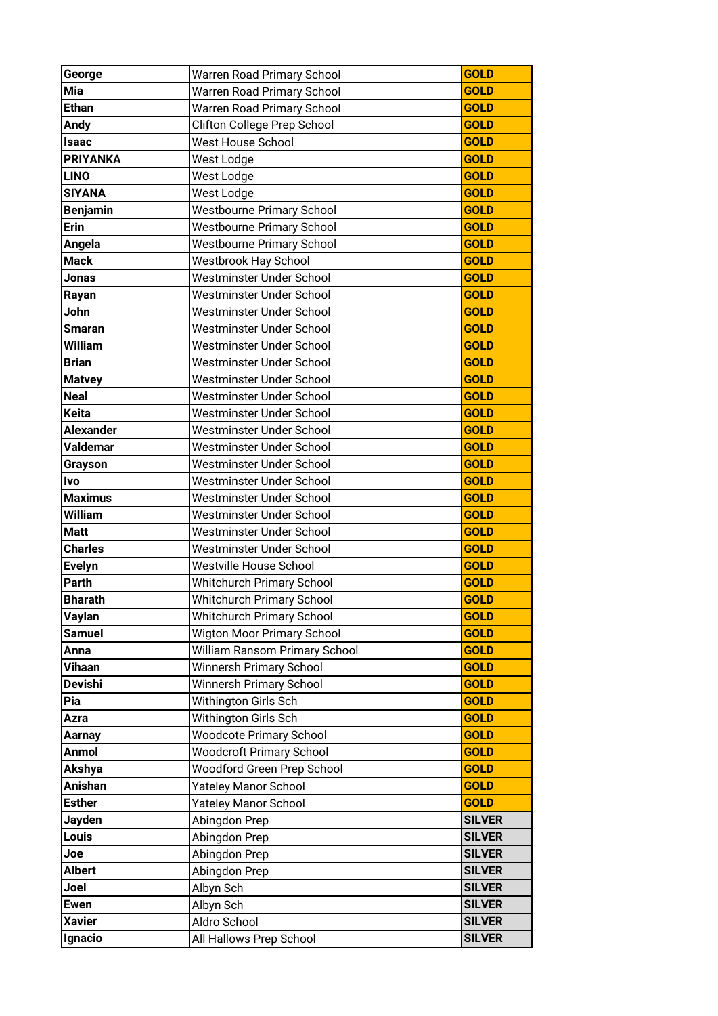| George                      | Warren Road Primary School                           | <b>GOLD</b>                |
|-----------------------------|------------------------------------------------------|----------------------------|
| Mia                         | Warren Road Primary School                           | <b>GOLD</b>                |
| <b>Ethan</b>                | Warren Road Primary School                           | <b>GOLD</b>                |
| <b>Andy</b>                 | Clifton College Prep School                          | <b>GOLD</b>                |
| <b>Isaac</b>                | <b>West House School</b>                             | <b>GOLD</b>                |
| <b>PRIYANKA</b>             | West Lodge                                           | <b>GOLD</b>                |
| <b>LINO</b>                 | West Lodge                                           | <b>GOLD</b>                |
| <b>SIYANA</b>               | West Lodge                                           | <b>GOLD</b>                |
| <b>Benjamin</b>             | <b>Westbourne Primary School</b>                     | <b>GOLD</b>                |
| <b>Erin</b>                 | <b>Westbourne Primary School</b>                     | <b>GOLD</b>                |
| Angela                      | <b>Westbourne Primary School</b>                     | <b>GOLD</b>                |
| <b>Mack</b>                 | <b>Westbrook Hay School</b>                          | <b>GOLD</b>                |
| Jonas                       | Westminster Under School                             | <b>GOLD</b>                |
|                             | Westminster Under School                             | <b>GOLD</b>                |
| Rayan<br>John               | Westminster Under School                             | <b>GOLD</b>                |
|                             |                                                      | <b>GOLD</b>                |
| <b>Smaran</b>               | Westminster Under School                             | <b>GOLD</b>                |
| William                     | Westminster Under School                             |                            |
| <b>Brian</b>                | Westminster Under School<br>Westminster Under School | <b>GOLD</b><br><b>GOLD</b> |
| <b>Matvey</b>               |                                                      |                            |
| <b>Neal</b><br><b>Keita</b> | Westminster Under School                             | <b>GOLD</b>                |
|                             | Westminster Under School                             | <b>GOLD</b>                |
| <b>Alexander</b>            | Westminster Under School                             | <b>GOLD</b>                |
| <b>Valdemar</b>             | Westminster Under School                             | <b>GOLD</b>                |
| Grayson                     | Westminster Under School                             | <b>GOLD</b>                |
| <b>Ivo</b>                  | Westminster Under School                             | <b>GOLD</b>                |
| <b>Maximus</b>              | Westminster Under School                             | <b>GOLD</b>                |
| <b>William</b>              | Westminster Under School                             | <b>GOLD</b>                |
| <b>Matt</b>                 | Westminster Under School                             | <b>GOLD</b>                |
| <b>Charles</b>              | Westminster Under School                             | <b>GOLD</b>                |
| <b>Evelyn</b>               | <b>Westville House School</b>                        | <b>GOLD</b>                |
| Parth                       | Whitchurch Primary School                            | <b>GOLD</b>                |
| <b>Bharath</b>              | <b>Whitchurch Primary School</b>                     | <b>GOLD</b>                |
| <b>Vaylan</b>               | Whitchurch Primary School                            | <b>GOLD</b>                |
| <b>Samuel</b>               | <b>Wigton Moor Primary School</b>                    | <b>GOLD</b>                |
| Anna                        | William Ransom Primary School                        | <b>GOLD</b>                |
| Vihaan                      | Winnersh Primary School                              | <b>GOLD</b>                |
| <b>Devishi</b>              | <b>Winnersh Primary School</b>                       | <b>GOLD</b>                |
| Pia                         | Withington Girls Sch                                 | <b>GOLD</b>                |
| Azra                        | Withington Girls Sch                                 | <b>GOLD</b>                |
| Aarnay                      | <b>Woodcote Primary School</b>                       | <b>GOLD</b>                |
| <b>Anmol</b>                | <b>Woodcroft Primary School</b>                      | <b>GOLD</b>                |
| Akshya                      | Woodford Green Prep School                           | <b>GOLD</b>                |
| <b>Anishan</b>              | Yateley Manor School                                 | <b>GOLD</b>                |
| <b>Esther</b>               | <b>Yateley Manor School</b>                          | <b>GOLD</b>                |
| Jayden                      | Abingdon Prep                                        | <b>SILVER</b>              |
| Louis                       | Abingdon Prep                                        | <b>SILVER</b>              |
| Joe                         | Abingdon Prep                                        | <b>SILVER</b>              |
| <b>Albert</b>               | Abingdon Prep                                        | <b>SILVER</b>              |
| Joel                        | Albyn Sch                                            | <b>SILVER</b>              |
| <b>Ewen</b>                 | Albyn Sch                                            | <b>SILVER</b>              |
| <b>Xavier</b>               | Aldro School                                         | <b>SILVER</b>              |
| Ignacio                     | All Hallows Prep School                              | <b>SILVER</b>              |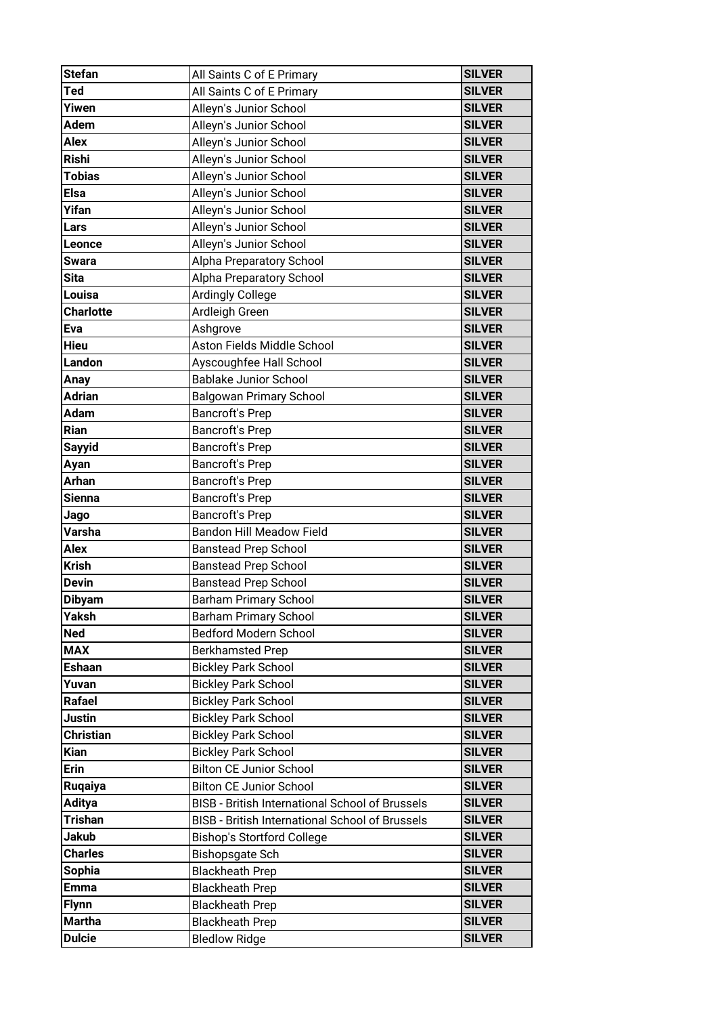| <b>Stefan</b>    | All Saints C of E Primary                              | <b>SILVER</b> |
|------------------|--------------------------------------------------------|---------------|
| Ted              | All Saints C of E Primary                              | <b>SILVER</b> |
| Yiwen            | Alleyn's Junior School                                 | <b>SILVER</b> |
| <b>Adem</b>      | Alleyn's Junior School                                 | <b>SILVER</b> |
| <b>Alex</b>      | Alleyn's Junior School                                 | <b>SILVER</b> |
| <b>Rishi</b>     | Alleyn's Junior School                                 | <b>SILVER</b> |
| <b>Tobias</b>    | Alleyn's Junior School                                 | <b>SILVER</b> |
| <b>Elsa</b>      | Alleyn's Junior School                                 | <b>SILVER</b> |
| Yifan            | Alleyn's Junior School                                 | <b>SILVER</b> |
| Lars             | Alleyn's Junior School                                 | <b>SILVER</b> |
| Leonce           | Alleyn's Junior School                                 | <b>SILVER</b> |
| <b>Swara</b>     | Alpha Preparatory School                               | <b>SILVER</b> |
| <b>Sita</b>      | Alpha Preparatory School                               | <b>SILVER</b> |
| Louisa           | <b>Ardingly College</b>                                | <b>SILVER</b> |
| <b>Charlotte</b> | Ardleigh Green                                         | <b>SILVER</b> |
| Eva              | Ashgrove                                               | <b>SILVER</b> |
| <b>Hieu</b>      | Aston Fields Middle School                             | <b>SILVER</b> |
| Landon           | Ayscoughfee Hall School                                | <b>SILVER</b> |
| Anay             | <b>Bablake Junior School</b>                           | <b>SILVER</b> |
| <b>Adrian</b>    | <b>Balgowan Primary School</b>                         | <b>SILVER</b> |
| <b>Adam</b>      | <b>Bancroft's Prep</b>                                 | <b>SILVER</b> |
| Rian             | <b>Bancroft's Prep</b>                                 | <b>SILVER</b> |
| <b>Sayyid</b>    | <b>Bancroft's Prep</b>                                 | <b>SILVER</b> |
| Ayan             | <b>Bancroft's Prep</b>                                 | <b>SILVER</b> |
| <b>Arhan</b>     | <b>Bancroft's Prep</b>                                 | <b>SILVER</b> |
| <b>Sienna</b>    | <b>Bancroft's Prep</b>                                 | <b>SILVER</b> |
| Jago             | <b>Bancroft's Prep</b>                                 | <b>SILVER</b> |
| Varsha           | <b>Bandon Hill Meadow Field</b>                        | <b>SILVER</b> |
| <b>Alex</b>      | <b>Banstead Prep School</b>                            | <b>SILVER</b> |
| <b>Krish</b>     | <b>Banstead Prep School</b>                            | <b>SILVER</b> |
| <b>Devin</b>     | <b>Banstead Prep School</b>                            | <b>SILVER</b> |
| <b>Dibyam</b>    | <b>Barham Primary School</b>                           | <b>SILVER</b> |
| Yaksh            | <b>Barham Primary School</b>                           | <b>SILVER</b> |
| <b>Ned</b>       | Bedford Modern School                                  | <b>SILVER</b> |
| <b>MAX</b>       | <b>Berkhamsted Prep</b>                                | <b>SILVER</b> |
| <b>Eshaan</b>    | <b>Bickley Park School</b>                             | <b>SILVER</b> |
| Yuvan            | <b>Bickley Park School</b>                             | <b>SILVER</b> |
| <b>Rafael</b>    | <b>Bickley Park School</b>                             | <b>SILVER</b> |
| Justin           | <b>Bickley Park School</b>                             | <b>SILVER</b> |
| <b>Christian</b> | <b>Bickley Park School</b>                             | <b>SILVER</b> |
| <b>Kian</b>      | <b>Bickley Park School</b>                             | <b>SILVER</b> |
| <b>Erin</b>      | <b>Bilton CE Junior School</b>                         | <b>SILVER</b> |
| Ruqaiya          | <b>Bilton CE Junior School</b>                         | <b>SILVER</b> |
| <b>Aditya</b>    | <b>BISB - British International School of Brussels</b> | <b>SILVER</b> |
| <b>Trishan</b>   | <b>BISB - British International School of Brussels</b> | <b>SILVER</b> |
| <b>Jakub</b>     | <b>Bishop's Stortford College</b>                      | <b>SILVER</b> |
| <b>Charles</b>   | <b>Bishopsgate Sch</b>                                 | <b>SILVER</b> |
| <b>Sophia</b>    | <b>Blackheath Prep</b>                                 | <b>SILVER</b> |
| <b>Emma</b>      | <b>Blackheath Prep</b>                                 | <b>SILVER</b> |
| <b>Flynn</b>     | <b>Blackheath Prep</b>                                 | <b>SILVER</b> |
| <b>Martha</b>    | <b>Blackheath Prep</b>                                 | <b>SILVER</b> |
| <b>Dulcie</b>    | <b>Bledlow Ridge</b>                                   | <b>SILVER</b> |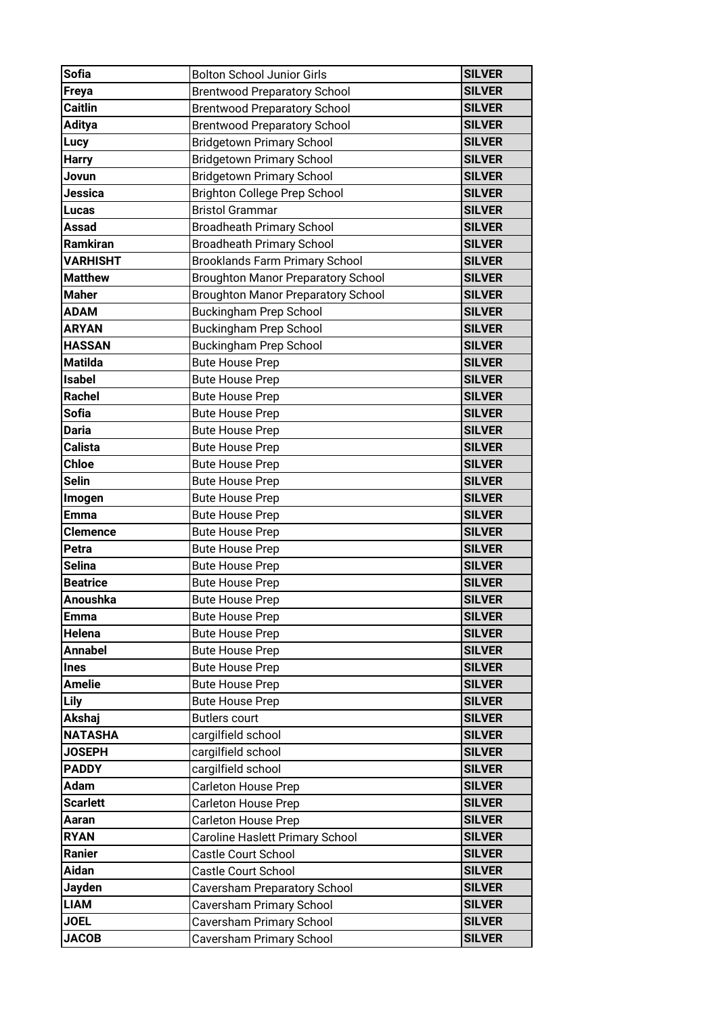| <b>Sofia</b>    | <b>Bolton School Junior Girls</b>         | <b>SILVER</b> |
|-----------------|-------------------------------------------|---------------|
| Freya           | <b>Brentwood Preparatory School</b>       | <b>SILVER</b> |
| <b>Caitlin</b>  | <b>Brentwood Preparatory School</b>       | <b>SILVER</b> |
| <b>Aditya</b>   | <b>Brentwood Preparatory School</b>       | <b>SILVER</b> |
| Lucy            | <b>Bridgetown Primary School</b>          | <b>SILVER</b> |
| <b>Harry</b>    | <b>Bridgetown Primary School</b>          | <b>SILVER</b> |
| Jovun           | <b>Bridgetown Primary School</b>          | <b>SILVER</b> |
| Jessica         | <b>Brighton College Prep School</b>       | <b>SILVER</b> |
| <b>Lucas</b>    | <b>Bristol Grammar</b>                    | <b>SILVER</b> |
| Assad           | <b>Broadheath Primary School</b>          | <b>SILVER</b> |
| Ramkiran        | <b>Broadheath Primary School</b>          | <b>SILVER</b> |
| <b>VARHISHT</b> | <b>Brooklands Farm Primary School</b>     | <b>SILVER</b> |
| <b>Matthew</b>  | <b>Broughton Manor Preparatory School</b> | <b>SILVER</b> |
| <b>Maher</b>    | <b>Broughton Manor Preparatory School</b> | <b>SILVER</b> |
| <b>ADAM</b>     | <b>Buckingham Prep School</b>             | <b>SILVER</b> |
| <b>ARYAN</b>    | <b>Buckingham Prep School</b>             | <b>SILVER</b> |
| <b>HASSAN</b>   | <b>Buckingham Prep School</b>             | <b>SILVER</b> |
| <b>Matilda</b>  | <b>Bute House Prep</b>                    | <b>SILVER</b> |
| <b>Isabel</b>   | <b>Bute House Prep</b>                    | <b>SILVER</b> |
| <b>Rachel</b>   | <b>Bute House Prep</b>                    | <b>SILVER</b> |
| <b>Sofia</b>    | <b>Bute House Prep</b>                    | <b>SILVER</b> |
| <b>Daria</b>    | <b>Bute House Prep</b>                    | <b>SILVER</b> |
| Calista         | <b>Bute House Prep</b>                    | <b>SILVER</b> |
| <b>Chloe</b>    | <b>Bute House Prep</b>                    | <b>SILVER</b> |
| <b>Selin</b>    | <b>Bute House Prep</b>                    | <b>SILVER</b> |
| Imogen          | <b>Bute House Prep</b>                    | <b>SILVER</b> |
| <b>Emma</b>     | <b>Bute House Prep</b>                    | <b>SILVER</b> |
| <b>Clemence</b> | <b>Bute House Prep</b>                    | <b>SILVER</b> |
| Petra           | <b>Bute House Prep</b>                    | <b>SILVER</b> |
| Selina          | <b>Bute House Prep</b>                    | <b>SILVER</b> |
| <b>Beatrice</b> | <b>Bute House Prep</b>                    | <b>SILVER</b> |
| Anoushka        | <b>Bute House Prep</b>                    | <b>SILVER</b> |
| <b>Emma</b>     | <b>Bute House Prep</b>                    | <b>SILVER</b> |
| Helena          | <b>Bute House Prep</b>                    | <b>SILVER</b> |
| <b>Annabel</b>  | <b>Bute House Prep</b>                    | <b>SILVER</b> |
| <b>Ines</b>     | <b>Bute House Prep</b>                    | <b>SILVER</b> |
| <b>Amelie</b>   | <b>Bute House Prep</b>                    | <b>SILVER</b> |
| <b>Lily</b>     | <b>Bute House Prep</b>                    | <b>SILVER</b> |
| Akshaj          | <b>Butlers court</b>                      | <b>SILVER</b> |
| <b>NATASHA</b>  | cargilfield school                        | <b>SILVER</b> |
| <b>JOSEPH</b>   | cargilfield school                        | <b>SILVER</b> |
| <b>PADDY</b>    | cargilfield school                        | <b>SILVER</b> |
| Adam            | Carleton House Prep                       | <b>SILVER</b> |
| <b>Scarlett</b> | <b>Carleton House Prep</b>                | <b>SILVER</b> |
| Aaran           | Carleton House Prep                       | <b>SILVER</b> |
| <b>RYAN</b>     | Caroline Haslett Primary School           | <b>SILVER</b> |
| Ranier          | Castle Court School                       | <b>SILVER</b> |
| <b>Aidan</b>    | Castle Court School                       | <b>SILVER</b> |
| <b>Jayden</b>   | Caversham Preparatory School              | <b>SILVER</b> |
| <b>LIAM</b>     | Caversham Primary School                  | <b>SILVER</b> |
| <b>JOEL</b>     | Caversham Primary School                  | <b>SILVER</b> |
| <b>JACOB</b>    | Caversham Primary School                  | <b>SILVER</b> |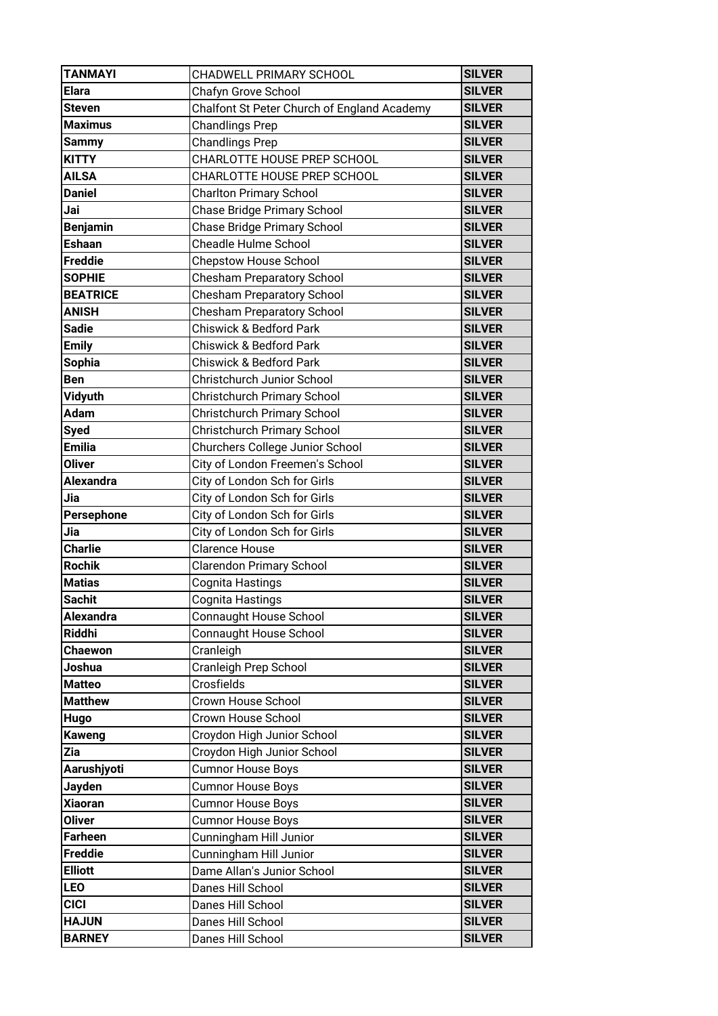| <b>TANMAYI</b>   | CHADWELL PRIMARY SCHOOL                     | <b>SILVER</b> |
|------------------|---------------------------------------------|---------------|
| <b>Elara</b>     | Chafyn Grove School                         | <b>SILVER</b> |
| Steven           | Chalfont St Peter Church of England Academy | <b>SILVER</b> |
| <b>Maximus</b>   | <b>Chandlings Prep</b>                      | <b>SILVER</b> |
| <b>Sammy</b>     | <b>Chandlings Prep</b>                      | <b>SILVER</b> |
| <b>KITTY</b>     | CHARLOTTE HOUSE PREP SCHOOL                 | <b>SILVER</b> |
| <b>AILSA</b>     | CHARLOTTE HOUSE PREP SCHOOL                 | <b>SILVER</b> |
| <b>Daniel</b>    | <b>Charlton Primary School</b>              | <b>SILVER</b> |
| Jai              | <b>Chase Bridge Primary School</b>          | <b>SILVER</b> |
| <b>Benjamin</b>  | Chase Bridge Primary School                 | <b>SILVER</b> |
| <b>Eshaan</b>    | <b>Cheadle Hulme School</b>                 | <b>SILVER</b> |
| <b>Freddie</b>   | <b>Chepstow House School</b>                | <b>SILVER</b> |
| <b>SOPHIE</b>    | <b>Chesham Preparatory School</b>           | <b>SILVER</b> |
| <b>BEATRICE</b>  | <b>Chesham Preparatory School</b>           | <b>SILVER</b> |
| <b>ANISH</b>     | <b>Chesham Preparatory School</b>           | <b>SILVER</b> |
| <b>Sadie</b>     | <b>Chiswick &amp; Bedford Park</b>          | <b>SILVER</b> |
| <b>Emily</b>     | <b>Chiswick &amp; Bedford Park</b>          | <b>SILVER</b> |
| <b>Sophia</b>    | <b>Chiswick &amp; Bedford Park</b>          | <b>SILVER</b> |
| <b>Ben</b>       | Christchurch Junior School                  | <b>SILVER</b> |
| Vidyuth          | Christchurch Primary School                 | <b>SILVER</b> |
| Adam             | <b>Christchurch Primary School</b>          | <b>SILVER</b> |
| <b>Syed</b>      | Christchurch Primary School                 | <b>SILVER</b> |
| <b>Emilia</b>    | Churchers College Junior School             | <b>SILVER</b> |
| <b>Oliver</b>    | City of London Freemen's School             | <b>SILVER</b> |
| <b>Alexandra</b> | City of London Sch for Girls                | <b>SILVER</b> |
| Jia              | City of London Sch for Girls                | <b>SILVER</b> |
| Persephone       | City of London Sch for Girls                | <b>SILVER</b> |
| Jia              | City of London Sch for Girls                | <b>SILVER</b> |
| <b>Charlie</b>   | <b>Clarence House</b>                       | <b>SILVER</b> |
| <b>Rochik</b>    | <b>Clarendon Primary School</b>             | <b>SILVER</b> |
| <b>Matias</b>    | Cognita Hastings                            | <b>SILVER</b> |
| <b>Sachit</b>    | Cognita Hastings                            | <b>SILVER</b> |
| <b>Alexandra</b> | <b>Connaught House School</b>               | <b>SILVER</b> |
| <b>Riddhi</b>    | <b>Connaught House School</b>               | <b>SILVER</b> |
| <b>Chaewon</b>   | Cranleigh                                   | <b>SILVER</b> |
| Joshua           | Cranleigh Prep School                       | <b>SILVER</b> |
| <b>Matteo</b>    | Crosfields                                  | <b>SILVER</b> |
| <b>Matthew</b>   | Crown House School                          | <b>SILVER</b> |
| <b>Hugo</b>      | Crown House School                          | <b>SILVER</b> |
| <b>Kaweng</b>    | Croydon High Junior School                  | <b>SILVER</b> |
| Zia              | Croydon High Junior School                  | <b>SILVER</b> |
| Aarushjyoti      | <b>Cumnor House Boys</b>                    | <b>SILVER</b> |
| <b>Jayden</b>    | <b>Cumnor House Boys</b>                    | <b>SILVER</b> |
| <b>Xiaoran</b>   | <b>Cumnor House Boys</b>                    | <b>SILVER</b> |
| <b>Oliver</b>    | <b>Cumnor House Boys</b>                    | <b>SILVER</b> |
| <b>Farheen</b>   | Cunningham Hill Junior                      | <b>SILVER</b> |
| <b>Freddie</b>   | Cunningham Hill Junior                      | <b>SILVER</b> |
| <b>Elliott</b>   | Dame Allan's Junior School                  | <b>SILVER</b> |
| <b>LEO</b>       | Danes Hill School                           | <b>SILVER</b> |
| <b>CICI</b>      | Danes Hill School                           | <b>SILVER</b> |
| <b>HAJUN</b>     | Danes Hill School                           | <b>SILVER</b> |
| <b>BARNEY</b>    | Danes Hill School                           | <b>SILVER</b> |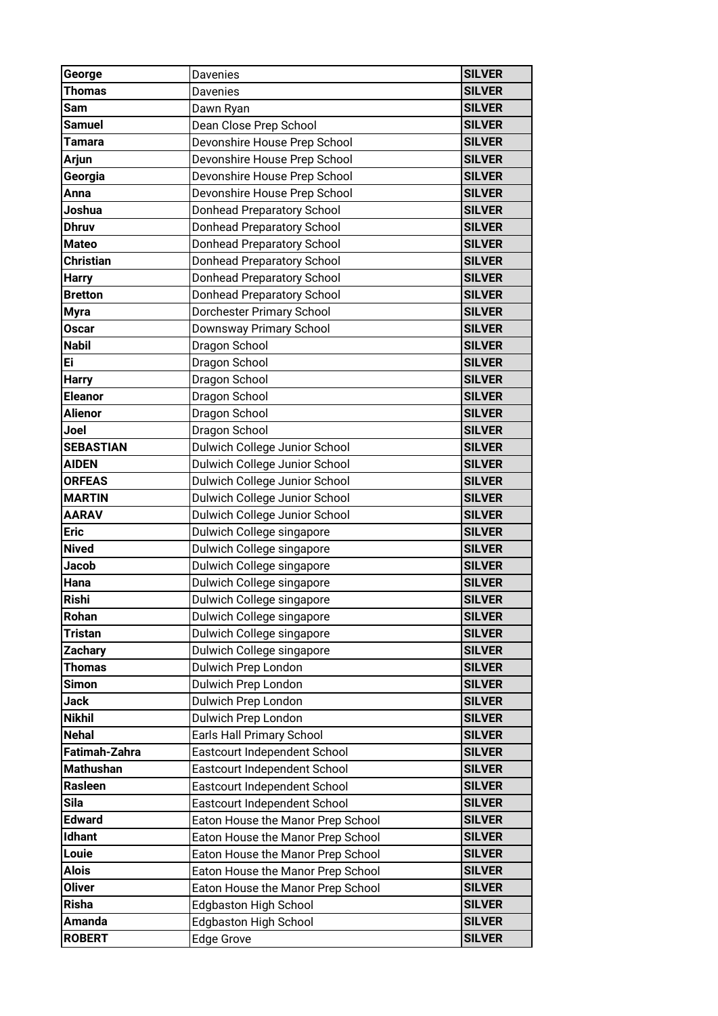| George           | Davenies                          | <b>SILVER</b> |
|------------------|-----------------------------------|---------------|
| Thomas           | Davenies                          | <b>SILVER</b> |
| Sam              | Dawn Ryan                         | <b>SILVER</b> |
| <b>Samuel</b>    | Dean Close Prep School            | <b>SILVER</b> |
| <b>Tamara</b>    | Devonshire House Prep School      | <b>SILVER</b> |
| <b>Arjun</b>     | Devonshire House Prep School      | <b>SILVER</b> |
| Georgia          | Devonshire House Prep School      | <b>SILVER</b> |
| Anna             | Devonshire House Prep School      | <b>SILVER</b> |
| Joshua           | Donhead Preparatory School        | <b>SILVER</b> |
| <b>Dhruv</b>     | <b>Donhead Preparatory School</b> | <b>SILVER</b> |
| <b>Mateo</b>     | Donhead Preparatory School        | <b>SILVER</b> |
| Christian        | Donhead Preparatory School        | <b>SILVER</b> |
| <b>Harry</b>     | <b>Donhead Preparatory School</b> | <b>SILVER</b> |
| <b>Bretton</b>   | Donhead Preparatory School        | <b>SILVER</b> |
| <b>Myra</b>      | Dorchester Primary School         | <b>SILVER</b> |
| <b>Oscar</b>     | Downsway Primary School           | <b>SILVER</b> |
| <b>Nabil</b>     | Dragon School                     | <b>SILVER</b> |
| Ei               | Dragon School                     | <b>SILVER</b> |
| <b>Harry</b>     | Dragon School                     | <b>SILVER</b> |
| <b>Eleanor</b>   | Dragon School                     | <b>SILVER</b> |
| <b>Alienor</b>   | Dragon School                     | <b>SILVER</b> |
| Joel             | Dragon School                     | <b>SILVER</b> |
| <b>SEBASTIAN</b> | Dulwich College Junior School     | <b>SILVER</b> |
| <b>AIDEN</b>     | Dulwich College Junior School     | <b>SILVER</b> |
| <b>ORFEAS</b>    | Dulwich College Junior School     | <b>SILVER</b> |
| <b>MARTIN</b>    | Dulwich College Junior School     | <b>SILVER</b> |
| <b>AARAV</b>     | Dulwich College Junior School     | <b>SILVER</b> |
| <b>Eric</b>      | Dulwich College singapore         | <b>SILVER</b> |
| <b>Nived</b>     | Dulwich College singapore         | <b>SILVER</b> |
| Jacob            | Dulwich College singapore         | <b>SILVER</b> |
| Hana             | Dulwich College singapore         | <b>SILVER</b> |
| <b>Rishi</b>     | Dulwich College singapore         | <b>SILVER</b> |
| Rohan            | Dulwich College singapore         | <b>SILVER</b> |
| Tristan          | Dulwich College singapore         | <b>SILVER</b> |
| <b>Zachary</b>   | Dulwich College singapore         | <b>SILVER</b> |
| Thomas           | Dulwich Prep London               | <b>SILVER</b> |
| Simon            | Dulwich Prep London               | <b>SILVER</b> |
| Jack             | Dulwich Prep London               | <b>SILVER</b> |
| <b>Nikhil</b>    | Dulwich Prep London               | <b>SILVER</b> |
| <b>Nehal</b>     | Earls Hall Primary School         | <b>SILVER</b> |
| Fatimah-Zahra    | Eastcourt Independent School      | <b>SILVER</b> |
| <b>Mathushan</b> | Eastcourt Independent School      | <b>SILVER</b> |
| Rasleen          | Eastcourt Independent School      | <b>SILVER</b> |
| Sila             | Eastcourt Independent School      | <b>SILVER</b> |
| <b>Edward</b>    | Eaton House the Manor Prep School | <b>SILVER</b> |
| <b>Idhant</b>    | Eaton House the Manor Prep School | <b>SILVER</b> |
| Louie            | Eaton House the Manor Prep School | <b>SILVER</b> |
| Alois            | Eaton House the Manor Prep School | <b>SILVER</b> |
| <b>Oliver</b>    | Eaton House the Manor Prep School | <b>SILVER</b> |
| <b>Risha</b>     | <b>Edgbaston High School</b>      | <b>SILVER</b> |
| Amanda           | <b>Edgbaston High School</b>      | <b>SILVER</b> |
| <b>ROBERT</b>    | <b>Edge Grove</b>                 | <b>SILVER</b> |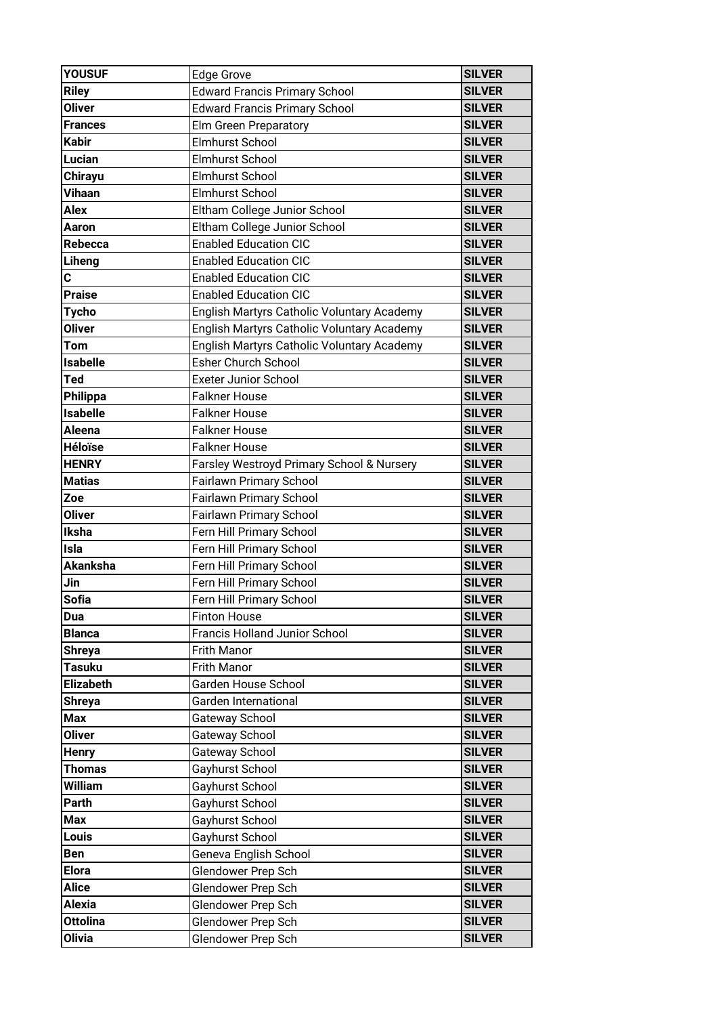| <b>YOUSUF</b>    | <b>Edge Grove</b>                          | <b>SILVER</b> |
|------------------|--------------------------------------------|---------------|
| <b>Riley</b>     | <b>Edward Francis Primary School</b>       | <b>SILVER</b> |
| <b>Oliver</b>    | <b>Edward Francis Primary School</b>       | <b>SILVER</b> |
| <b>Frances</b>   | Elm Green Preparatory                      | <b>SILVER</b> |
| <b>Kabir</b>     | <b>Elmhurst School</b>                     | <b>SILVER</b> |
| Lucian           | <b>Elmhurst School</b>                     | <b>SILVER</b> |
| <b>Chirayu</b>   | <b>Elmhurst School</b>                     | <b>SILVER</b> |
| <b>Vihaan</b>    | <b>Elmhurst School</b>                     | <b>SILVER</b> |
| Alex             | Eltham College Junior School               | <b>SILVER</b> |
| Aaron            | Eltham College Junior School               | <b>SILVER</b> |
| Rebecca          | <b>Enabled Education CIC</b>               | <b>SILVER</b> |
| Liheng           | <b>Enabled Education CIC</b>               | <b>SILVER</b> |
| C                | <b>Enabled Education CIC</b>               | <b>SILVER</b> |
| <b>Praise</b>    | <b>Enabled Education CIC</b>               | <b>SILVER</b> |
| <b>Tycho</b>     | English Martyrs Catholic Voluntary Academy | <b>SILVER</b> |
| <b>Oliver</b>    | English Martyrs Catholic Voluntary Academy | <b>SILVER</b> |
| Tom              | English Martyrs Catholic Voluntary Academy | <b>SILVER</b> |
| <b>Isabelle</b>  | <b>Esher Church School</b>                 | <b>SILVER</b> |
| Ted              | <b>Exeter Junior School</b>                | <b>SILVER</b> |
| Philippa         | <b>Falkner House</b>                       | <b>SILVER</b> |
| <b>Isabelle</b>  | <b>Falkner House</b>                       | <b>SILVER</b> |
| Aleena           | <b>Falkner House</b>                       | <b>SILVER</b> |
| <b>Héloïse</b>   | <b>Falkner House</b>                       | <b>SILVER</b> |
| <b>HENRY</b>     | Farsley Westroyd Primary School & Nursery  | <b>SILVER</b> |
| <b>Matias</b>    | Fairlawn Primary School                    | <b>SILVER</b> |
| Zoe              | Fairlawn Primary School                    | <b>SILVER</b> |
| <b>Oliver</b>    | Fairlawn Primary School                    | <b>SILVER</b> |
| Iksha            | Fern Hill Primary School                   | <b>SILVER</b> |
| Isla             | Fern Hill Primary School                   | <b>SILVER</b> |
| <b>Akanksha</b>  | Fern Hill Primary School                   | <b>SILVER</b> |
| Jin              | Fern Hill Primary School                   | <b>SILVER</b> |
| <b>Sofia</b>     | Fern Hill Primary School                   | <b>SILVER</b> |
| Dua              | <b>Finton House</b>                        | <b>SILVER</b> |
| <b>Blanca</b>    | Francis Holland Junior School              | <b>SILVER</b> |
| <b>Shreya</b>    | Frith Manor                                | <b>SILVER</b> |
| Tasuku           | Frith Manor                                | <b>SILVER</b> |
| <b>Elizabeth</b> | Garden House School                        | <b>SILVER</b> |
| Shreya           | Garden International                       | <b>SILVER</b> |
| Max              | Gateway School                             | <b>SILVER</b> |
| <b>Oliver</b>    | Gateway School                             | <b>SILVER</b> |
| <b>Henry</b>     | Gateway School                             | <b>SILVER</b> |
| <b>Thomas</b>    | Gayhurst School                            | <b>SILVER</b> |
| William          | Gayhurst School                            | <b>SILVER</b> |
| Parth            | Gayhurst School                            | <b>SILVER</b> |
| Max              | Gayhurst School                            | <b>SILVER</b> |
| Louis            | Gayhurst School                            | <b>SILVER</b> |
| Ben              | Geneva English School                      | <b>SILVER</b> |
| <b>Elora</b>     | Glendower Prep Sch                         | <b>SILVER</b> |
| <b>Alice</b>     | Glendower Prep Sch                         | <b>SILVER</b> |
| <b>Alexia</b>    | Glendower Prep Sch                         | <b>SILVER</b> |
| <b>Ottolina</b>  | Glendower Prep Sch                         | <b>SILVER</b> |
| <b>Olivia</b>    | Glendower Prep Sch                         | <b>SILVER</b> |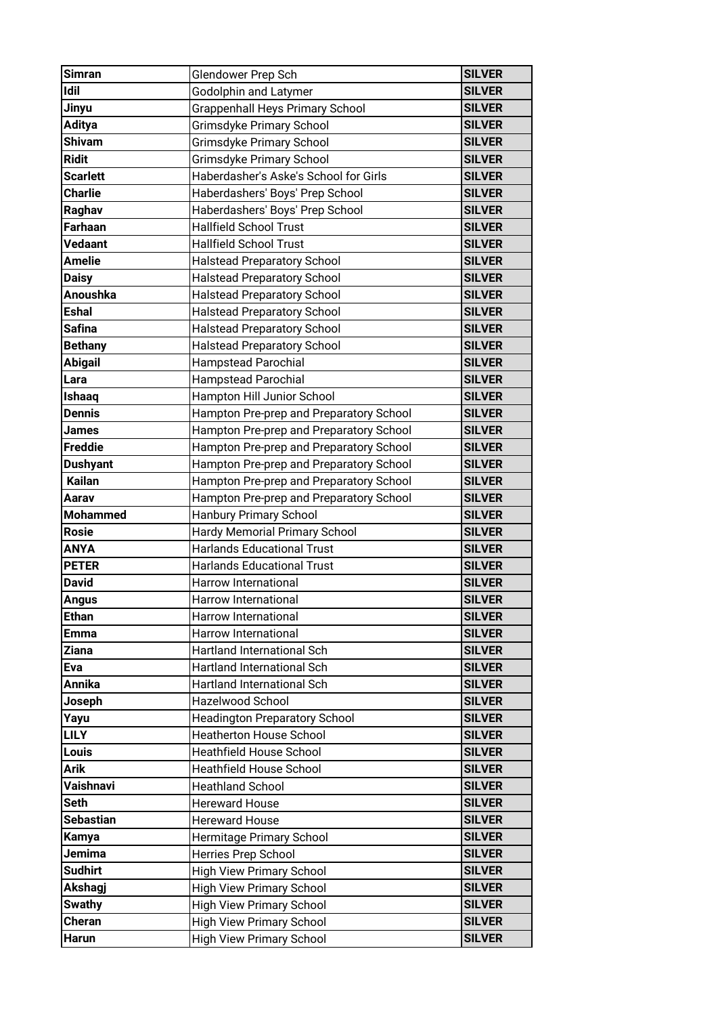| <b>Simran</b>    | Glendower Prep Sch                      | <b>SILVER</b>                  |
|------------------|-----------------------------------------|--------------------------------|
| <b>Idil</b>      | <b>Godolphin and Latymer</b>            | <b>SILVER</b>                  |
| Jinyu            | <b>Grappenhall Heys Primary School</b>  | <b>SILVER</b>                  |
| <b>Aditya</b>    | Grimsdyke Primary School                | <b>SILVER</b>                  |
| <b>Shivam</b>    | Grimsdyke Primary School                | <b>SILVER</b>                  |
| <b>Ridit</b>     | Grimsdyke Primary School                | <b>SILVER</b>                  |
| <b>Scarlett</b>  | Haberdasher's Aske's School for Girls   | <b>SILVER</b>                  |
| <b>Charlie</b>   | Haberdashers' Boys' Prep School         | <b>SILVER</b>                  |
| Raghav           | Haberdashers' Boys' Prep School         | <b>SILVER</b>                  |
| <b>Farhaan</b>   | <b>Hallfield School Trust</b>           | <b>SILVER</b>                  |
| Vedaant          | <b>Hallfield School Trust</b>           | <b>SILVER</b>                  |
| <b>Amelie</b>    | <b>Halstead Preparatory School</b>      | <b>SILVER</b>                  |
| <b>Daisy</b>     | <b>Halstead Preparatory School</b>      | <b>SILVER</b>                  |
| <b>Anoushka</b>  | <b>Halstead Preparatory School</b>      | <b>SILVER</b>                  |
| <b>Eshal</b>     | <b>Halstead Preparatory School</b>      | <b>SILVER</b>                  |
| <b>Safina</b>    | <b>Halstead Preparatory School</b>      | <b>SILVER</b>                  |
| <b>Bethany</b>   | <b>Halstead Preparatory School</b>      | <b>SILVER</b>                  |
| <b>Abigail</b>   | <b>Hampstead Parochial</b>              | <b>SILVER</b>                  |
| Lara             | <b>Hampstead Parochial</b>              | <b>SILVER</b>                  |
| Ishaaq           | Hampton Hill Junior School              | <b>SILVER</b>                  |
| <b>Dennis</b>    | Hampton Pre-prep and Preparatory School | <b>SILVER</b>                  |
| James            | Hampton Pre-prep and Preparatory School | <b>SILVER</b>                  |
| <b>Freddie</b>   | Hampton Pre-prep and Preparatory School | <b>SILVER</b>                  |
| Dushyant         | Hampton Pre-prep and Preparatory School | <b>SILVER</b>                  |
| <b>Kailan</b>    | Hampton Pre-prep and Preparatory School | <b>SILVER</b>                  |
| Aarav            | Hampton Pre-prep and Preparatory School | <b>SILVER</b>                  |
|                  |                                         |                                |
| <b>Mohammed</b>  | Hanbury Primary School                  | <b>SILVER</b>                  |
| <b>Rosie</b>     | Hardy Memorial Primary School           | <b>SILVER</b>                  |
| <b>ANYA</b>      | <b>Harlands Educational Trust</b>       | <b>SILVER</b>                  |
| <b>PETER</b>     | <b>Harlands Educational Trust</b>       | <b>SILVER</b>                  |
| <b>David</b>     | Harrow International                    | <b>SILVER</b>                  |
| <b>Angus</b>     | Harrow International                    | <b>SILVER</b>                  |
| <b>Ethan</b>     | Harrow International                    | <b>SILVER</b>                  |
| Emma             | Harrow International                    | <b>SILVER</b>                  |
| <b>Ziana</b>     | Hartland International Sch              | <b>SILVER</b>                  |
| Eva              | Hartland International Sch              | <b>SILVER</b>                  |
| <b>Annika</b>    | Hartland International Sch              | <b>SILVER</b>                  |
| Joseph           | Hazelwood School                        | <b>SILVER</b>                  |
| Yayu             | <b>Headington Preparatory School</b>    | <b>SILVER</b>                  |
| <b>LILY</b>      | <b>Heatherton House School</b>          | <b>SILVER</b>                  |
| Louis            | <b>Heathfield House School</b>          | <b>SILVER</b>                  |
| Arik             | Heathfield House School                 | <b>SILVER</b>                  |
| Vaishnavi        | <b>Heathland School</b>                 | <b>SILVER</b>                  |
| <b>Seth</b>      | <b>Hereward House</b>                   | <b>SILVER</b>                  |
| <b>Sebastian</b> | <b>Hereward House</b>                   | <b>SILVER</b>                  |
| Kamya            | Hermitage Primary School                | <b>SILVER</b>                  |
| Jemima           | Herries Prep School                     | <b>SILVER</b>                  |
| <b>Sudhirt</b>   | <b>High View Primary School</b>         | <b>SILVER</b>                  |
| Akshagj          | High View Primary School                | <b>SILVER</b>                  |
| <b>Swathy</b>    | <b>High View Primary School</b>         | <b>SILVER</b>                  |
| Cheran           | <b>High View Primary School</b>         | <b>SILVER</b><br><b>SILVER</b> |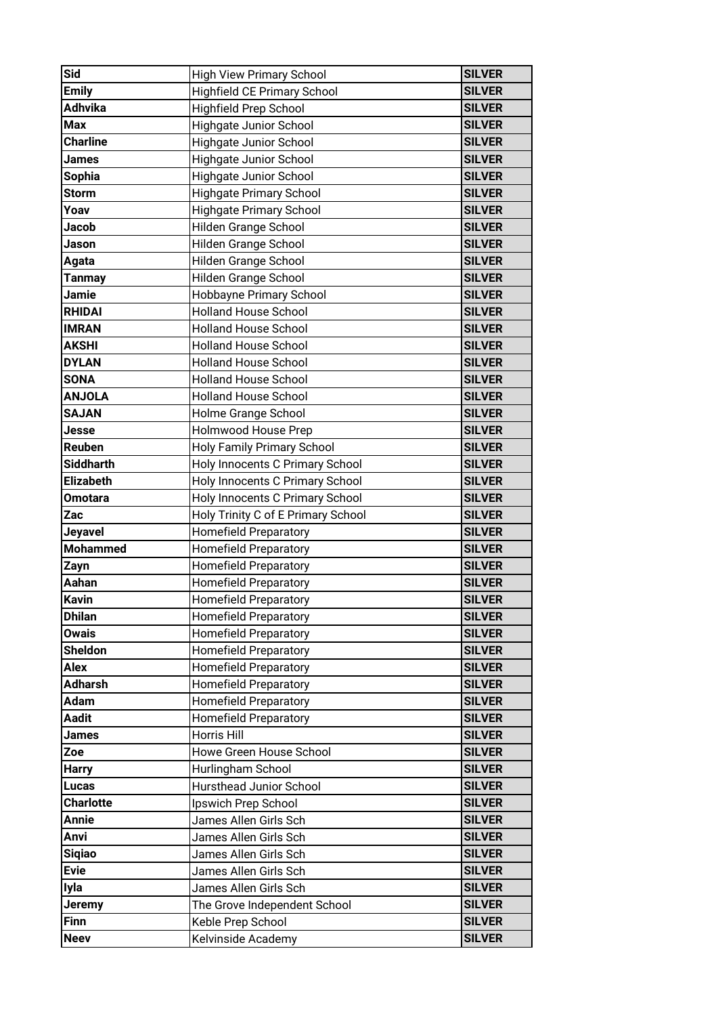| Sid                        | <b>High View Primary School</b>         | <b>SILVER</b>                  |
|----------------------------|-----------------------------------------|--------------------------------|
| <b>Emily</b>               | <b>Highfield CE Primary School</b>      | <b>SILVER</b>                  |
| Adhvika                    | <b>Highfield Prep School</b>            | <b>SILVER</b>                  |
| <b>Max</b>                 | <b>Highgate Junior School</b>           | <b>SILVER</b>                  |
| <b>Charline</b>            | <b>Highgate Junior School</b>           | <b>SILVER</b>                  |
| James                      | Highgate Junior School                  | <b>SILVER</b>                  |
| <b>Sophia</b>              | Highgate Junior School                  | <b>SILVER</b>                  |
| <b>Storm</b>               | <b>Highgate Primary School</b>          | <b>SILVER</b>                  |
| Yoav                       | <b>Highgate Primary School</b>          | <b>SILVER</b>                  |
| Jacob                      | Hilden Grange School                    | <b>SILVER</b>                  |
| Jason                      | Hilden Grange School                    | <b>SILVER</b>                  |
| Agata                      | Hilden Grange School                    | <b>SILVER</b>                  |
| <b>Tanmay</b>              | Hilden Grange School                    | <b>SILVER</b>                  |
| Jamie                      | Hobbayne Primary School                 | <b>SILVER</b>                  |
| <b>RHIDAI</b>              | <b>Holland House School</b>             | <b>SILVER</b>                  |
| <b>IMRAN</b>               | <b>Holland House School</b>             | <b>SILVER</b>                  |
| <b>AKSHI</b>               | <b>Holland House School</b>             | <b>SILVER</b>                  |
| <b>DYLAN</b>               | <b>Holland House School</b>             | <b>SILVER</b>                  |
| <b>SONA</b>                | <b>Holland House School</b>             | <b>SILVER</b>                  |
| <b>ANJOLA</b>              | <b>Holland House School</b>             | <b>SILVER</b>                  |
| <b>SAJAN</b>               | Holme Grange School                     | <b>SILVER</b>                  |
| Jesse                      | <b>Holmwood House Prep</b>              | <b>SILVER</b>                  |
| Reuben                     | <b>Holy Family Primary School</b>       | <b>SILVER</b>                  |
| <b>Siddharth</b>           | Holy Innocents C Primary School         | <b>SILVER</b>                  |
| <b>Elizabeth</b>           | Holy Innocents C Primary School         | <b>SILVER</b>                  |
| <b>Omotara</b>             | Holy Innocents C Primary School         | <b>SILVER</b>                  |
|                            |                                         |                                |
| Zac                        | Holy Trinity C of E Primary School      | <b>SILVER</b>                  |
| Jeyavel                    | <b>Homefield Preparatory</b>            | <b>SILVER</b>                  |
| <b>Mohammed</b>            | <b>Homefield Preparatory</b>            | <b>SILVER</b>                  |
| Zayn                       | <b>Homefield Preparatory</b>            | <b>SILVER</b>                  |
| Aahan                      | <b>Homefield Preparatory</b>            | <b>SILVER</b>                  |
| <b>Kavin</b>               | <b>Homefield Preparatory</b>            | <b>SILVER</b>                  |
| <b>Dhilan</b>              | <b>Homefield Preparatory</b>            | <b>SILVER</b>                  |
| <b>Owais</b>               | <b>Homefield Preparatory</b>            | <b>SILVER</b>                  |
| <b>Sheldon</b>             | <b>Homefield Preparatory</b>            | <b>SILVER</b>                  |
| <b>Alex</b>                | <b>Homefield Preparatory</b>            | <b>SILVER</b>                  |
| <b>Adharsh</b>             | <b>Homefield Preparatory</b>            | <b>SILVER</b>                  |
| <b>Adam</b>                | Homefield Preparatory                   | <b>SILVER</b>                  |
| <b>Aadit</b>               | <b>Homefield Preparatory</b>            | <b>SILVER</b>                  |
| <b>James</b>               | Horris Hill                             | <b>SILVER</b>                  |
| Zoe                        | Howe Green House School                 | <b>SILVER</b>                  |
| <b>Harry</b>               | Hurlingham School                       | <b>SILVER</b>                  |
| <b>Lucas</b>               | <b>Hursthead Junior School</b>          | <b>SILVER</b>                  |
| <b>Charlotte</b>           | Ipswich Prep School                     | <b>SILVER</b>                  |
| <b>Annie</b>               | James Allen Girls Sch                   | <b>SILVER</b>                  |
| Anvi                       | James Allen Girls Sch                   | <b>SILVER</b>                  |
| <b>Siqiao</b>              | James Allen Girls Sch                   | <b>SILVER</b>                  |
| <b>Evie</b>                | James Allen Girls Sch                   | <b>SILVER</b>                  |
| Iyla                       | James Allen Girls Sch                   | <b>SILVER</b>                  |
| <b>Jeremy</b>              | The Grove Independent School            | <b>SILVER</b>                  |
| <b>Finn</b><br><b>Neev</b> | Keble Prep School<br>Kelvinside Academy | <b>SILVER</b><br><b>SILVER</b> |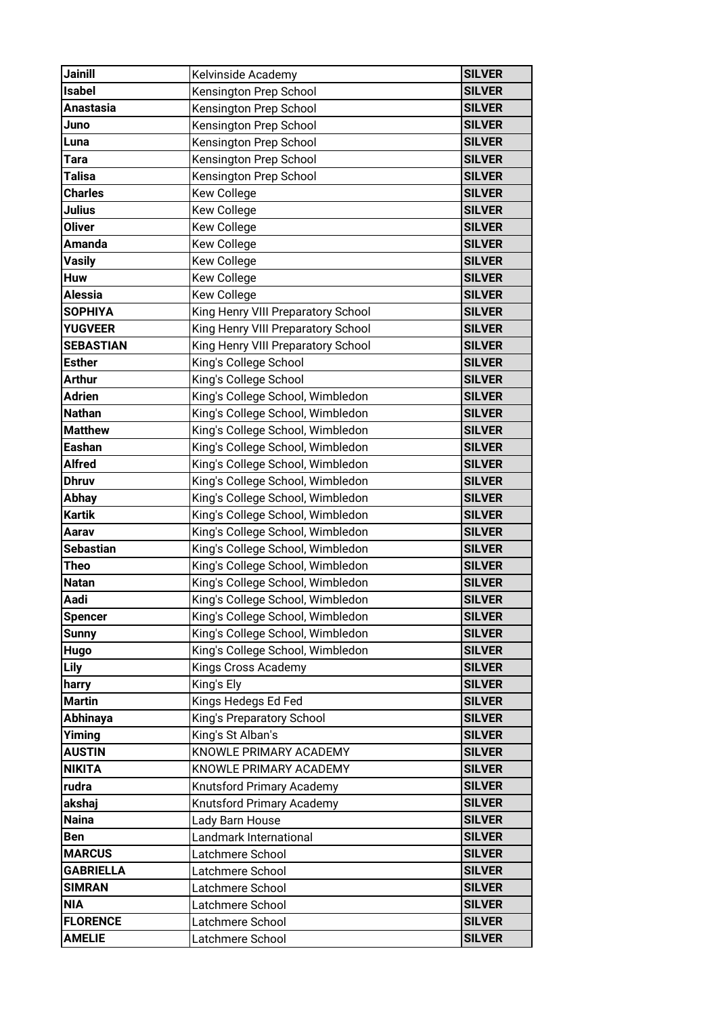| <b>Jainill</b>   | Kelvinside Academy                 | <b>SILVER</b> |
|------------------|------------------------------------|---------------|
| <b>Isabel</b>    | Kensington Prep School             | <b>SILVER</b> |
| Anastasia        | Kensington Prep School             | <b>SILVER</b> |
| Juno             | Kensington Prep School             | <b>SILVER</b> |
| Luna             | Kensington Prep School             | <b>SILVER</b> |
| <b>Tara</b>      | Kensington Prep School             | <b>SILVER</b> |
| Talisa           | Kensington Prep School             | <b>SILVER</b> |
| <b>Charles</b>   | <b>Kew College</b>                 | <b>SILVER</b> |
| Julius           | Kew College                        | <b>SILVER</b> |
| <b>Oliver</b>    | <b>Kew College</b>                 | <b>SILVER</b> |
| <b>Amanda</b>    | <b>Kew College</b>                 | <b>SILVER</b> |
| <b>Vasily</b>    | Kew College                        | <b>SILVER</b> |
| <b>Huw</b>       | <b>Kew College</b>                 | <b>SILVER</b> |
| <b>Alessia</b>   | <b>Kew College</b>                 | <b>SILVER</b> |
| <b>SOPHIYA</b>   | King Henry VIII Preparatory School | <b>SILVER</b> |
| <b>YUGVEER</b>   | King Henry VIII Preparatory School | <b>SILVER</b> |
| <b>SEBASTIAN</b> | King Henry VIII Preparatory School | <b>SILVER</b> |
| <b>Esther</b>    | King's College School              | <b>SILVER</b> |
| <b>Arthur</b>    | King's College School              | <b>SILVER</b> |
| <b>Adrien</b>    | King's College School, Wimbledon   | <b>SILVER</b> |
| <b>Nathan</b>    | King's College School, Wimbledon   | <b>SILVER</b> |
| <b>Matthew</b>   | King's College School, Wimbledon   | <b>SILVER</b> |
| <b>Eashan</b>    | King's College School, Wimbledon   | <b>SILVER</b> |
| <b>Alfred</b>    | King's College School, Wimbledon   | <b>SILVER</b> |
| <b>Dhruv</b>     | King's College School, Wimbledon   | <b>SILVER</b> |
| <b>Abhay</b>     | King's College School, Wimbledon   | <b>SILVER</b> |
| <b>Kartik</b>    | King's College School, Wimbledon   | <b>SILVER</b> |
| Aarav            | King's College School, Wimbledon   | <b>SILVER</b> |
| <b>Sebastian</b> | King's College School, Wimbledon   | <b>SILVER</b> |
| Theo             | King's College School, Wimbledon   | <b>SILVER</b> |
| <b>Natan</b>     | King's College School, Wimbledon   | <b>SILVER</b> |
| Aadi             | King's College School, Wimbledon   | <b>SILVER</b> |
| <b>Spencer</b>   | King's College School, Wimbledon   | <b>SILVER</b> |
| <b>Sunny</b>     | King's College School, Wimbledon   | <b>SILVER</b> |
| Hugo             | King's College School, Wimbledon   | <b>SILVER</b> |
| <b>Lily</b>      | Kings Cross Academy                | <b>SILVER</b> |
| harry            | King's Ely                         | <b>SILVER</b> |
| <b>Martin</b>    | Kings Hedegs Ed Fed                | <b>SILVER</b> |
| Abhinaya         | King's Preparatory School          | <b>SILVER</b> |
| Yiming           | King's St Alban's                  | <b>SILVER</b> |
| <b>AUSTIN</b>    | KNOWLE PRIMARY ACADEMY             | <b>SILVER</b> |
| <b>NIKITA</b>    | KNOWLE PRIMARY ACADEMY             | <b>SILVER</b> |
| rudra            | Knutsford Primary Academy          | <b>SILVER</b> |
| akshaj           | Knutsford Primary Academy          | <b>SILVER</b> |
| <b>Naina</b>     | Lady Barn House                    | <b>SILVER</b> |
| <b>Ben</b>       | Landmark International             | <b>SILVER</b> |
| <b>MARCUS</b>    | Latchmere School                   | <b>SILVER</b> |
| <b>GABRIELLA</b> | Latchmere School                   | <b>SILVER</b> |
| <b>SIMRAN</b>    | Latchmere School                   | <b>SILVER</b> |
| <b>NIA</b>       | Latchmere School                   | <b>SILVER</b> |
| <b>FLORENCE</b>  | Latchmere School                   | <b>SILVER</b> |
| <b>AMELIE</b>    | Latchmere School                   | <b>SILVER</b> |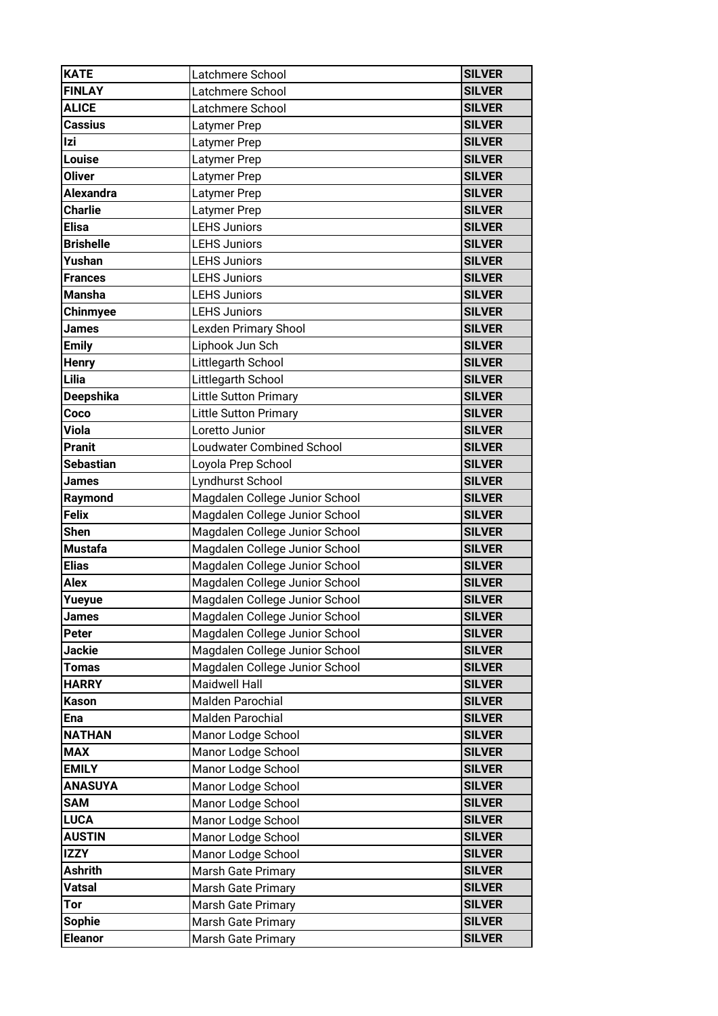| <b>KATE</b>      | Latchmere School                 | <b>SILVER</b> |
|------------------|----------------------------------|---------------|
| <b>FINLAY</b>    | Latchmere School                 | <b>SILVER</b> |
| <b>ALICE</b>     | Latchmere School                 | <b>SILVER</b> |
| <b>Cassius</b>   | Latymer Prep                     | <b>SILVER</b> |
| Izi              | Latymer Prep                     | <b>SILVER</b> |
| Louise           | Latymer Prep                     | <b>SILVER</b> |
| <b>Oliver</b>    | Latymer Prep                     | <b>SILVER</b> |
| <b>Alexandra</b> | Latymer Prep                     | <b>SILVER</b> |
| <b>Charlie</b>   | Latymer Prep                     | <b>SILVER</b> |
| <b>Elisa</b>     | <b>LEHS Juniors</b>              | <b>SILVER</b> |
| <b>Brishelle</b> | <b>LEHS Juniors</b>              | <b>SILVER</b> |
| Yushan           | <b>LEHS Juniors</b>              | <b>SILVER</b> |
| <b>Frances</b>   | <b>LEHS Juniors</b>              | <b>SILVER</b> |
| <b>Mansha</b>    | <b>LEHS Juniors</b>              | <b>SILVER</b> |
| Chinmyee         | <b>LEHS Juniors</b>              | <b>SILVER</b> |
| <b>James</b>     | <b>Lexden Primary Shool</b>      | <b>SILVER</b> |
| <b>Emily</b>     | Liphook Jun Sch                  | <b>SILVER</b> |
| <b>Henry</b>     | Littlegarth School               | <b>SILVER</b> |
| Lilia            | Littlegarth School               | <b>SILVER</b> |
| Deepshika        | Little Sutton Primary            | <b>SILVER</b> |
| Coco             | Little Sutton Primary            | <b>SILVER</b> |
| <b>Viola</b>     | Loretto Junior                   | <b>SILVER</b> |
| <b>Pranit</b>    | <b>Loudwater Combined School</b> | <b>SILVER</b> |
| <b>Sebastian</b> | Loyola Prep School               | <b>SILVER</b> |
| <b>James</b>     | Lyndhurst School                 | <b>SILVER</b> |
| Raymond          | Magdalen College Junior School   | <b>SILVER</b> |
| <b>Felix</b>     | Magdalen College Junior School   | <b>SILVER</b> |
| <b>Shen</b>      | Magdalen College Junior School   | <b>SILVER</b> |
| <b>Mustafa</b>   | Magdalen College Junior School   | <b>SILVER</b> |
| <b>Elias</b>     | Magdalen College Junior School   | <b>SILVER</b> |
| Alex             | Magdalen College Junior School   | <b>SILVER</b> |
| Yueyue           | Magdalen College Junior School   | <b>SILVER</b> |
| <b>James</b>     | Magdalen College Junior School   | <b>SILVER</b> |
| Peter            | Magdalen College Junior School   | <b>SILVER</b> |
| Jackie           | Magdalen College Junior School   | <b>SILVER</b> |
| <b>Tomas</b>     | Magdalen College Junior School   | <b>SILVER</b> |
| <b>HARRY</b>     | <b>Maidwell Hall</b>             | <b>SILVER</b> |
| <b>Kason</b>     | <b>Malden Parochial</b>          | <b>SILVER</b> |
| Ena              | <b>Malden Parochial</b>          | <b>SILVER</b> |
| <b>NATHAN</b>    | Manor Lodge School               | <b>SILVER</b> |
| <b>MAX</b>       | Manor Lodge School               | <b>SILVER</b> |
| <b>EMILY</b>     | Manor Lodge School               | <b>SILVER</b> |
| <b>ANASUYA</b>   | Manor Lodge School               | <b>SILVER</b> |
| <b>SAM</b>       | Manor Lodge School               | <b>SILVER</b> |
| <b>LUCA</b>      | Manor Lodge School               | <b>SILVER</b> |
| <b>AUSTIN</b>    | Manor Lodge School               | <b>SILVER</b> |
| <b>IZZY</b>      | Manor Lodge School               | <b>SILVER</b> |
| <b>Ashrith</b>   | Marsh Gate Primary               | <b>SILVER</b> |
| <b>Vatsal</b>    | Marsh Gate Primary               | <b>SILVER</b> |
| Tor              | Marsh Gate Primary               | <b>SILVER</b> |
| <b>Sophie</b>    | <b>Marsh Gate Primary</b>        | <b>SILVER</b> |
| <b>Eleanor</b>   | <b>Marsh Gate Primary</b>        | <b>SILVER</b> |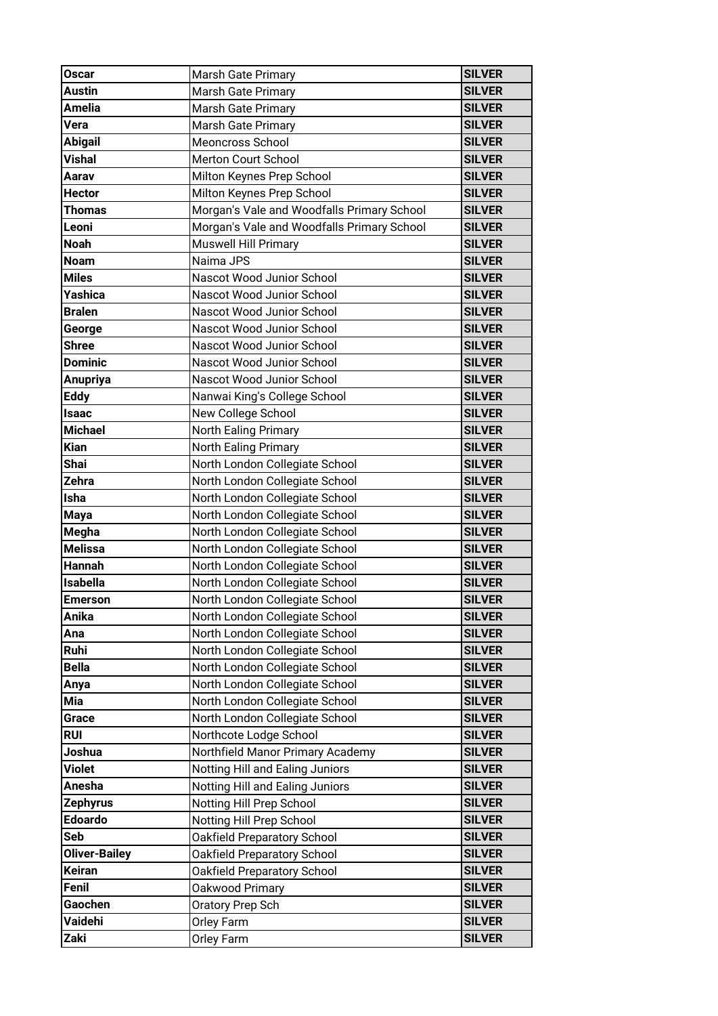| <b>Oscar</b>         | <b>Marsh Gate Primary</b>                  | <b>SILVER</b> |
|----------------------|--------------------------------------------|---------------|
| <b>Austin</b>        | Marsh Gate Primary                         | <b>SILVER</b> |
| Amelia               | <b>Marsh Gate Primary</b>                  | <b>SILVER</b> |
| Vera                 | <b>Marsh Gate Primary</b>                  | <b>SILVER</b> |
| <b>Abigail</b>       | Meoncross School                           | <b>SILVER</b> |
| <b>Vishal</b>        | Merton Court School                        | <b>SILVER</b> |
| Aarav                | Milton Keynes Prep School                  | <b>SILVER</b> |
| <b>Hector</b>        | Milton Keynes Prep School                  | <b>SILVER</b> |
| Thomas               | Morgan's Vale and Woodfalls Primary School | <b>SILVER</b> |
| Leoni                | Morgan's Vale and Woodfalls Primary School | <b>SILVER</b> |
| <b>Noah</b>          | <b>Muswell Hill Primary</b>                | <b>SILVER</b> |
| <b>Noam</b>          | Naima JPS                                  | <b>SILVER</b> |
| <b>Miles</b>         | Nascot Wood Junior School                  | <b>SILVER</b> |
| Yashica              | Nascot Wood Junior School                  | <b>SILVER</b> |
| <b>Bralen</b>        | Nascot Wood Junior School                  | <b>SILVER</b> |
| George               | Nascot Wood Junior School                  | <b>SILVER</b> |
| <b>Shree</b>         | Nascot Wood Junior School                  | <b>SILVER</b> |
| <b>Dominic</b>       | Nascot Wood Junior School                  | <b>SILVER</b> |
| <b>Anupriya</b>      | Nascot Wood Junior School                  | <b>SILVER</b> |
| <b>Eddy</b>          | Nanwai King's College School               | <b>SILVER</b> |
| <b>Isaac</b>         | New College School                         | <b>SILVER</b> |
| <b>Michael</b>       | North Ealing Primary                       | <b>SILVER</b> |
| <b>Kian</b>          | North Ealing Primary                       | <b>SILVER</b> |
| Shai                 | North London Collegiate School             | <b>SILVER</b> |
| Zehra                | North London Collegiate School             | <b>SILVER</b> |
| Isha                 | North London Collegiate School             | <b>SILVER</b> |
| <b>Maya</b>          | North London Collegiate School             | <b>SILVER</b> |
| Megha                | North London Collegiate School             | <b>SILVER</b> |
| <b>Melissa</b>       | North London Collegiate School             | <b>SILVER</b> |
| <b>Hannah</b>        | North London Collegiate School             | <b>SILVER</b> |
| <b>Isabella</b>      | North London Collegiate School             | <b>SILVER</b> |
| <b>Emerson</b>       | North London Collegiate School             | <b>SILVER</b> |
| Anika                | North London Collegiate School             | <b>SILVER</b> |
| Ana                  | North London Collegiate School             | <b>SILVER</b> |
| Ruhi                 | North London Collegiate School             | <b>SILVER</b> |
| <b>Bella</b>         | North London Collegiate School             | <b>SILVER</b> |
| Anya                 | North London Collegiate School             | <b>SILVER</b> |
| Mia                  | North London Collegiate School             | <b>SILVER</b> |
| Grace                | North London Collegiate School             | <b>SILVER</b> |
| <b>RUI</b>           | Northcote Lodge School                     | <b>SILVER</b> |
| Joshua               | Northfield Manor Primary Academy           | <b>SILVER</b> |
| Violet               | Notting Hill and Ealing Juniors            | <b>SILVER</b> |
| Anesha               | Notting Hill and Ealing Juniors            | <b>SILVER</b> |
| <b>Zephyrus</b>      | Notting Hill Prep School                   | <b>SILVER</b> |
| <b>Edoardo</b>       | Notting Hill Prep School                   | <b>SILVER</b> |
| Seb                  | Oakfield Preparatory School                | <b>SILVER</b> |
| <b>Oliver-Bailey</b> | Oakfield Preparatory School                | <b>SILVER</b> |
| Keiran               | Oakfield Preparatory School                | <b>SILVER</b> |
| Fenil                | Oakwood Primary                            | <b>SILVER</b> |
| Gaochen              | Oratory Prep Sch                           | <b>SILVER</b> |
| Vaidehi              | Orley Farm                                 | <b>SILVER</b> |
| Zaki                 | Orley Farm                                 | <b>SILVER</b> |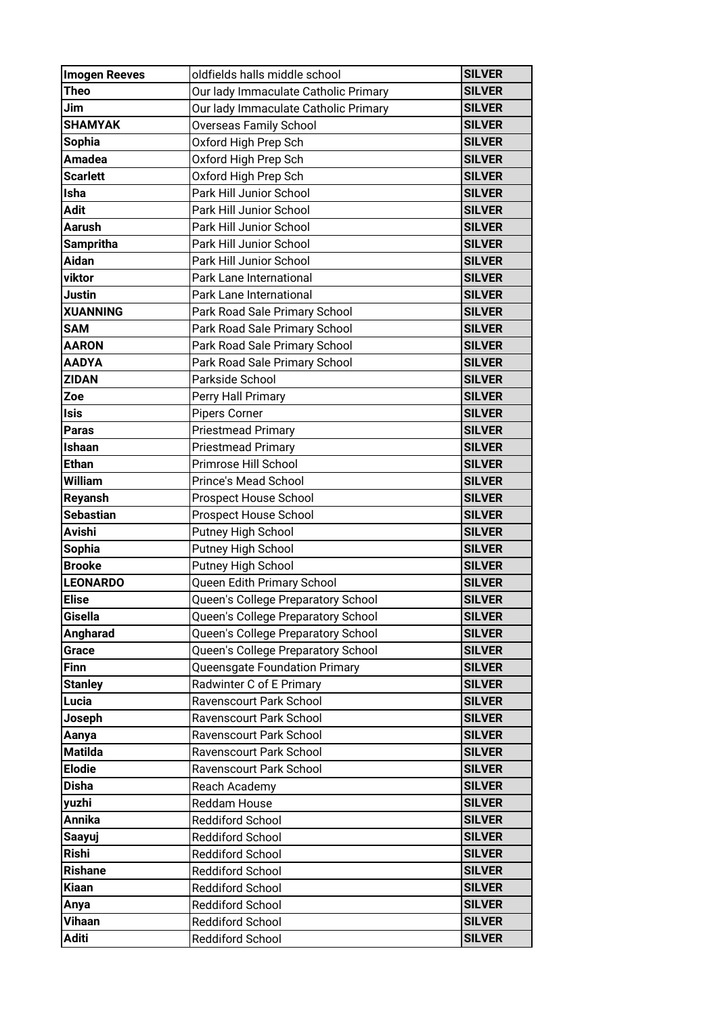| <b>Imogen Reeves</b> | oldfields halls middle school        | <b>SILVER</b> |
|----------------------|--------------------------------------|---------------|
| <b>Theo</b>          | Our lady Immaculate Catholic Primary | <b>SILVER</b> |
| Jim                  | Our lady Immaculate Catholic Primary | <b>SILVER</b> |
| <b>SHAMYAK</b>       | Overseas Family School               | <b>SILVER</b> |
| <b>Sophia</b>        | Oxford High Prep Sch                 | <b>SILVER</b> |
| <b>Amadea</b>        | Oxford High Prep Sch                 | <b>SILVER</b> |
| <b>Scarlett</b>      | Oxford High Prep Sch                 | <b>SILVER</b> |
| <b>Isha</b>          | Park Hill Junior School              | <b>SILVER</b> |
| <b>Adit</b>          | Park Hill Junior School              | <b>SILVER</b> |
| <b>Aarush</b>        | Park Hill Junior School              | <b>SILVER</b> |
| <b>Sampritha</b>     | Park Hill Junior School              | <b>SILVER</b> |
| Aidan                | Park Hill Junior School              | <b>SILVER</b> |
| viktor               | Park Lane International              | <b>SILVER</b> |
| Justin               | Park Lane International              | <b>SILVER</b> |
| <b>XUANNING</b>      | Park Road Sale Primary School        | <b>SILVER</b> |
| <b>SAM</b>           | Park Road Sale Primary School        | <b>SILVER</b> |
| <b>AARON</b>         | Park Road Sale Primary School        | <b>SILVER</b> |
| <b>AADYA</b>         | Park Road Sale Primary School        | <b>SILVER</b> |
| <b>ZIDAN</b>         | Parkside School                      | <b>SILVER</b> |
| Zoe                  | Perry Hall Primary                   | <b>SILVER</b> |
| <b>Isis</b>          | <b>Pipers Corner</b>                 | <b>SILVER</b> |
| <b>Paras</b>         | <b>Priestmead Primary</b>            | <b>SILVER</b> |
| Ishaan               | <b>Priestmead Primary</b>            | <b>SILVER</b> |
| <b>Ethan</b>         | Primrose Hill School                 | <b>SILVER</b> |
| <b>William</b>       | <b>Prince's Mead School</b>          | <b>SILVER</b> |
| Reyansh              | Prospect House School                | <b>SILVER</b> |
| <b>Sebastian</b>     | <b>Prospect House School</b>         | <b>SILVER</b> |
| <b>Avishi</b>        | Putney High School                   | <b>SILVER</b> |
| <b>Sophia</b>        | Putney High School                   | <b>SILVER</b> |
| <b>Brooke</b>        | Putney High School                   | <b>SILVER</b> |
| <b>LEONARDO</b>      | Queen Edith Primary School           | <b>SILVER</b> |
| <b>Elise</b>         | Queen's College Preparatory School   | <b>SILVER</b> |
| Gisella              | Queen's College Preparatory School   | <b>SILVER</b> |
| Angharad             | Queen's College Preparatory School   | <b>SILVER</b> |
| Grace                | Queen's College Preparatory School   | <b>SILVER</b> |
| <b>Finn</b>          | Queensgate Foundation Primary        | <b>SILVER</b> |
| <b>Stanley</b>       | Radwinter C of E Primary             | <b>SILVER</b> |
| Lucia                | Ravenscourt Park School              | <b>SILVER</b> |
| Joseph               | Ravenscourt Park School              | <b>SILVER</b> |
| Aanya                | Ravenscourt Park School              | <b>SILVER</b> |
| <b>Matilda</b>       | Ravenscourt Park School              | <b>SILVER</b> |
| <b>Elodie</b>        | Ravenscourt Park School              | <b>SILVER</b> |
| <b>Disha</b>         | Reach Academy                        | <b>SILVER</b> |
| yuzhi                | <b>Reddam House</b>                  | <b>SILVER</b> |
| <b>Annika</b>        | <b>Reddiford School</b>              | <b>SILVER</b> |
| Saayuj               | <b>Reddiford School</b>              | <b>SILVER</b> |
| <b>Rishi</b>         | <b>Reddiford School</b>              | <b>SILVER</b> |
| <b>Rishane</b>       | <b>Reddiford School</b>              | <b>SILVER</b> |
| <b>Kiaan</b>         | <b>Reddiford School</b>              | <b>SILVER</b> |
| Anya                 | <b>Reddiford School</b>              | <b>SILVER</b> |
| Vihaan               | <b>Reddiford School</b>              | <b>SILVER</b> |
| <b>Aditi</b>         | Reddiford School                     | <b>SILVER</b> |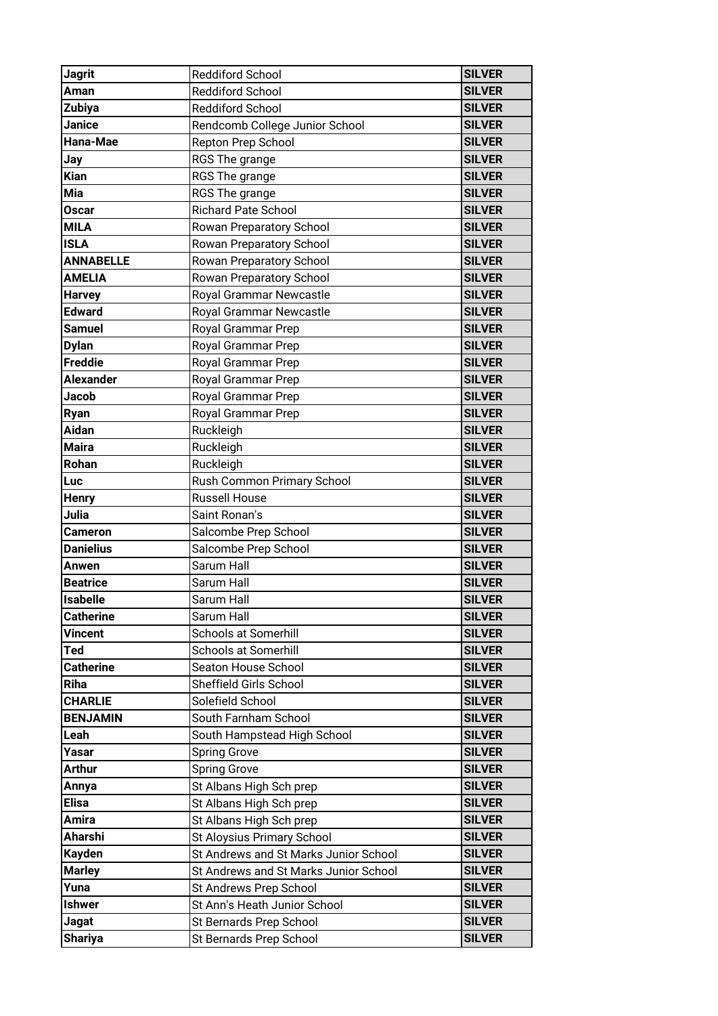| <b>Jagrit</b>    | <b>Reddiford School</b>               | <b>SILVER</b> |
|------------------|---------------------------------------|---------------|
| Aman             | <b>Reddiford School</b>               | <b>SILVER</b> |
| Zubiya           | <b>Reddiford School</b>               | <b>SILVER</b> |
| <b>Janice</b>    | Rendcomb College Junior School        | <b>SILVER</b> |
| Hana-Mae         | Repton Prep School                    | <b>SILVER</b> |
| Jay              | RGS The grange                        | <b>SILVER</b> |
| <b>Kian</b>      | RGS The grange                        | <b>SILVER</b> |
| Mia              | RGS The grange                        | <b>SILVER</b> |
| <b>Oscar</b>     | Richard Pate School                   | <b>SILVER</b> |
| <b>MILA</b>      | Rowan Preparatory School              | <b>SILVER</b> |
| <b>ISLA</b>      | Rowan Preparatory School              | <b>SILVER</b> |
| <b>ANNABELLE</b> | Rowan Preparatory School              | <b>SILVER</b> |
| <b>AMELIA</b>    | Rowan Preparatory School              | <b>SILVER</b> |
| <b>Harvey</b>    | Royal Grammar Newcastle               | <b>SILVER</b> |
| <b>Edward</b>    | Royal Grammar Newcastle               | <b>SILVER</b> |
| <b>Samuel</b>    | Royal Grammar Prep                    | <b>SILVER</b> |
| <b>Dylan</b>     | Royal Grammar Prep                    | <b>SILVER</b> |
| Freddie          | Royal Grammar Prep                    | <b>SILVER</b> |
| <b>Alexander</b> | Royal Grammar Prep                    | <b>SILVER</b> |
| Jacob            | Royal Grammar Prep                    | <b>SILVER</b> |
| Ryan             | Royal Grammar Prep                    | <b>SILVER</b> |
| Aidan            | Ruckleigh                             | <b>SILVER</b> |
| <b>Maira</b>     | Ruckleigh                             | <b>SILVER</b> |
| Rohan            | Ruckleigh                             | <b>SILVER</b> |
| Luc              | Rush Common Primary School            | <b>SILVER</b> |
| <b>Henry</b>     | <b>Russell House</b>                  | <b>SILVER</b> |
| Julia            | Saint Ronan's                         | <b>SILVER</b> |
| <b>Cameron</b>   | Salcombe Prep School                  | <b>SILVER</b> |
| <b>Danielius</b> | Salcombe Prep School                  | <b>SILVER</b> |
| Anwen            | Sarum Hall                            | <b>SILVER</b> |
| <b>Beatrice</b>  | Sarum Hall                            | <b>SILVER</b> |
| <b>Isabelle</b>  | Sarum Hall                            | <b>SILVER</b> |
| <b>Catherine</b> | Sarum Hall                            | <b>SILVER</b> |
| <b>Vincent</b>   | <b>Schools at Somerhill</b>           | <b>SILVER</b> |
| Ted              | <b>Schools at Somerhill</b>           | <b>SILVER</b> |
| <b>Catherine</b> | Seaton House School                   | <b>SILVER</b> |
| Riha             | Sheffield Girls School                | <b>SILVER</b> |
| <b>CHARLIE</b>   | Solefield School                      | <b>SILVER</b> |
| <b>BENJAMIN</b>  | South Farnham School                  | <b>SILVER</b> |
| Leah             | South Hampstead High School           | <b>SILVER</b> |
| Yasar            | <b>Spring Grove</b>                   | <b>SILVER</b> |
| <b>Arthur</b>    | <b>Spring Grove</b>                   | <b>SILVER</b> |
| Annya            | St Albans High Sch prep               | <b>SILVER</b> |
| <b>Elisa</b>     | St Albans High Sch prep               | <b>SILVER</b> |
| Amira            | St Albans High Sch prep               | <b>SILVER</b> |
| Aharshi          | St Aloysius Primary School            | <b>SILVER</b> |
| <b>Kayden</b>    | St Andrews and St Marks Junior School | <b>SILVER</b> |
| <b>Marley</b>    | St Andrews and St Marks Junior School | <b>SILVER</b> |
| Yuna             | St Andrews Prep School                | <b>SILVER</b> |
| <b>Ishwer</b>    | St Ann's Heath Junior School          | <b>SILVER</b> |
| <b>Jagat</b>     | St Bernards Prep School               | <b>SILVER</b> |
| <b>Shariya</b>   | St Bernards Prep School               | <b>SILVER</b> |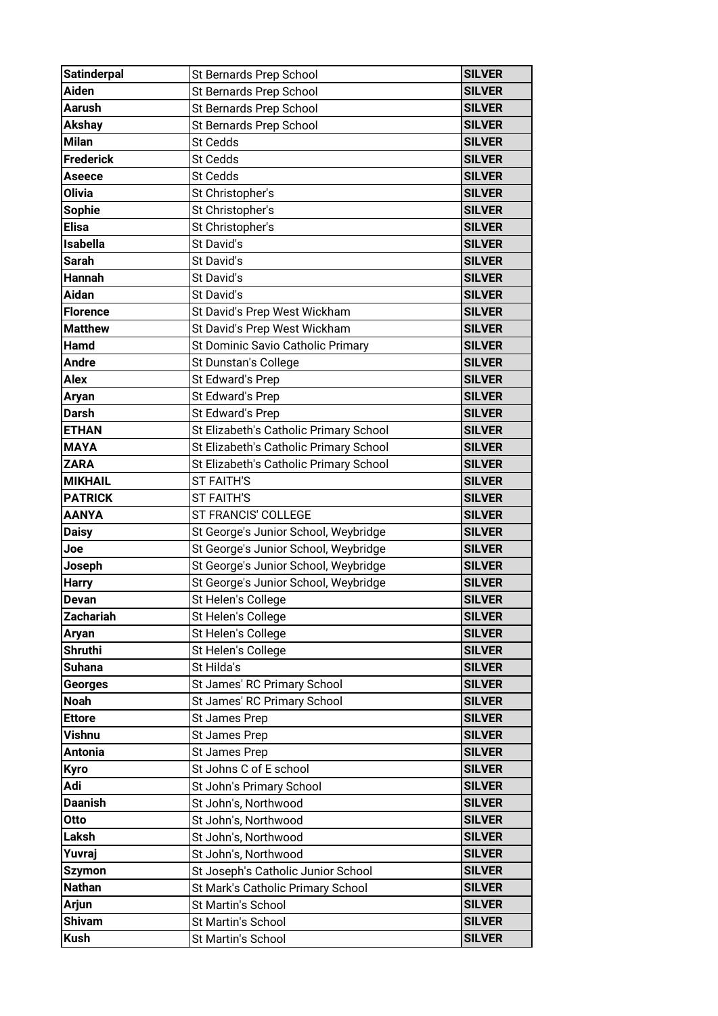| <b>Satinderpal</b> | St Bernards Prep School                | <b>SILVER</b> |
|--------------------|----------------------------------------|---------------|
| <b>Aiden</b>       | St Bernards Prep School                | <b>SILVER</b> |
| <b>Aarush</b>      | St Bernards Prep School                | <b>SILVER</b> |
| <b>Akshay</b>      | St Bernards Prep School                | <b>SILVER</b> |
| <b>Milan</b>       | <b>St Cedds</b>                        | <b>SILVER</b> |
| <b>Frederick</b>   | St Cedds                               | <b>SILVER</b> |
| <b>Aseece</b>      | St Cedds                               | <b>SILVER</b> |
| <b>Olivia</b>      | St Christopher's                       | <b>SILVER</b> |
| <b>Sophie</b>      | St Christopher's                       | <b>SILVER</b> |
| <b>Elisa</b>       | St Christopher's                       | <b>SILVER</b> |
| <b>Isabella</b>    | St David's                             | <b>SILVER</b> |
| <b>Sarah</b>       | St David's                             | <b>SILVER</b> |
| <b>Hannah</b>      | St David's                             | <b>SILVER</b> |
| <b>Aidan</b>       | St David's                             | <b>SILVER</b> |
| <b>Florence</b>    | St David's Prep West Wickham           | <b>SILVER</b> |
| <b>Matthew</b>     | St David's Prep West Wickham           | <b>SILVER</b> |
| <b>Hamd</b>        | St Dominic Savio Catholic Primary      | <b>SILVER</b> |
| <b>Andre</b>       | St Dunstan's College                   | <b>SILVER</b> |
| <b>Alex</b>        | St Edward's Prep                       | <b>SILVER</b> |
| Aryan              | St Edward's Prep                       | <b>SILVER</b> |
| <b>Darsh</b>       | St Edward's Prep                       | <b>SILVER</b> |
| <b>ETHAN</b>       | St Elizabeth's Catholic Primary School | <b>SILVER</b> |
| <b>MAYA</b>        | St Elizabeth's Catholic Primary School | <b>SILVER</b> |
| <b>ZARA</b>        | St Elizabeth's Catholic Primary School | <b>SILVER</b> |
| <b>MIKHAIL</b>     | <b>ST FAITH'S</b>                      | <b>SILVER</b> |
| <b>PATRICK</b>     | <b>ST FAITH'S</b>                      | <b>SILVER</b> |
| <b>AANYA</b>       | ST FRANCIS' COLLEGE                    | <b>SILVER</b> |
| <b>Daisy</b>       | St George's Junior School, Weybridge   | <b>SILVER</b> |
| Joe                | St George's Junior School, Weybridge   | <b>SILVER</b> |
| Joseph             | St George's Junior School, Weybridge   | <b>SILVER</b> |
| <b>Harry</b>       | St George's Junior School, Weybridge   | <b>SILVER</b> |
| <b>Devan</b>       | St Helen's College                     | <b>SILVER</b> |
| <b>Zachariah</b>   | St Helen's College                     | <b>SILVER</b> |
| Aryan              | St Helen's College                     | <b>SILVER</b> |
| <b>Shruthi</b>     | St Helen's College                     | <b>SILVER</b> |
| <b>Suhana</b>      | St Hilda's                             | <b>SILVER</b> |
| <b>Georges</b>     | St James' RC Primary School            | <b>SILVER</b> |
| <b>Noah</b>        | St James' RC Primary School            | <b>SILVER</b> |
| <b>Ettore</b>      | St James Prep                          | <b>SILVER</b> |
| Vishnu             | St James Prep                          | <b>SILVER</b> |
| <b>Antonia</b>     | <b>St James Prep</b>                   | <b>SILVER</b> |
| Kyro               | St Johns C of E school                 | <b>SILVER</b> |
| Adi                | St John's Primary School               | <b>SILVER</b> |
| <b>Daanish</b>     | St John's, Northwood                   | <b>SILVER</b> |
| Otto               | St John's, Northwood                   | <b>SILVER</b> |
| Laksh              | St John's, Northwood                   | <b>SILVER</b> |
| Yuvraj             | St John's, Northwood                   | <b>SILVER</b> |
| <b>Szymon</b>      | St Joseph's Catholic Junior School     | <b>SILVER</b> |
| <b>Nathan</b>      | St Mark's Catholic Primary School      | <b>SILVER</b> |
| <b>Arjun</b>       | St Martin's School                     | <b>SILVER</b> |
| <b>Shivam</b>      | St Martin's School                     | <b>SILVER</b> |
| <b>Kush</b>        | St Martin's School                     | <b>SILVER</b> |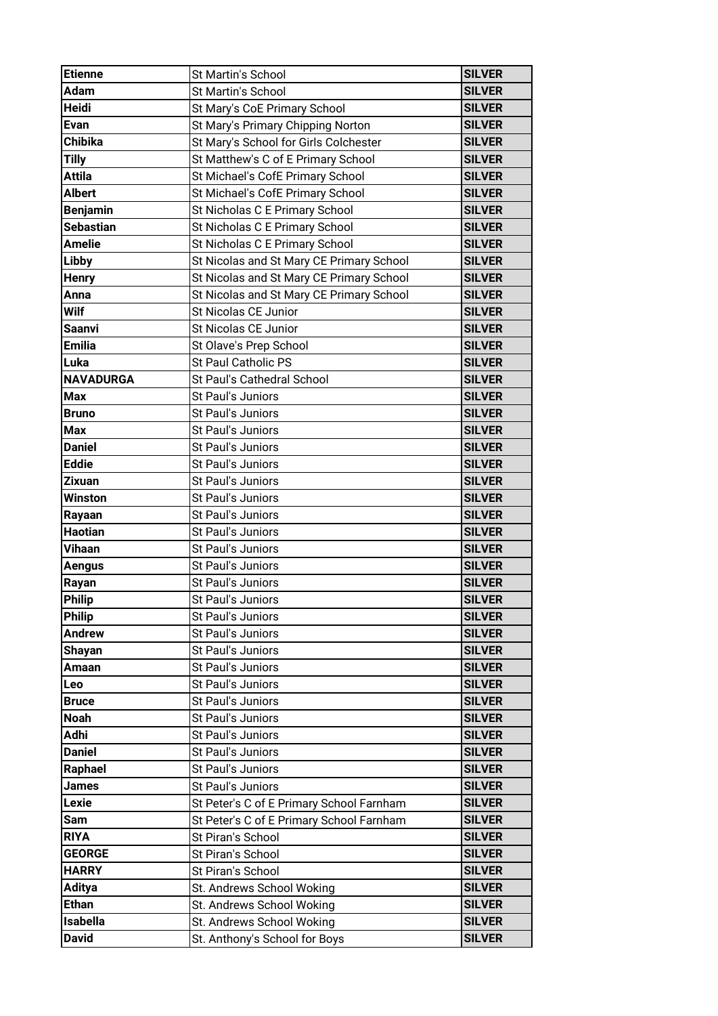| <b>Etienne</b>   | <b>St Martin's School</b>                | <b>SILVER</b> |
|------------------|------------------------------------------|---------------|
| <b>Adam</b>      | St Martin's School                       | <b>SILVER</b> |
| Heidi            | St Mary's CoE Primary School             | <b>SILVER</b> |
| Evan             | St Mary's Primary Chipping Norton        | <b>SILVER</b> |
| <b>Chibika</b>   | St Mary's School for Girls Colchester    | <b>SILVER</b> |
| <b>Tilly</b>     | St Matthew's C of E Primary School       | <b>SILVER</b> |
| <b>Attila</b>    | St Michael's CofE Primary School         | <b>SILVER</b> |
| <b>Albert</b>    | St Michael's CofE Primary School         | <b>SILVER</b> |
| <b>Benjamin</b>  | St Nicholas C E Primary School           | <b>SILVER</b> |
| <b>Sebastian</b> | St Nicholas C E Primary School           | <b>SILVER</b> |
| <b>Amelie</b>    | St Nicholas C E Primary School           | <b>SILVER</b> |
| Libby            | St Nicolas and St Mary CE Primary School | <b>SILVER</b> |
| <b>Henry</b>     | St Nicolas and St Mary CE Primary School | <b>SILVER</b> |
| Anna             | St Nicolas and St Mary CE Primary School | <b>SILVER</b> |
| Wilf             | <b>St Nicolas CE Junior</b>              | <b>SILVER</b> |
| <b>Saanvi</b>    | St Nicolas CE Junior                     | <b>SILVER</b> |
| <b>Emilia</b>    | St Olave's Prep School                   | <b>SILVER</b> |
| Luka             | <b>St Paul Catholic PS</b>               | <b>SILVER</b> |
| <b>NAVADURGA</b> | St Paul's Cathedral School               | <b>SILVER</b> |
| <b>Max</b>       | St Paul's Juniors                        | <b>SILVER</b> |
| <b>Bruno</b>     | St Paul's Juniors                        | <b>SILVER</b> |
| <b>Max</b>       | St Paul's Juniors                        | <b>SILVER</b> |
| <b>Daniel</b>    | St Paul's Juniors                        | <b>SILVER</b> |
| <b>Eddie</b>     | St Paul's Juniors                        | <b>SILVER</b> |
| <b>Zixuan</b>    | St Paul's Juniors                        | <b>SILVER</b> |
| Winston          | St Paul's Juniors                        | <b>SILVER</b> |
| Rayaan           | St Paul's Juniors                        | <b>SILVER</b> |
| <b>Haotian</b>   | St Paul's Juniors                        | <b>SILVER</b> |
| Vihaan           | St Paul's Juniors                        | <b>SILVER</b> |
| <b>Aengus</b>    | St Paul's Juniors                        | <b>SILVER</b> |
| Rayan            | St Paul's Juniors                        | <b>SILVER</b> |
| <b>Philip</b>    | St Paul's Juniors                        | <b>SILVER</b> |
| <b>Philip</b>    | St Paul's Juniors                        | <b>SILVER</b> |
| <b>Andrew</b>    | St Paul's Juniors                        | <b>SILVER</b> |
| Shayan           | St Paul's Juniors                        | <b>SILVER</b> |
| Amaan            | St Paul's Juniors                        | <b>SILVER</b> |
| Leo              | St Paul's Juniors                        | <b>SILVER</b> |
| <b>Bruce</b>     | St Paul's Juniors                        | <b>SILVER</b> |
| <b>Noah</b>      | St Paul's Juniors                        | <b>SILVER</b> |
| Adhi             | St Paul's Juniors                        | <b>SILVER</b> |
| <b>Daniel</b>    | St Paul's Juniors                        | <b>SILVER</b> |
| Raphael          | St Paul's Juniors                        | <b>SILVER</b> |
| James            | St Paul's Juniors                        | <b>SILVER</b> |
| Lexie            | St Peter's C of E Primary School Farnham | <b>SILVER</b> |
| Sam              | St Peter's C of E Primary School Farnham | <b>SILVER</b> |
| <b>RIYA</b>      | St Piran's School                        | <b>SILVER</b> |
| <b>GEORGE</b>    | St Piran's School                        | <b>SILVER</b> |
| <b>HARRY</b>     | St Piran's School                        | <b>SILVER</b> |
|                  |                                          |               |
| <b>Aditya</b>    | St. Andrews School Woking                | <b>SILVER</b> |
| <b>Ethan</b>     | St. Andrews School Woking                | <b>SILVER</b> |
| <b>Isabella</b>  | St. Andrews School Woking                | <b>SILVER</b> |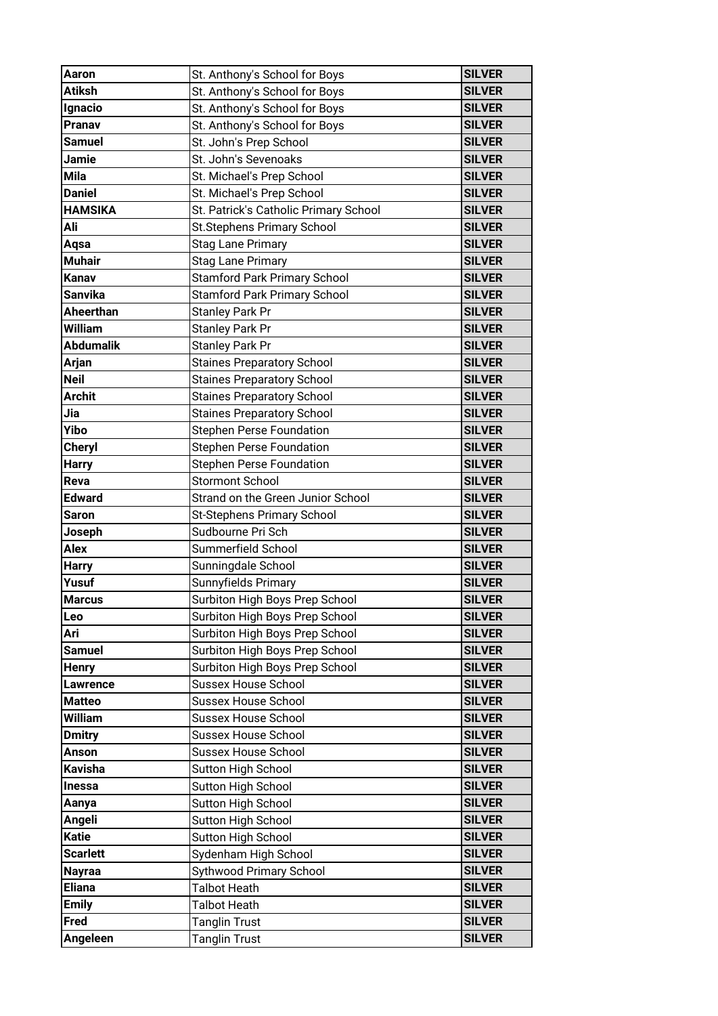| Aaron                 | St. Anthony's School for Boys                                    | <b>SILVER</b>                  |
|-----------------------|------------------------------------------------------------------|--------------------------------|
| <b>Atiksh</b>         | St. Anthony's School for Boys                                    | <b>SILVER</b>                  |
| Ignacio               | St. Anthony's School for Boys                                    | <b>SILVER</b>                  |
| Pranav                | St. Anthony's School for Boys                                    | <b>SILVER</b>                  |
| <b>Samuel</b>         | St. John's Prep School                                           | <b>SILVER</b>                  |
| Jamie                 | St. John's Sevenoaks                                             | <b>SILVER</b>                  |
| <b>Mila</b>           | St. Michael's Prep School                                        | <b>SILVER</b>                  |
| <b>Daniel</b>         | St. Michael's Prep School                                        | <b>SILVER</b>                  |
| <b>HAMSIKA</b>        | St. Patrick's Catholic Primary School                            | <b>SILVER</b>                  |
| Ali                   | St.Stephens Primary School                                       | <b>SILVER</b>                  |
| Aqsa                  | <b>Stag Lane Primary</b>                                         | <b>SILVER</b>                  |
| <b>Muhair</b>         | <b>Stag Lane Primary</b>                                         | <b>SILVER</b>                  |
| Kanav                 | <b>Stamford Park Primary School</b>                              | <b>SILVER</b>                  |
| <b>Sanvika</b>        | <b>Stamford Park Primary School</b>                              | <b>SILVER</b>                  |
| Aheerthan             | <b>Stanley Park Pr</b>                                           | <b>SILVER</b>                  |
| <b>William</b>        | <b>Stanley Park Pr</b>                                           | <b>SILVER</b>                  |
| <b>Abdumalik</b>      | <b>Stanley Park Pr</b>                                           | <b>SILVER</b>                  |
| Arjan                 | <b>Staines Preparatory School</b>                                | <b>SILVER</b>                  |
| <b>Neil</b>           | <b>Staines Preparatory School</b>                                | <b>SILVER</b>                  |
| <b>Archit</b>         | <b>Staines Preparatory School</b>                                | <b>SILVER</b>                  |
| Jia                   | <b>Staines Preparatory School</b>                                | <b>SILVER</b>                  |
| Yibo                  | <b>Stephen Perse Foundation</b>                                  | <b>SILVER</b>                  |
| <b>Cheryl</b>         | <b>Stephen Perse Foundation</b>                                  | <b>SILVER</b>                  |
| <b>Harry</b>          | <b>Stephen Perse Foundation</b>                                  | <b>SILVER</b>                  |
| Reva                  | <b>Stormont School</b>                                           | <b>SILVER</b>                  |
| <b>Edward</b>         | Strand on the Green Junior School                                | <b>SILVER</b>                  |
|                       |                                                                  |                                |
|                       |                                                                  |                                |
| <b>Saron</b>          | St-Stephens Primary School                                       | <b>SILVER</b><br><b>SILVER</b> |
| Joseph                | Sudbourne Pri Sch<br>Summerfield School                          | <b>SILVER</b>                  |
| <b>Alex</b>           |                                                                  | <b>SILVER</b>                  |
| <b>Harry</b><br>Yusuf | Sunningdale School                                               | <b>SILVER</b>                  |
| <b>Marcus</b>         | Sunnyfields Primary                                              | <b>SILVER</b>                  |
| Leo                   | Surbiton High Boys Prep School                                   | <b>SILVER</b>                  |
| Ari                   | Surbiton High Boys Prep School                                   | <b>SILVER</b>                  |
| <b>Samuel</b>         | Surbiton High Boys Prep School                                   | <b>SILVER</b>                  |
| <b>Henry</b>          | Surbiton High Boys Prep School<br>Surbiton High Boys Prep School | <b>SILVER</b>                  |
| <b>Lawrence</b>       | <b>Sussex House School</b>                                       | <b>SILVER</b>                  |
| <b>Matteo</b>         | <b>Sussex House School</b>                                       | <b>SILVER</b>                  |
| William               | <b>Sussex House School</b>                                       | <b>SILVER</b>                  |
| <b>Dmitry</b>         | <b>Sussex House School</b>                                       | <b>SILVER</b>                  |
| <b>Anson</b>          | <b>Sussex House School</b>                                       | <b>SILVER</b>                  |
| Kavisha               |                                                                  | <b>SILVER</b>                  |
| Inessa                | Sutton High School                                               | <b>SILVER</b>                  |
| Aanya                 | <b>Sutton High School</b><br>Sutton High School                  | <b>SILVER</b>                  |
| Angeli                | <b>Sutton High School</b>                                        | <b>SILVER</b>                  |
| <b>Katie</b>          | <b>Sutton High School</b>                                        | <b>SILVER</b>                  |
| <b>Scarlett</b>       | Sydenham High School                                             | <b>SILVER</b>                  |
| <b>Nayraa</b>         | Sythwood Primary School                                          | <b>SILVER</b>                  |
| <b>Eliana</b>         | Talbot Heath                                                     | <b>SILVER</b>                  |
| <b>Emily</b>          | <b>Talbot Heath</b>                                              | <b>SILVER</b>                  |
| <b>Fred</b>           | <b>Tanglin Trust</b>                                             | <b>SILVER</b>                  |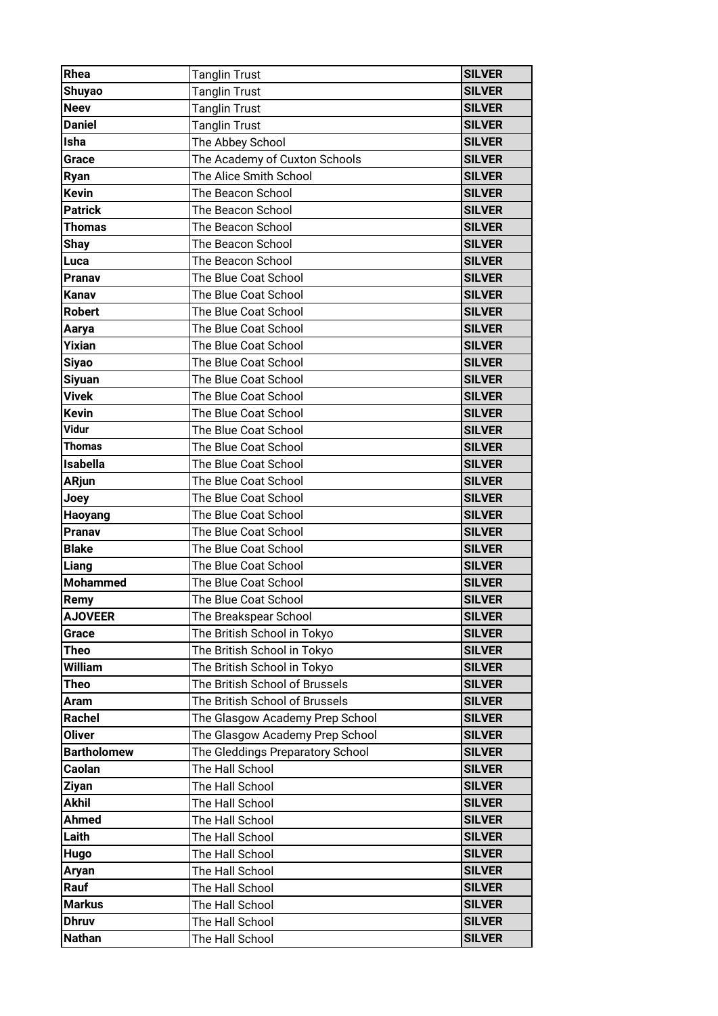| Rhea               | <b>Tanglin Trust</b>             | <b>SILVER</b> |
|--------------------|----------------------------------|---------------|
| <b>Shuyao</b>      | <b>Tanglin Trust</b>             | <b>SILVER</b> |
| <b>Neev</b>        | <b>Tanglin Trust</b>             | <b>SILVER</b> |
| <b>Daniel</b>      | <b>Tanglin Trust</b>             | <b>SILVER</b> |
| <b>Isha</b>        | The Abbey School                 | <b>SILVER</b> |
| Grace              | The Academy of Cuxton Schools    | <b>SILVER</b> |
| <b>Ryan</b>        | The Alice Smith School           | <b>SILVER</b> |
| <b>Kevin</b>       | The Beacon School                | <b>SILVER</b> |
| <b>Patrick</b>     | The Beacon School                | <b>SILVER</b> |
| <b>Thomas</b>      | The Beacon School                | <b>SILVER</b> |
| <b>Shay</b>        | The Beacon School                | <b>SILVER</b> |
| Luca               | The Beacon School                | <b>SILVER</b> |
| Pranav             | The Blue Coat School             | <b>SILVER</b> |
| Kanav              | The Blue Coat School             | <b>SILVER</b> |
| <b>Robert</b>      | The Blue Coat School             | <b>SILVER</b> |
| Aarya              | The Blue Coat School             | <b>SILVER</b> |
| <b>Yixian</b>      | The Blue Coat School             | <b>SILVER</b> |
| <b>Siyao</b>       | The Blue Coat School             | <b>SILVER</b> |
| <b>Siyuan</b>      | The Blue Coat School             | <b>SILVER</b> |
| Vivek              | The Blue Coat School             | <b>SILVER</b> |
| <b>Kevin</b>       | The Blue Coat School             | <b>SILVER</b> |
| Vidur              | The Blue Coat School             | <b>SILVER</b> |
| <b>Thomas</b>      | The Blue Coat School             | <b>SILVER</b> |
| <b>Isabella</b>    | The Blue Coat School             | <b>SILVER</b> |
| <b>ARjun</b>       | The Blue Coat School             | <b>SILVER</b> |
| Joey               | The Blue Coat School             | <b>SILVER</b> |
| <b>Haoyang</b>     | The Blue Coat School             | <b>SILVER</b> |
| Pranav             | The Blue Coat School             | <b>SILVER</b> |
| <b>Blake</b>       | The Blue Coat School             | <b>SILVER</b> |
| Liang              | The Blue Coat School             | <b>SILVER</b> |
| <b>Mohammed</b>    | The Blue Coat School             | <b>SILVER</b> |
| Remy               | The Blue Coat School             | <b>SILVER</b> |
| <b>AJOVEER</b>     | The Breakspear School            | <b>SILVER</b> |
| Grace              | The British School in Tokyo      | <b>SILVER</b> |
| Theo               | The British School in Tokyo      | <b>SILVER</b> |
| William            | The British School in Tokyo      | <b>SILVER</b> |
| Theo               | The British School of Brussels   | <b>SILVER</b> |
| Aram               | The British School of Brussels   | <b>SILVER</b> |
| Rachel             | The Glasgow Academy Prep School  | <b>SILVER</b> |
| <b>Oliver</b>      | The Glasgow Academy Prep School  | <b>SILVER</b> |
| <b>Bartholomew</b> | The Gleddings Preparatory School | <b>SILVER</b> |
| Caolan             | The Hall School                  | <b>SILVER</b> |
| Ziyan              | The Hall School                  | <b>SILVER</b> |
| <b>Akhil</b>       | The Hall School                  | <b>SILVER</b> |
| <b>Ahmed</b>       | The Hall School                  | <b>SILVER</b> |
| Laith              | The Hall School                  | <b>SILVER</b> |
| Hugo               | The Hall School                  | <b>SILVER</b> |
| Aryan              | The Hall School                  | <b>SILVER</b> |
| Rauf               | The Hall School                  | <b>SILVER</b> |
| <b>Markus</b>      | The Hall School                  | <b>SILVER</b> |
| <b>Dhruv</b>       | The Hall School                  | <b>SILVER</b> |
| <b>Nathan</b>      | The Hall School                  | <b>SILVER</b> |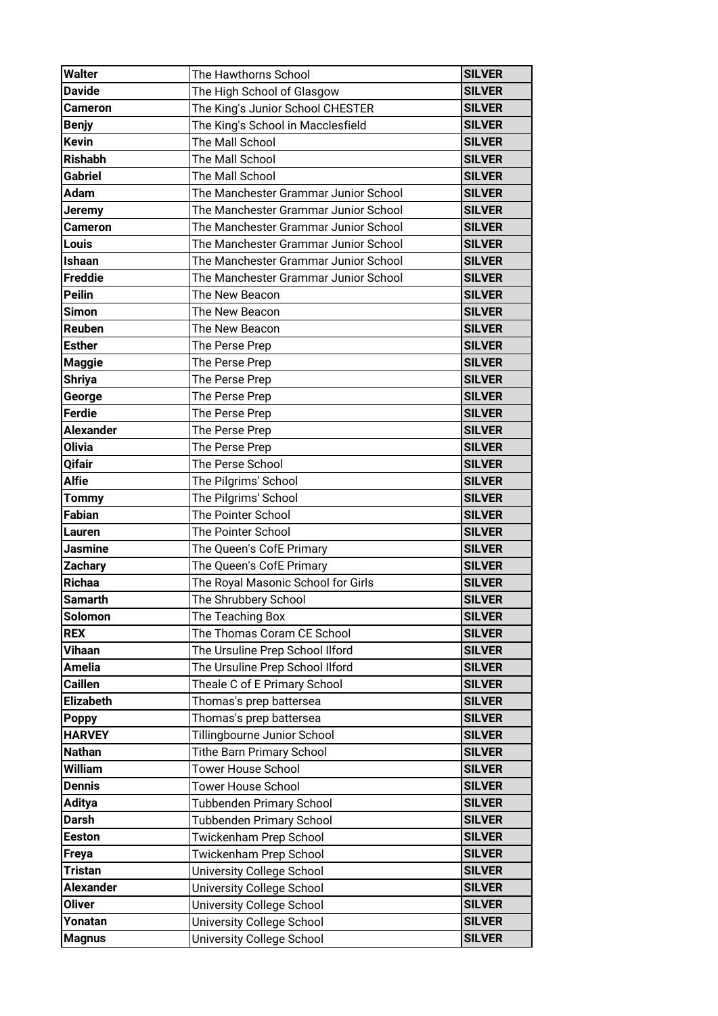| <b>Walter</b>    | The Hawthorns School                 | <b>SILVER</b> |
|------------------|--------------------------------------|---------------|
| <b>Davide</b>    | The High School of Glasgow           | <b>SILVER</b> |
| <b>Cameron</b>   | The King's Junior School CHESTER     | <b>SILVER</b> |
| <b>Benjy</b>     | The King's School in Macclesfield    | <b>SILVER</b> |
| <b>Kevin</b>     | The Mall School                      | <b>SILVER</b> |
| <b>Rishabh</b>   | The Mall School                      | <b>SILVER</b> |
| <b>Gabriel</b>   | The Mall School                      | <b>SILVER</b> |
| <b>Adam</b>      | The Manchester Grammar Junior School | <b>SILVER</b> |
| Jeremy           | The Manchester Grammar Junior School | <b>SILVER</b> |
| <b>Cameron</b>   | The Manchester Grammar Junior School | <b>SILVER</b> |
| Louis            | The Manchester Grammar Junior School | <b>SILVER</b> |
| Ishaan           | The Manchester Grammar Junior School | <b>SILVER</b> |
| <b>Freddie</b>   | The Manchester Grammar Junior School | <b>SILVER</b> |
| <b>Peilin</b>    | The New Beacon                       | <b>SILVER</b> |
| Simon            | The New Beacon                       | <b>SILVER</b> |
| Reuben           | The New Beacon                       | <b>SILVER</b> |
| <b>Esther</b>    | The Perse Prep                       | <b>SILVER</b> |
| <b>Maggie</b>    | The Perse Prep                       | <b>SILVER</b> |
| <b>Shriya</b>    | The Perse Prep                       | <b>SILVER</b> |
| George           | The Perse Prep                       | <b>SILVER</b> |
| <b>Ferdie</b>    | The Perse Prep                       | <b>SILVER</b> |
| <b>Alexander</b> | The Perse Prep                       | <b>SILVER</b> |
| <b>Olivia</b>    | The Perse Prep                       | <b>SILVER</b> |
| Qifair           | The Perse School                     | <b>SILVER</b> |
| <b>Alfie</b>     | The Pilgrims' School                 | <b>SILVER</b> |
| <b>Tommy</b>     | The Pilgrims' School                 | <b>SILVER</b> |
| <b>Fabian</b>    | <b>The Pointer School</b>            | <b>SILVER</b> |
| Lauren           | The Pointer School                   | <b>SILVER</b> |
| <b>Jasmine</b>   | The Queen's CofE Primary             | <b>SILVER</b> |
| <b>Zachary</b>   | The Queen's CofE Primary             | <b>SILVER</b> |
| Richaa           | The Royal Masonic School for Girls   | <b>SILVER</b> |
| <b>Samarth</b>   | The Shrubbery School                 | <b>SILVER</b> |
| <b>Solomon</b>   | The Teaching Box                     | <b>SILVER</b> |
| <b>REX</b>       | The Thomas Coram CE School           | <b>SILVER</b> |
| Vihaan           | The Ursuline Prep School Ilford      | <b>SILVER</b> |
| <b>Amelia</b>    | The Ursuline Prep School Ilford      | <b>SILVER</b> |
| <b>Caillen</b>   | Theale C of E Primary School         | <b>SILVER</b> |
| <b>Elizabeth</b> | Thomas's prep battersea              | <b>SILVER</b> |
| <b>Poppy</b>     | Thomas's prep battersea              | <b>SILVER</b> |
| <b>HARVEY</b>    | Tillingbourne Junior School          | <b>SILVER</b> |
| <b>Nathan</b>    | <b>Tithe Barn Primary School</b>     | <b>SILVER</b> |
| William          | <b>Tower House School</b>            | <b>SILVER</b> |
| <b>Dennis</b>    | <b>Tower House School</b>            | <b>SILVER</b> |
| <b>Aditya</b>    | Tubbenden Primary School             | <b>SILVER</b> |
| <b>Darsh</b>     | <b>Tubbenden Primary School</b>      | <b>SILVER</b> |
| <b>Eeston</b>    | Twickenham Prep School               | <b>SILVER</b> |
| <b>Freya</b>     | Twickenham Prep School               | <b>SILVER</b> |
| <b>Tristan</b>   | University College School            | <b>SILVER</b> |
| <b>Alexander</b> | University College School            | <b>SILVER</b> |
| <b>Oliver</b>    | <b>University College School</b>     | <b>SILVER</b> |
| Yonatan          | University College School            | <b>SILVER</b> |
| <b>Magnus</b>    | <b>University College School</b>     | <b>SILVER</b> |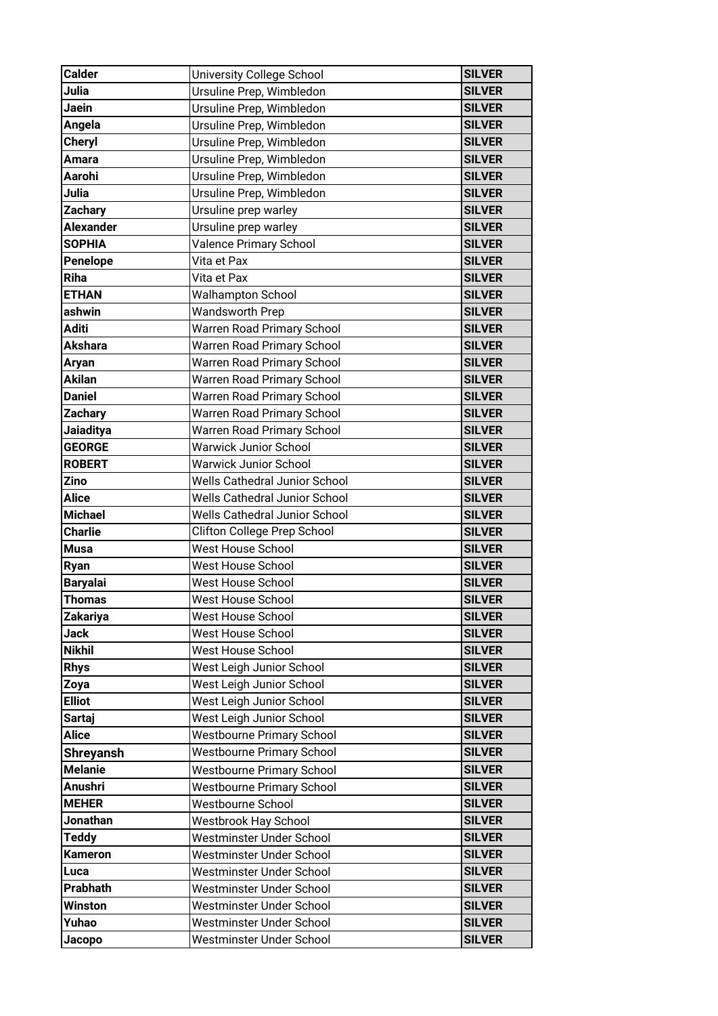| <b>Calder</b>    | University College School            | <b>SILVER</b> |
|------------------|--------------------------------------|---------------|
| Julia            | Ursuline Prep, Wimbledon             | <b>SILVER</b> |
| Jaein            | Ursuline Prep, Wimbledon             | <b>SILVER</b> |
| Angela           | Ursuline Prep, Wimbledon             | <b>SILVER</b> |
| <b>Cheryl</b>    | Ursuline Prep, Wimbledon             | <b>SILVER</b> |
| Amara            | Ursuline Prep, Wimbledon             | <b>SILVER</b> |
| Aarohi           | Ursuline Prep, Wimbledon             | <b>SILVER</b> |
| Julia            | Ursuline Prep, Wimbledon             | <b>SILVER</b> |
| <b>Zachary</b>   | Ursuline prep warley                 | <b>SILVER</b> |
| <b>Alexander</b> | Ursuline prep warley                 | <b>SILVER</b> |
| <b>SOPHIA</b>    | <b>Valence Primary School</b>        | <b>SILVER</b> |
| Penelope         | Vita et Pax                          | <b>SILVER</b> |
| Riha             | Vita et Pax                          | <b>SILVER</b> |
| <b>ETHAN</b>     | <b>Walhampton School</b>             | <b>SILVER</b> |
| ashwin           | <b>Wandsworth Prep</b>               | <b>SILVER</b> |
| <b>Aditi</b>     | Warren Road Primary School           | <b>SILVER</b> |
| <b>Akshara</b>   | Warren Road Primary School           | <b>SILVER</b> |
| Aryan            | Warren Road Primary School           | <b>SILVER</b> |
| <b>Akilan</b>    | Warren Road Primary School           | <b>SILVER</b> |
| <b>Daniel</b>    | Warren Road Primary School           | <b>SILVER</b> |
| <b>Zachary</b>   | Warren Road Primary School           | <b>SILVER</b> |
| <b>Jaiaditya</b> | Warren Road Primary School           | <b>SILVER</b> |
| <b>GEORGE</b>    | <b>Warwick Junior School</b>         | <b>SILVER</b> |
| <b>ROBERT</b>    | <b>Warwick Junior School</b>         | <b>SILVER</b> |
| <b>Zino</b>      | <b>Wells Cathedral Junior School</b> | <b>SILVER</b> |
| <b>Alice</b>     | <b>Wells Cathedral Junior School</b> | <b>SILVER</b> |
| <b>Michael</b>   | Wells Cathedral Junior School        | <b>SILVER</b> |
| <b>Charlie</b>   | Clifton College Prep School          | <b>SILVER</b> |
| <b>Musa</b>      | West House School                    | <b>SILVER</b> |
| Ryan             | West House School                    | <b>SILVER</b> |
| <b>Baryalai</b>  | West House School                    | <b>SILVER</b> |
| <b>Thomas</b>    | West House School                    | <b>SILVER</b> |
| Zakariya         | West House School                    | <b>SILVER</b> |
| <b>Jack</b>      | West House School                    | <b>SILVER</b> |
| <b>Nikhil</b>    | West House School                    | <b>SILVER</b> |
| <b>Rhys</b>      | West Leigh Junior School             | <b>SILVER</b> |
| Zoya             | West Leigh Junior School             | <b>SILVER</b> |
| <b>Elliot</b>    | West Leigh Junior School             | <b>SILVER</b> |
| <b>Sartaj</b>    | West Leigh Junior School             | <b>SILVER</b> |
| <b>Alice</b>     | <b>Westbourne Primary School</b>     | <b>SILVER</b> |
| <b>Shreyansh</b> | <b>Westbourne Primary School</b>     | <b>SILVER</b> |
| <b>Melanie</b>   | <b>Westbourne Primary School</b>     | <b>SILVER</b> |
| <b>Anushri</b>   | <b>Westbourne Primary School</b>     | <b>SILVER</b> |
| <b>MEHER</b>     | Westbourne School                    | <b>SILVER</b> |
| Jonathan         | Westbrook Hay School                 | <b>SILVER</b> |
| <b>Teddy</b>     | Westminster Under School             | <b>SILVER</b> |
| <b>Kameron</b>   | Westminster Under School             | <b>SILVER</b> |
| Luca             | Westminster Under School             | <b>SILVER</b> |
| Prabhath         | Westminster Under School             | <b>SILVER</b> |
| <b>Winston</b>   | Westminster Under School             | <b>SILVER</b> |
| Yuhao            | Westminster Under School             | <b>SILVER</b> |
| Jacopo           | Westminster Under School             | <b>SILVER</b> |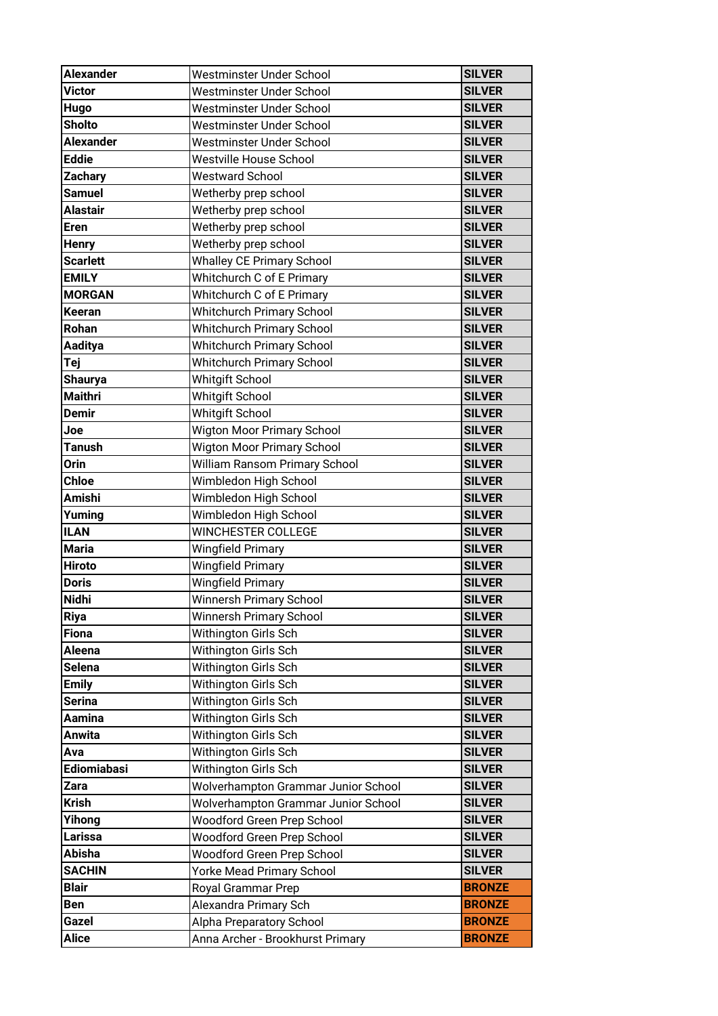| <b>Alexander</b> | Westminster Under School            | <b>SILVER</b> |
|------------------|-------------------------------------|---------------|
| <b>Victor</b>    | Westminster Under School            | <b>SILVER</b> |
| Hugo             | Westminster Under School            | <b>SILVER</b> |
| <b>Sholto</b>    | Westminster Under School            | <b>SILVER</b> |
| <b>Alexander</b> | Westminster Under School            | <b>SILVER</b> |
| <b>Eddie</b>     | <b>Westville House School</b>       | <b>SILVER</b> |
| <b>Zachary</b>   | <b>Westward School</b>              | <b>SILVER</b> |
| <b>Samuel</b>    | Wetherby prep school                | <b>SILVER</b> |
| <b>Alastair</b>  | Wetherby prep school                | <b>SILVER</b> |
| <b>Eren</b>      | Wetherby prep school                | <b>SILVER</b> |
| <b>Henry</b>     | Wetherby prep school                | <b>SILVER</b> |
| <b>Scarlett</b>  | <b>Whalley CE Primary School</b>    | <b>SILVER</b> |
| <b>EMILY</b>     | Whitchurch C of E Primary           | <b>SILVER</b> |
| <b>MORGAN</b>    | Whitchurch C of E Primary           | <b>SILVER</b> |
| <b>Keeran</b>    | Whitchurch Primary School           | <b>SILVER</b> |
| Rohan            | <b>Whitchurch Primary School</b>    | <b>SILVER</b> |
| Aaditya          | <b>Whitchurch Primary School</b>    | <b>SILVER</b> |
| Tej              | <b>Whitchurch Primary School</b>    | <b>SILVER</b> |
| <b>Shaurya</b>   | <b>Whitgift School</b>              | <b>SILVER</b> |
| <b>Maithri</b>   | <b>Whitgift School</b>              | <b>SILVER</b> |
| <b>Demir</b>     | <b>Whitgift School</b>              | <b>SILVER</b> |
| Joe              | <b>Wigton Moor Primary School</b>   | <b>SILVER</b> |
| <b>Tanush</b>    | <b>Wigton Moor Primary School</b>   | <b>SILVER</b> |
| Orin             | William Ransom Primary School       | <b>SILVER</b> |
| <b>Chloe</b>     | Wimbledon High School               | <b>SILVER</b> |
| <b>Amishi</b>    | Wimbledon High School               | <b>SILVER</b> |
| Yuming           | Wimbledon High School               | <b>SILVER</b> |
| <b>ILAN</b>      | WINCHESTER COLLEGE                  | <b>SILVER</b> |
| <b>Maria</b>     | <b>Wingfield Primary</b>            | <b>SILVER</b> |
| <b>Hiroto</b>    | <b>Wingfield Primary</b>            | <b>SILVER</b> |
| <b>Doris</b>     | <b>Wingfield Primary</b>            | <b>SILVER</b> |
| <b>Nidhi</b>     | Winnersh Primary School             | <b>SILVER</b> |
| <b>Riya</b>      | <b>Winnersh Primary School</b>      | <b>SILVER</b> |
| <b>Fiona</b>     | Withington Girls Sch                | <b>SILVER</b> |
| Aleena           | Withington Girls Sch                | <b>SILVER</b> |
| <b>Selena</b>    | Withington Girls Sch                | <b>SILVER</b> |
| <b>Emily</b>     | Withington Girls Sch                | <b>SILVER</b> |
| <b>Serina</b>    | Withington Girls Sch                | <b>SILVER</b> |
| Aamina           | Withington Girls Sch                | <b>SILVER</b> |
| Anwita           | Withington Girls Sch                | <b>SILVER</b> |
| Ava              | Withington Girls Sch                | <b>SILVER</b> |
| Ediomiabasi      | Withington Girls Sch                | <b>SILVER</b> |
| Zara             | Wolverhampton Grammar Junior School | <b>SILVER</b> |
| <b>Krish</b>     | Wolverhampton Grammar Junior School | <b>SILVER</b> |
| Yihong           | Woodford Green Prep School          | <b>SILVER</b> |
| Larissa          | Woodford Green Prep School          | <b>SILVER</b> |
| <b>Abisha</b>    | Woodford Green Prep School          | <b>SILVER</b> |
| <b>SACHIN</b>    | Yorke Mead Primary School           | <b>SILVER</b> |
| <b>Blair</b>     | Royal Grammar Prep                  | <b>BRONZE</b> |
| <b>Ben</b>       | Alexandra Primary Sch               | <b>BRONZE</b> |
| Gazel            | Alpha Preparatory School            | <b>BRONZE</b> |
| <b>Alice</b>     | Anna Archer - Brookhurst Primary    | <b>BRONZE</b> |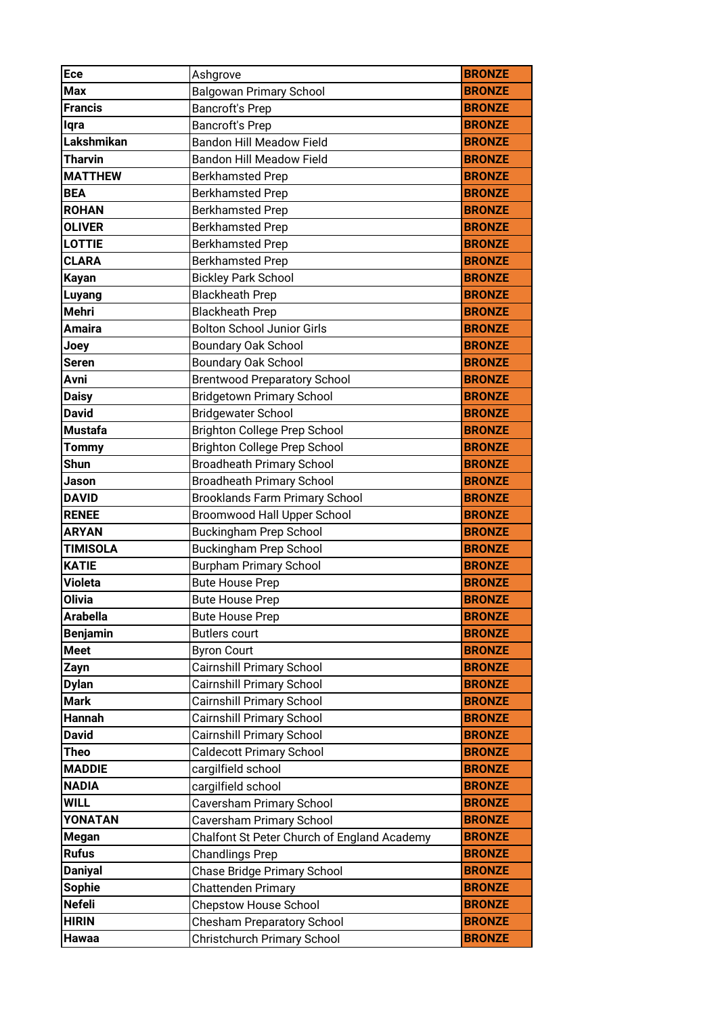| Ece             | Ashgrove                                    | <b>BRONZE</b> |
|-----------------|---------------------------------------------|---------------|
| <b>Max</b>      | <b>Balgowan Primary School</b>              | <b>BRONZE</b> |
| <b>Francis</b>  | <b>Bancroft's Prep</b>                      | <b>BRONZE</b> |
| lqra            | <b>Bancroft's Prep</b>                      | <b>BRONZE</b> |
| Lakshmikan      | <b>Bandon Hill Meadow Field</b>             | <b>BRONZE</b> |
| <b>Tharvin</b>  | <b>Bandon Hill Meadow Field</b>             | <b>BRONZE</b> |
| <b>MATTHEW</b>  | <b>Berkhamsted Prep</b>                     | <b>BRONZE</b> |
| <b>BEA</b>      | <b>Berkhamsted Prep</b>                     | <b>BRONZE</b> |
| <b>ROHAN</b>    | <b>Berkhamsted Prep</b>                     | <b>BRONZE</b> |
| <b>OLIVER</b>   | <b>Berkhamsted Prep</b>                     | <b>BRONZE</b> |
| <b>LOTTIE</b>   | <b>Berkhamsted Prep</b>                     | <b>BRONZE</b> |
| <b>CLARA</b>    | <b>Berkhamsted Prep</b>                     | <b>BRONZE</b> |
| <b>Kayan</b>    | <b>Bickley Park School</b>                  | <b>BRONZE</b> |
| Luyang          | <b>Blackheath Prep</b>                      | <b>BRONZE</b> |
| <b>Mehri</b>    | <b>Blackheath Prep</b>                      | <b>BRONZE</b> |
| <b>Amaira</b>   | <b>Bolton School Junior Girls</b>           | <b>BRONZE</b> |
| Joey            | <b>Boundary Oak School</b>                  | <b>BRONZE</b> |
| <b>Seren</b>    | <b>Boundary Oak School</b>                  | <b>BRONZE</b> |
| Avni            | <b>Brentwood Preparatory School</b>         | <b>BRONZE</b> |
| <b>Daisy</b>    | <b>Bridgetown Primary School</b>            | <b>BRONZE</b> |
| <b>David</b>    | <b>Bridgewater School</b>                   | <b>BRONZE</b> |
| <b>Mustafa</b>  | <b>Brighton College Prep School</b>         | <b>BRONZE</b> |
| <b>Tommy</b>    | <b>Brighton College Prep School</b>         | <b>BRONZE</b> |
| Shun            | <b>Broadheath Primary School</b>            | <b>BRONZE</b> |
| Jason           | <b>Broadheath Primary School</b>            | <b>BRONZE</b> |
| <b>DAVID</b>    | <b>Brooklands Farm Primary School</b>       | <b>BRONZE</b> |
| <b>RENEE</b>    | Broomwood Hall Upper School                 | <b>BRONZE</b> |
| <b>ARYAN</b>    | <b>Buckingham Prep School</b>               | <b>BRONZE</b> |
| <b>TIMISOLA</b> | <b>Buckingham Prep School</b>               | <b>BRONZE</b> |
| <b>KATIE</b>    | <b>Burpham Primary School</b>               | <b>BRONZE</b> |
| <b>Violeta</b>  | <b>Bute House Prep</b>                      | <b>BRONZE</b> |
| <b>Olivia</b>   | <b>Bute House Prep</b>                      | <b>BRONZE</b> |
| <b>Arabella</b> | <b>Bute House Prep</b>                      | <b>BRONZE</b> |
| <b>Benjamin</b> | <b>Butlers court</b>                        | <b>BRONZE</b> |
| <b>Meet</b>     | <b>Byron Court</b>                          | <b>BRONZE</b> |
| Zayn            | <b>Cairnshill Primary School</b>            | <b>BRONZE</b> |
| <b>Dylan</b>    | <b>Cairnshill Primary School</b>            | <b>BRONZE</b> |
| <b>Mark</b>     | <b>Cairnshill Primary School</b>            | <b>BRONZE</b> |
| Hannah          | Cairnshill Primary School                   | <b>BRONZE</b> |
| <b>David</b>    | <b>Cairnshill Primary School</b>            | <b>BRONZE</b> |
| Theo            | <b>Caldecott Primary School</b>             | <b>BRONZE</b> |
| <b>MADDIE</b>   | cargilfield school                          | <b>BRONZE</b> |
| <b>NADIA</b>    | cargilfield school                          | <b>BRONZE</b> |
| <b>WILL</b>     | Caversham Primary School                    | <b>BRONZE</b> |
| YONATAN         | Caversham Primary School                    | <b>BRONZE</b> |
| <b>Megan</b>    | Chalfont St Peter Church of England Academy | <b>BRONZE</b> |
| <b>Rufus</b>    | <b>Chandlings Prep</b>                      | <b>BRONZE</b> |
| <b>Daniyal</b>  | Chase Bridge Primary School                 | <b>BRONZE</b> |
| <b>Sophie</b>   | <b>Chattenden Primary</b>                   | <b>BRONZE</b> |
| <b>Nefeli</b>   | <b>Chepstow House School</b>                | <b>BRONZE</b> |
| <b>HIRIN</b>    | <b>Chesham Preparatory School</b>           | <b>BRONZE</b> |
| Hawaa           | Christchurch Primary School                 | <b>BRONZE</b> |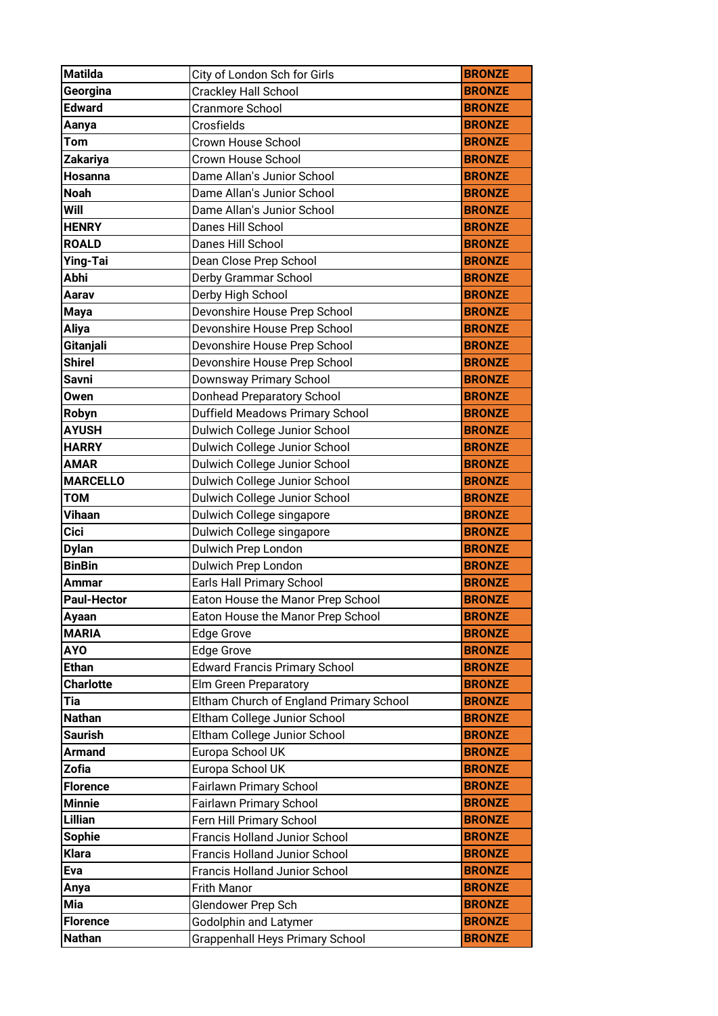| <b>Matilda</b>                   | City of London Sch for Girls                                           | <b>BRONZE</b>                  |
|----------------------------------|------------------------------------------------------------------------|--------------------------------|
| Georgina                         | Crackley Hall School                                                   | <b>BRONZE</b>                  |
| <b>Edward</b>                    | Cranmore School                                                        | <b>BRONZE</b>                  |
| Aanya                            | Crosfields                                                             | <b>BRONZE</b>                  |
| Tom                              | Crown House School                                                     | <b>BRONZE</b>                  |
| Zakariya                         | Crown House School                                                     | <b>BRONZE</b>                  |
| <b>Hosanna</b>                   | Dame Allan's Junior School                                             | <b>BRONZE</b>                  |
| <b>Noah</b>                      | Dame Allan's Junior School                                             | <b>BRONZE</b>                  |
| Will                             | Dame Allan's Junior School                                             | <b>BRONZE</b>                  |
| <b>HENRY</b>                     | Danes Hill School                                                      | <b>BRONZE</b>                  |
| <b>ROALD</b>                     | Danes Hill School                                                      | <b>BRONZE</b>                  |
| Ying-Tai                         | Dean Close Prep School                                                 | <b>BRONZE</b>                  |
| Abhi                             | Derby Grammar School                                                   | <b>BRONZE</b>                  |
| Aarav                            | Derby High School                                                      | <b>BRONZE</b>                  |
| <b>Maya</b>                      | Devonshire House Prep School                                           | <b>BRONZE</b>                  |
| <b>Aliya</b>                     | Devonshire House Prep School                                           | <b>BRONZE</b>                  |
| Gitanjali                        | Devonshire House Prep School                                           | <b>BRONZE</b>                  |
| <b>Shirel</b>                    | Devonshire House Prep School                                           | <b>BRONZE</b>                  |
| <b>Savni</b>                     | Downsway Primary School                                                | <b>BRONZE</b>                  |
| <b>Owen</b>                      | <b>Donhead Preparatory School</b>                                      | <b>BRONZE</b>                  |
| Robyn                            | Duffield Meadows Primary School                                        | <b>BRONZE</b>                  |
| <b>AYUSH</b>                     | Dulwich College Junior School                                          | <b>BRONZE</b>                  |
| <b>HARRY</b>                     | Dulwich College Junior School                                          | <b>BRONZE</b>                  |
| <b>AMAR</b>                      | Dulwich College Junior School                                          | <b>BRONZE</b>                  |
| <b>MARCELLO</b>                  | Dulwich College Junior School                                          | <b>BRONZE</b>                  |
| <b>TOM</b>                       | Dulwich College Junior School                                          | <b>BRONZE</b>                  |
|                                  |                                                                        |                                |
| <b>Vihaan</b>                    | Dulwich College singapore                                              | <b>BRONZE</b>                  |
| <b>Cici</b>                      | Dulwich College singapore                                              | <b>BRONZE</b>                  |
| <b>Dylan</b>                     | Dulwich Prep London                                                    | <b>BRONZE</b>                  |
| <b>BinBin</b>                    | Dulwich Prep London                                                    | <b>BRONZE</b>                  |
| Ammar                            | Earls Hall Primary School                                              | <b>BRONZE</b>                  |
| <b>Paul-Hector</b>               | Eaton House the Manor Prep School                                      | <b>BRONZE</b>                  |
| Ayaan                            | Eaton House the Manor Prep School                                      | <b>BRONZE</b>                  |
| <b>MARIA</b>                     | <b>Edge Grove</b>                                                      | <b>BRONZE</b>                  |
| <b>AYO</b>                       | Edge Grove                                                             | <b>BRONZE</b>                  |
| <b>Ethan</b>                     | <b>Edward Francis Primary School</b>                                   | <b>BRONZE</b>                  |
| <b>Charlotte</b>                 | Elm Green Preparatory                                                  | <b>BRONZE</b>                  |
| Tia                              | Eltham Church of England Primary School                                | <b>BRONZE</b>                  |
| <b>Nathan</b>                    | Eltham College Junior School                                           | <b>BRONZE</b>                  |
| <b>Saurish</b>                   | Eltham College Junior School                                           | <b>BRONZE</b>                  |
| <b>Armand</b>                    | Europa School UK                                                       | <b>BRONZE</b>                  |
| <b>Zofia</b>                     | Europa School UK                                                       | <b>BRONZE</b>                  |
| <b>Florence</b>                  | Fairlawn Primary School                                                | <b>BRONZE</b>                  |
| <b>Minnie</b>                    | Fairlawn Primary School                                                | <b>BRONZE</b>                  |
| <b>Lillian</b>                   | Fern Hill Primary School                                               | <b>BRONZE</b>                  |
| <b>Sophie</b>                    | Francis Holland Junior School                                          | <b>BRONZE</b>                  |
| <b>Klara</b>                     | Francis Holland Junior School                                          | <b>BRONZE</b>                  |
| Eva                              | Francis Holland Junior School                                          | <b>BRONZE</b>                  |
| Anya                             | Frith Manor                                                            | <b>BRONZE</b>                  |
| Mia                              | Glendower Prep Sch                                                     | <b>BRONZE</b>                  |
| <b>Florence</b><br><b>Nathan</b> | <b>Godolphin and Latymer</b><br><b>Grappenhall Heys Primary School</b> | <b>BRONZE</b><br><b>BRONZE</b> |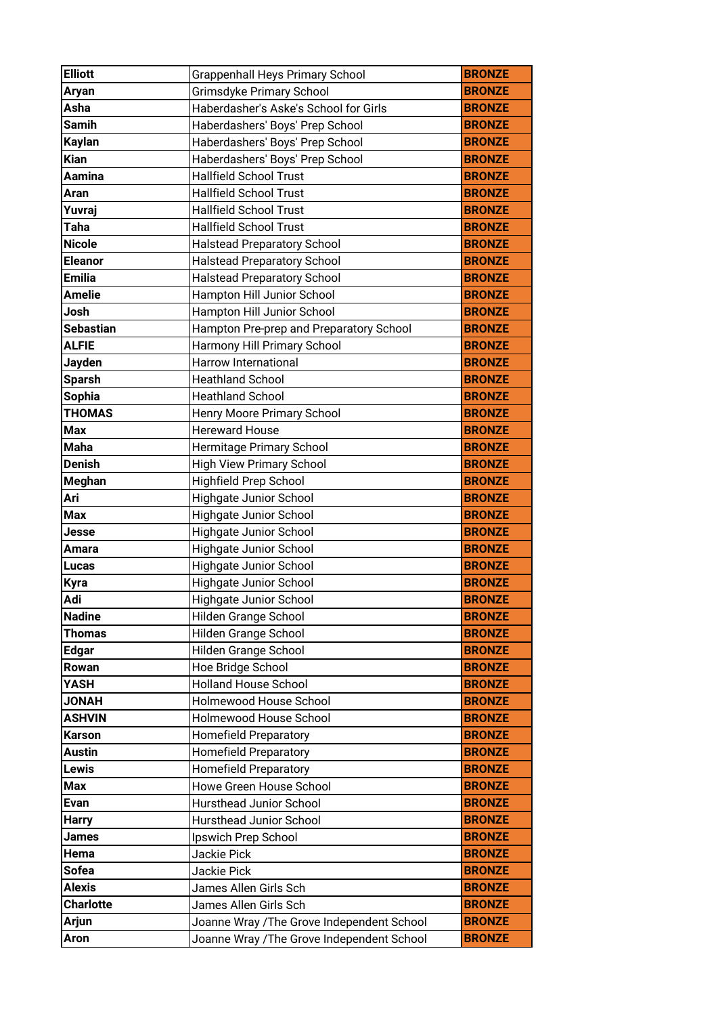| <b>Elliott</b>   | <b>Grappenhall Heys Primary School</b>     | <b>BRONZE</b> |
|------------------|--------------------------------------------|---------------|
| <b>Aryan</b>     | Grimsdyke Primary School                   | <b>BRONZE</b> |
| Asha             | Haberdasher's Aske's School for Girls      | <b>BRONZE</b> |
| <b>Samih</b>     | Haberdashers' Boys' Prep School            | <b>BRONZE</b> |
| <b>Kaylan</b>    | Haberdashers' Boys' Prep School            | <b>BRONZE</b> |
| <b>Kian</b>      | Haberdashers' Boys' Prep School            | <b>BRONZE</b> |
| Aamina           | <b>Hallfield School Trust</b>              | <b>BRONZE</b> |
| Aran             | <b>Hallfield School Trust</b>              | <b>BRONZE</b> |
| Yuvraj           | <b>Hallfield School Trust</b>              | <b>BRONZE</b> |
| Taha             | <b>Hallfield School Trust</b>              | <b>BRONZE</b> |
| <b>Nicole</b>    | <b>Halstead Preparatory School</b>         | <b>BRONZE</b> |
| <b>Eleanor</b>   | <b>Halstead Preparatory School</b>         | <b>BRONZE</b> |
| <b>Emilia</b>    | <b>Halstead Preparatory School</b>         | <b>BRONZE</b> |
| <b>Amelie</b>    | Hampton Hill Junior School                 | <b>BRONZE</b> |
| Josh             | Hampton Hill Junior School                 | <b>BRONZE</b> |
| <b>Sebastian</b> | Hampton Pre-prep and Preparatory School    | <b>BRONZE</b> |
| <b>ALFIE</b>     | Harmony Hill Primary School                | <b>BRONZE</b> |
| <b>Jayden</b>    | Harrow International                       | <b>BRONZE</b> |
| <b>Sparsh</b>    | <b>Heathland School</b>                    | <b>BRONZE</b> |
| <b>Sophia</b>    | <b>Heathland School</b>                    | <b>BRONZE</b> |
| <b>THOMAS</b>    | Henry Moore Primary School                 | <b>BRONZE</b> |
| <b>Max</b>       | <b>Hereward House</b>                      | <b>BRONZE</b> |
| <b>Maha</b>      | Hermitage Primary School                   | <b>BRONZE</b> |
| <b>Denish</b>    | <b>High View Primary School</b>            | <b>BRONZE</b> |
| Meghan           | Highfield Prep School                      | <b>BRONZE</b> |
| Ari              | Highgate Junior School                     | <b>BRONZE</b> |
| <b>Max</b>       | Highgate Junior School                     | <b>BRONZE</b> |
| Jesse            | Highgate Junior School                     | <b>BRONZE</b> |
| Amara            | Highgate Junior School                     | <b>BRONZE</b> |
| Lucas            | Highgate Junior School                     | <b>BRONZE</b> |
| <b>Kyra</b>      | Highgate Junior School                     | <b>BRONZE</b> |
| Adi              | <b>Highgate Junior School</b>              | <b>BRONZE</b> |
| <b>Nadine</b>    | Hilden Grange School                       | <b>BRONZE</b> |
| <b>Thomas</b>    | Hilden Grange School                       | <b>BRONZE</b> |
| <b>Edgar</b>     | Hilden Grange School                       | <b>BRONZE</b> |
| Rowan            | Hoe Bridge School                          | <b>BRONZE</b> |
| YASH             | <b>Holland House School</b>                | <b>BRONZE</b> |
| <b>JONAH</b>     | Holmewood House School                     | <b>BRONZE</b> |
| <b>ASHVIN</b>    | Holmewood House School                     | <b>BRONZE</b> |
| Karson           | <b>Homefield Preparatory</b>               | <b>BRONZE</b> |
| Austin           | <b>Homefield Preparatory</b>               | <b>BRONZE</b> |
| Lewis            | <b>Homefield Preparatory</b>               | <b>BRONZE</b> |
| <b>Max</b>       | Howe Green House School                    | <b>BRONZE</b> |
| <b>Evan</b>      | Hursthead Junior School                    | <b>BRONZE</b> |
| <b>Harry</b>     | Hursthead Junior School                    | <b>BRONZE</b> |
| James            | Ipswich Prep School                        | <b>BRONZE</b> |
| Hema             | Jackie Pick                                | <b>BRONZE</b> |
| Sofea            | Jackie Pick                                | <b>BRONZE</b> |
| <b>Alexis</b>    | James Allen Girls Sch                      | <b>BRONZE</b> |
| <b>Charlotte</b> | James Allen Girls Sch                      | <b>BRONZE</b> |
| Arjun            | Joanne Wray / The Grove Independent School | <b>BRONZE</b> |
| Aron             | Joanne Wray / The Grove Independent School | <b>BRONZE</b> |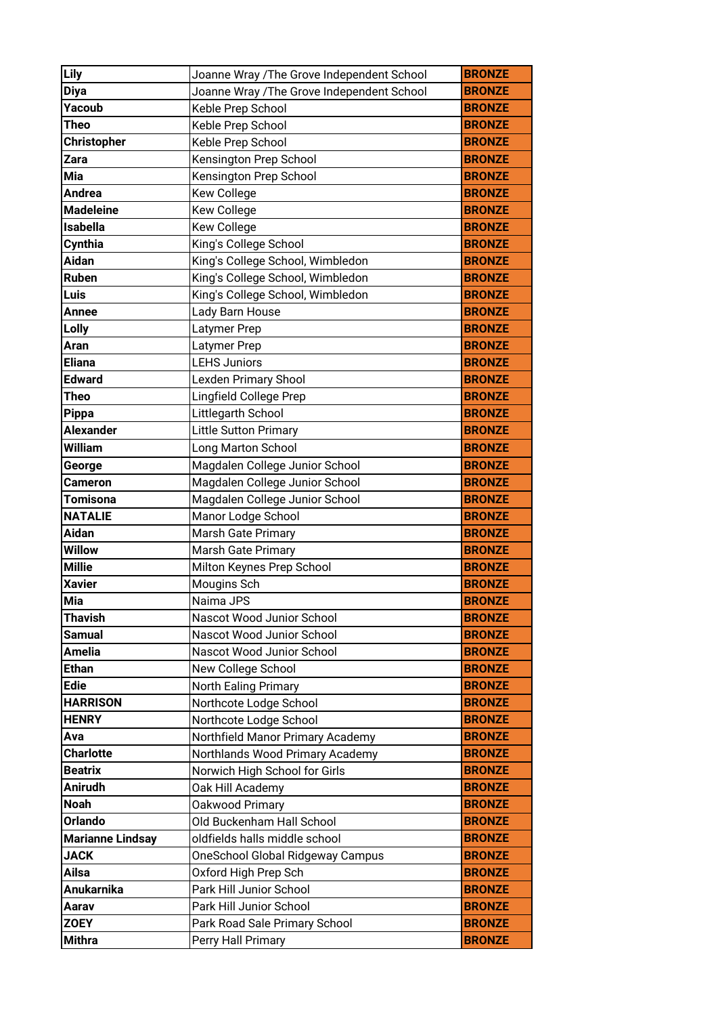| Lily                    | Joanne Wray /The Grove Independent School  | <b>BRONZE</b> |
|-------------------------|--------------------------------------------|---------------|
| <b>Diya</b>             | Joanne Wray / The Grove Independent School | <b>BRONZE</b> |
| Yacoub                  | Keble Prep School                          | <b>BRONZE</b> |
| Theo                    | Keble Prep School                          | <b>BRONZE</b> |
| <b>Christopher</b>      | Keble Prep School                          | <b>BRONZE</b> |
| Zara                    | Kensington Prep School                     | <b>BRONZE</b> |
| Mia                     | Kensington Prep School                     | <b>BRONZE</b> |
| <b>Andrea</b>           | <b>Kew College</b>                         | <b>BRONZE</b> |
| <b>Madeleine</b>        | <b>Kew College</b>                         | <b>BRONZE</b> |
| <b>Isabella</b>         | <b>Kew College</b>                         | <b>BRONZE</b> |
| Cynthia                 | King's College School                      | <b>BRONZE</b> |
| Aidan                   | King's College School, Wimbledon           | <b>BRONZE</b> |
| Ruben                   | King's College School, Wimbledon           | <b>BRONZE</b> |
| Luis                    | King's College School, Wimbledon           | <b>BRONZE</b> |
| Annee                   | Lady Barn House                            | <b>BRONZE</b> |
| Lolly                   | Latymer Prep                               | <b>BRONZE</b> |
| Aran                    | Latymer Prep                               | <b>BRONZE</b> |
| <b>Eliana</b>           | <b>LEHS Juniors</b>                        | <b>BRONZE</b> |
| <b>Edward</b>           | <b>Lexden Primary Shool</b>                | <b>BRONZE</b> |
| Theo                    | Lingfield College Prep                     | <b>BRONZE</b> |
| <b>Pippa</b>            | Littlegarth School                         | <b>BRONZE</b> |
| <b>Alexander</b>        | <b>Little Sutton Primary</b>               | <b>BRONZE</b> |
| William                 | Long Marton School                         | <b>BRONZE</b> |
| George                  | Magdalen College Junior School             | <b>BRONZE</b> |
| Cameron                 | Magdalen College Junior School             | <b>BRONZE</b> |
| Tomisona                | Magdalen College Junior School             | <b>BRONZE</b> |
| <b>NATALIE</b>          | Manor Lodge School                         | <b>BRONZE</b> |
| Aidan                   | Marsh Gate Primary                         | <b>BRONZE</b> |
| <b>Willow</b>           | <b>Marsh Gate Primary</b>                  | <b>BRONZE</b> |
| <b>Millie</b>           | Milton Keynes Prep School                  | <b>BRONZE</b> |
| <b>Xavier</b>           | Mougins Sch                                | <b>BRONZE</b> |
| <b>Mia</b>              | Naima JPS                                  | <b>BRONZE</b> |
| <b>Thavish</b>          | Nascot Wood Junior School                  | <b>BRONZE</b> |
| Samual                  | Nascot Wood Junior School                  | <b>BRONZE</b> |
| <b>Amelia</b>           | Nascot Wood Junior School                  | <b>BRONZE</b> |
| Ethan                   | New College School                         | <b>BRONZE</b> |
| <b>Edie</b>             | <b>North Ealing Primary</b>                | <b>BRONZE</b> |
| <b>HARRISON</b>         | Northcote Lodge School                     | <b>BRONZE</b> |
| <b>HENRY</b>            | Northcote Lodge School                     | <b>BRONZE</b> |
| Ava                     | Northfield Manor Primary Academy           | <b>BRONZE</b> |
| <b>Charlotte</b>        | Northlands Wood Primary Academy            | <b>BRONZE</b> |
| <b>Beatrix</b>          | Norwich High School for Girls              | <b>BRONZE</b> |
| <b>Anirudh</b>          | Oak Hill Academy                           | <b>BRONZE</b> |
| <b>Noah</b>             | Oakwood Primary                            | <b>BRONZE</b> |
| <b>Orlando</b>          | Old Buckenham Hall School                  | <b>BRONZE</b> |
| <b>Marianne Lindsay</b> | oldfields halls middle school              | <b>BRONZE</b> |
| <b>JACK</b>             | <b>OneSchool Global Ridgeway Campus</b>    | <b>BRONZE</b> |
| Ailsa                   | Oxford High Prep Sch                       | <b>BRONZE</b> |
| <b>Anukarnika</b>       | Park Hill Junior School                    | <b>BRONZE</b> |
| Aarav                   | Park Hill Junior School                    | <b>BRONZE</b> |
|                         |                                            |               |
| <b>ZOEY</b>             | Park Road Sale Primary School              | <b>BRONZE</b> |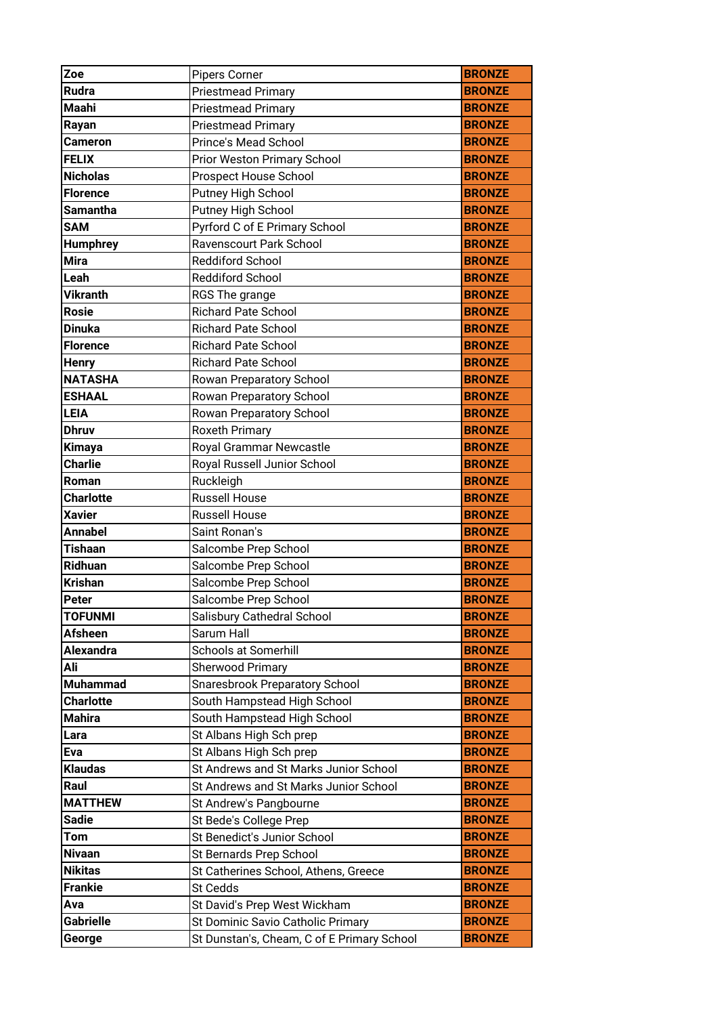| Zoe              | <b>Pipers Corner</b>                       | <b>BRONZE</b> |
|------------------|--------------------------------------------|---------------|
| Rudra            | <b>Priestmead Primary</b>                  | <b>BRONZE</b> |
| <b>Maahi</b>     | <b>Priestmead Primary</b>                  | <b>BRONZE</b> |
| Rayan            | <b>Priestmead Primary</b>                  | <b>BRONZE</b> |
| <b>Cameron</b>   | Prince's Mead School                       | <b>BRONZE</b> |
| <b>FELIX</b>     | Prior Weston Primary School                | <b>BRONZE</b> |
| <b>Nicholas</b>  | Prospect House School                      | <b>BRONZE</b> |
| <b>Florence</b>  | Putney High School                         | <b>BRONZE</b> |
| <b>Samantha</b>  | Putney High School                         | <b>BRONZE</b> |
| <b>SAM</b>       | Pyrford C of E Primary School              | <b>BRONZE</b> |
| <b>Humphrey</b>  | Ravenscourt Park School                    | <b>BRONZE</b> |
| <b>Mira</b>      | <b>Reddiford School</b>                    | <b>BRONZE</b> |
| Leah             | <b>Reddiford School</b>                    | <b>BRONZE</b> |
| <b>Vikranth</b>  | RGS The grange                             | <b>BRONZE</b> |
| <b>Rosie</b>     | <b>Richard Pate School</b>                 | <b>BRONZE</b> |
| <b>Dinuka</b>    | <b>Richard Pate School</b>                 | <b>BRONZE</b> |
| <b>Florence</b>  | <b>Richard Pate School</b>                 | <b>BRONZE</b> |
| <b>Henry</b>     | <b>Richard Pate School</b>                 | <b>BRONZE</b> |
| <b>NATASHA</b>   | Rowan Preparatory School                   | <b>BRONZE</b> |
| <b>ESHAAL</b>    | Rowan Preparatory School                   | <b>BRONZE</b> |
| <b>LEIA</b>      | Rowan Preparatory School                   | <b>BRONZE</b> |
| <b>Dhruv</b>     | <b>Roxeth Primary</b>                      | <b>BRONZE</b> |
| <b>Kimaya</b>    | Royal Grammar Newcastle                    | <b>BRONZE</b> |
| <b>Charlie</b>   | Royal Russell Junior School                | <b>BRONZE</b> |
| Roman            | Ruckleigh                                  | <b>BRONZE</b> |
| <b>Charlotte</b> | <b>Russell House</b>                       | <b>BRONZE</b> |
| <b>Xavier</b>    | <b>Russell House</b>                       | <b>BRONZE</b> |
| <b>Annabel</b>   | Saint Ronan's                              | <b>BRONZE</b> |
| <b>Tishaan</b>   | Salcombe Prep School                       | <b>BRONZE</b> |
| Ridhuan          | Salcombe Prep School                       | <b>BRONZE</b> |
| <b>Krishan</b>   | Salcombe Prep School                       | <b>BRONZE</b> |
| <b>Peter</b>     | Salcombe Prep School                       | <b>BRONZE</b> |
| <b>TOFUNMI</b>   | Salisbury Cathedral School                 | <b>BRONZE</b> |
| <b>Afsheen</b>   | Sarum Hall                                 | <b>BRONZE</b> |
| <b>Alexandra</b> | <b>Schools at Somerhill</b>                | <b>BRONZE</b> |
| Ali              | <b>Sherwood Primary</b>                    | <b>BRONZE</b> |
| <b>Muhammad</b>  | Snaresbrook Preparatory School             | <b>BRONZE</b> |
| <b>Charlotte</b> | South Hampstead High School                | <b>BRONZE</b> |
| <b>Mahira</b>    | South Hampstead High School                | <b>BRONZE</b> |
| Lara             | St Albans High Sch prep                    | <b>BRONZE</b> |
| Eva              | St Albans High Sch prep                    | <b>BRONZE</b> |
| <b>Klaudas</b>   | St Andrews and St Marks Junior School      | <b>BRONZE</b> |
| Raul             | St Andrews and St Marks Junior School      | <b>BRONZE</b> |
| <b>MATTHEW</b>   | St Andrew's Pangbourne                     | <b>BRONZE</b> |
| <b>Sadie</b>     | St Bede's College Prep                     | <b>BRONZE</b> |
| Tom              | St Benedict's Junior School                | <b>BRONZE</b> |
| <b>Nivaan</b>    | St Bernards Prep School                    | <b>BRONZE</b> |
| <b>Nikitas</b>   | St Catherines School, Athens, Greece       | <b>BRONZE</b> |
| <b>Frankie</b>   | St Cedds                                   | <b>BRONZE</b> |
| Ava              | St David's Prep West Wickham               | <b>BRONZE</b> |
| <b>Gabrielle</b> | St Dominic Savio Catholic Primary          | <b>BRONZE</b> |
| George           | St Dunstan's, Cheam, C of E Primary School | <b>BRONZE</b> |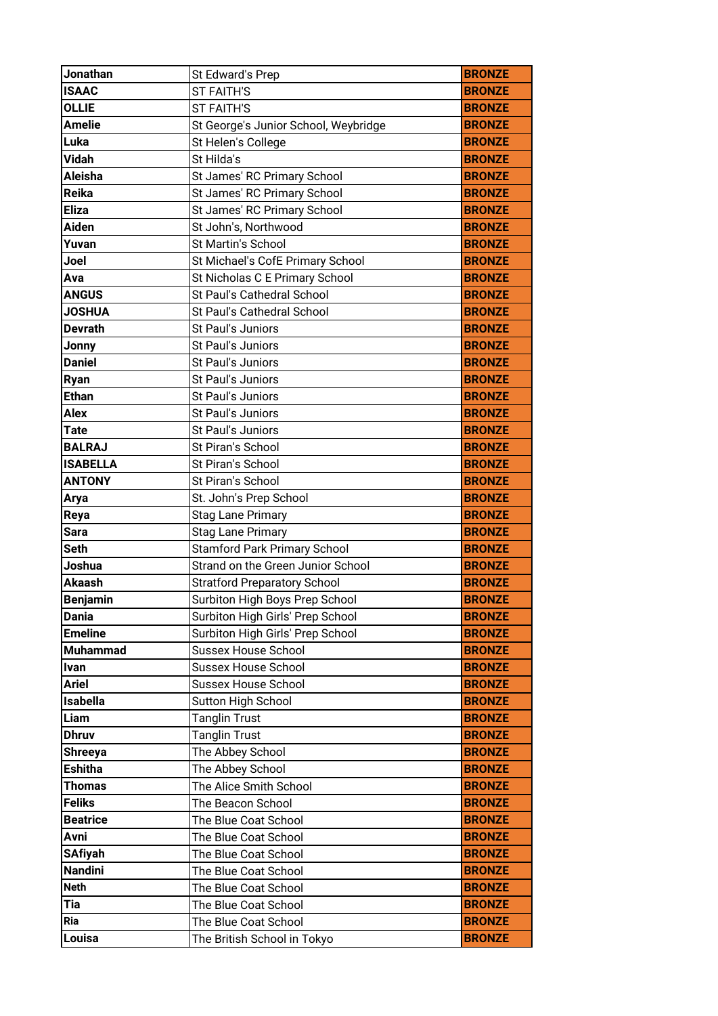| Jonathan              | St Edward's Prep                                                         | <b>BRONZE</b>                  |
|-----------------------|--------------------------------------------------------------------------|--------------------------------|
| <b>ISAAC</b>          | <b>ST FAITH'S</b>                                                        | <b>BRONZE</b>                  |
| <b>OLLIE</b>          | <b>ST FAITH'S</b>                                                        | <b>BRONZE</b>                  |
| <b>Amelie</b>         | St George's Junior School, Weybridge                                     | <b>BRONZE</b>                  |
| Luka                  | St Helen's College                                                       | <b>BRONZE</b>                  |
| <b>Vidah</b>          | St Hilda's                                                               | <b>BRONZE</b>                  |
| Aleisha               | St James' RC Primary School                                              | <b>BRONZE</b>                  |
| Reika                 | St James' RC Primary School                                              | <b>BRONZE</b>                  |
| <b>Eliza</b>          | St James' RC Primary School                                              | <b>BRONZE</b>                  |
| <b>Aiden</b>          | St John's, Northwood                                                     | <b>BRONZE</b>                  |
| Yuvan                 | St Martin's School                                                       | <b>BRONZE</b>                  |
| Joel                  | St Michael's CofE Primary School                                         | <b>BRONZE</b>                  |
| Ava                   | St Nicholas C E Primary School                                           | <b>BRONZE</b>                  |
| <b>ANGUS</b>          | St Paul's Cathedral School                                               | <b>BRONZE</b>                  |
| <b>JOSHUA</b>         | St Paul's Cathedral School                                               | <b>BRONZE</b>                  |
| <b>Devrath</b>        | St Paul's Juniors                                                        | <b>BRONZE</b>                  |
| Jonny                 | St Paul's Juniors                                                        | <b>BRONZE</b>                  |
| <b>Daniel</b>         | St Paul's Juniors                                                        | <b>BRONZE</b>                  |
| <b>Ryan</b>           | St Paul's Juniors                                                        | <b>BRONZE</b>                  |
| <b>Ethan</b>          | St Paul's Juniors                                                        | <b>BRONZE</b>                  |
| <b>Alex</b>           | St Paul's Juniors                                                        | <b>BRONZE</b>                  |
| <b>Tate</b>           | St Paul's Juniors                                                        | <b>BRONZE</b>                  |
| <b>BALRAJ</b>         | St Piran's School                                                        | <b>BRONZE</b>                  |
| <b>ISABELLA</b>       | St Piran's School                                                        | <b>BRONZE</b>                  |
| <b>ANTONY</b>         | St Piran's School                                                        | <b>BRONZE</b>                  |
| Arya                  | St. John's Prep School                                                   | <b>BRONZE</b>                  |
|                       |                                                                          |                                |
|                       |                                                                          |                                |
| Reya                  | <b>Stag Lane Primary</b>                                                 | <b>BRONZE</b>                  |
| <b>Sara</b>           | <b>Stag Lane Primary</b>                                                 | <b>BRONZE</b>                  |
| <b>Seth</b><br>Joshua | <b>Stamford Park Primary School</b><br>Strand on the Green Junior School | <b>BRONZE</b><br><b>BRONZE</b> |
| <b>Akaash</b>         |                                                                          | <b>BRONZE</b>                  |
| <b>Benjamin</b>       | <b>Stratford Preparatory School</b><br>Surbiton High Boys Prep School    | <b>BRONZE</b>                  |
| <b>Dania</b>          | Surbiton High Girls' Prep School                                         | <b>BRONZE</b>                  |
| <b>Emeline</b>        |                                                                          | <b>BRONZE</b>                  |
| <b>Muhammad</b>       | Surbiton High Girls' Prep School<br><b>Sussex House School</b>           | <b>BRONZE</b>                  |
| <b>Ivan</b>           | <b>Sussex House School</b>                                               | <b>BRONZE</b>                  |
| <b>Ariel</b>          | <b>Sussex House School</b>                                               | <b>BRONZE</b>                  |
| <b>Isabella</b>       | Sutton High School                                                       | <b>BRONZE</b>                  |
| Liam                  | <b>Tanglin Trust</b>                                                     | <b>BRONZE</b>                  |
| <b>Dhruv</b>          | <b>Tanglin Trust</b>                                                     | <b>BRONZE</b>                  |
| <b>Shreeya</b>        | The Abbey School                                                         | <b>BRONZE</b>                  |
| <b>Eshitha</b>        | The Abbey School                                                         | <b>BRONZE</b>                  |
| <b>Thomas</b>         | The Alice Smith School                                                   | <b>BRONZE</b>                  |
| <b>Feliks</b>         | The Beacon School                                                        | <b>BRONZE</b>                  |
| <b>Beatrice</b>       | The Blue Coat School                                                     | <b>BRONZE</b>                  |
| Avni                  | The Blue Coat School                                                     | <b>BRONZE</b>                  |
| <b>SAfiyah</b>        | The Blue Coat School                                                     | <b>BRONZE</b>                  |
| <b>Nandini</b>        | The Blue Coat School                                                     | <b>BRONZE</b>                  |
| <b>Neth</b>           | The Blue Coat School                                                     | <b>BRONZE</b>                  |
| Tia                   | The Blue Coat School                                                     | <b>BRONZE</b>                  |
| Ria                   | The Blue Coat School                                                     | <b>BRONZE</b>                  |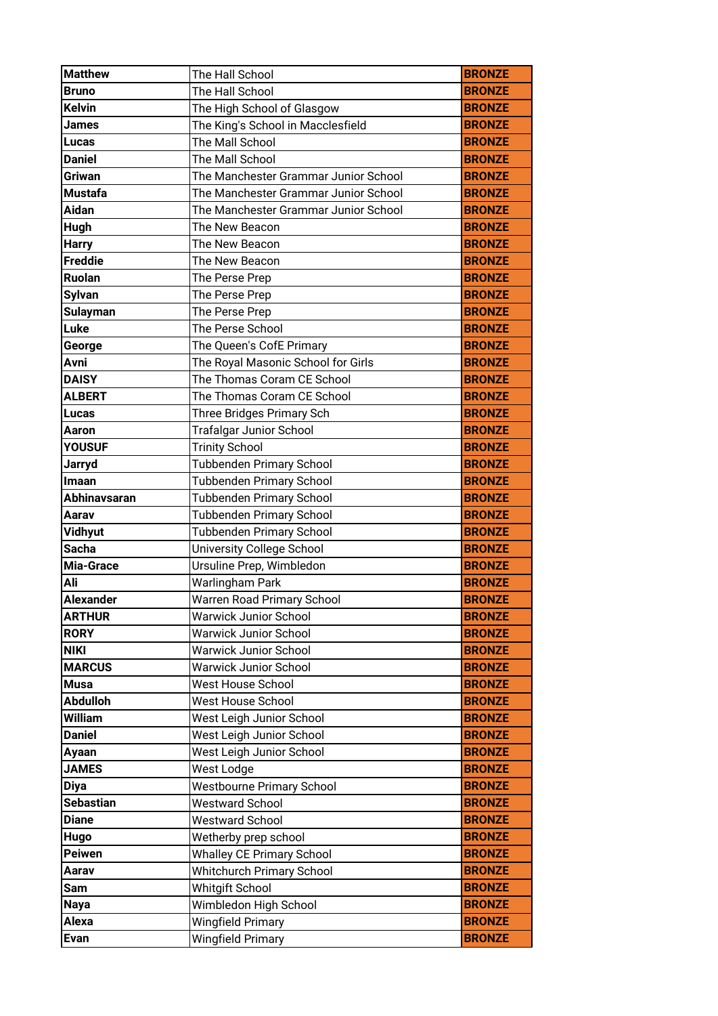| <b>Matthew</b>       | The Hall School                                      | <b>BRONZE</b>                  |
|----------------------|------------------------------------------------------|--------------------------------|
| <b>Bruno</b>         | The Hall School                                      | <b>BRONZE</b>                  |
| <b>Kelvin</b>        | The High School of Glasgow                           | <b>BRONZE</b>                  |
| <b>James</b>         | The King's School in Macclesfield                    | <b>BRONZE</b>                  |
| Lucas                | The Mall School                                      | <b>BRONZE</b>                  |
| <b>Daniel</b>        | The Mall School                                      | <b>BRONZE</b>                  |
| Griwan               | The Manchester Grammar Junior School                 | <b>BRONZE</b>                  |
| <b>Mustafa</b>       | The Manchester Grammar Junior School                 | <b>BRONZE</b>                  |
| Aidan                | The Manchester Grammar Junior School                 | <b>BRONZE</b>                  |
| Hugh                 | The New Beacon                                       | <b>BRONZE</b>                  |
| <b>Harry</b>         | The New Beacon                                       | <b>BRONZE</b>                  |
| <b>Freddie</b>       | The New Beacon                                       | <b>BRONZE</b>                  |
| <b>Ruolan</b>        | The Perse Prep                                       | <b>BRONZE</b>                  |
| <b>Sylvan</b>        | The Perse Prep                                       | <b>BRONZE</b>                  |
| <b>Sulayman</b>      | The Perse Prep                                       | <b>BRONZE</b>                  |
| Luke                 | The Perse School                                     | <b>BRONZE</b>                  |
| George               | The Queen's CofE Primary                             | <b>BRONZE</b>                  |
| Avni                 | The Royal Masonic School for Girls                   | <b>BRONZE</b>                  |
| <b>DAISY</b>         | The Thomas Coram CE School                           | <b>BRONZE</b>                  |
| <b>ALBERT</b>        | The Thomas Coram CE School                           | <b>BRONZE</b>                  |
| Lucas                | Three Bridges Primary Sch                            | <b>BRONZE</b>                  |
| Aaron                | <b>Trafalgar Junior School</b>                       | <b>BRONZE</b>                  |
| <b>YOUSUF</b>        | <b>Trinity School</b>                                | <b>BRONZE</b>                  |
| Jarryd               | Tubbenden Primary School                             | <b>BRONZE</b>                  |
| Imaan                | <b>Tubbenden Primary School</b>                      | <b>BRONZE</b>                  |
| <b>Abhinavsaran</b>  | <b>Tubbenden Primary School</b>                      | <b>BRONZE</b>                  |
|                      |                                                      |                                |
| Aarav                | Tubbenden Primary School                             | <b>BRONZE</b>                  |
| <b>Vidhyut</b>       | <b>Tubbenden Primary School</b>                      | <b>BRONZE</b>                  |
| <b>Sacha</b>         | <b>University College School</b>                     | <b>BRONZE</b>                  |
| Mia-Grace            | Ursuline Prep, Wimbledon                             | <b>BRONZE</b>                  |
| Ali                  | <b>Warlingham Park</b>                               | <b>BRONZE</b>                  |
| <b>Alexander</b>     | <b>Warren Road Primary School</b>                    | <b>BRONZE</b>                  |
| <b>ARTHUR</b>        | <b>Warwick Junior School</b>                         | <b>BRONZE</b>                  |
| <b>RORY</b>          | <b>Warwick Junior School</b>                         | <b>BRONZE</b>                  |
| <b>NIKI</b>          | <b>Warwick Junior School</b>                         | <b>BRONZE</b>                  |
| <b>MARCUS</b>        | <b>Warwick Junior School</b>                         | <b>BRONZE</b>                  |
| <b>Musa</b>          | West House School                                    | <b>BRONZE</b>                  |
| <b>Abdulloh</b>      | West House School                                    | <b>BRONZE</b>                  |
| <b>William</b>       | West Leigh Junior School                             | <b>BRONZE</b>                  |
| <b>Daniel</b>        | West Leigh Junior School                             | <b>BRONZE</b>                  |
| Ayaan                | West Leigh Junior School                             | <b>BRONZE</b>                  |
| <b>JAMES</b>         | West Lodge                                           | <b>BRONZE</b>                  |
| <b>Diya</b>          | <b>Westbourne Primary School</b>                     | <b>BRONZE</b>                  |
| <b>Sebastian</b>     | <b>Westward School</b>                               | <b>BRONZE</b>                  |
| <b>Diane</b>         | <b>Westward School</b>                               | <b>BRONZE</b>                  |
| Hugo                 | Wetherby prep school                                 | <b>BRONZE</b>                  |
| <b>Peiwen</b>        | <b>Whalley CE Primary School</b>                     | <b>BRONZE</b>                  |
| Aarav                | <b>Whitchurch Primary School</b>                     | <b>BRONZE</b>                  |
| Sam                  | <b>Whitgift School</b>                               | <b>BRONZE</b>                  |
| <b>Naya</b>          | Wimbledon High School                                | <b>BRONZE</b>                  |
| Alexa<br><b>Evan</b> | <b>Wingfield Primary</b><br><b>Wingfield Primary</b> | <b>BRONZE</b><br><b>BRONZE</b> |